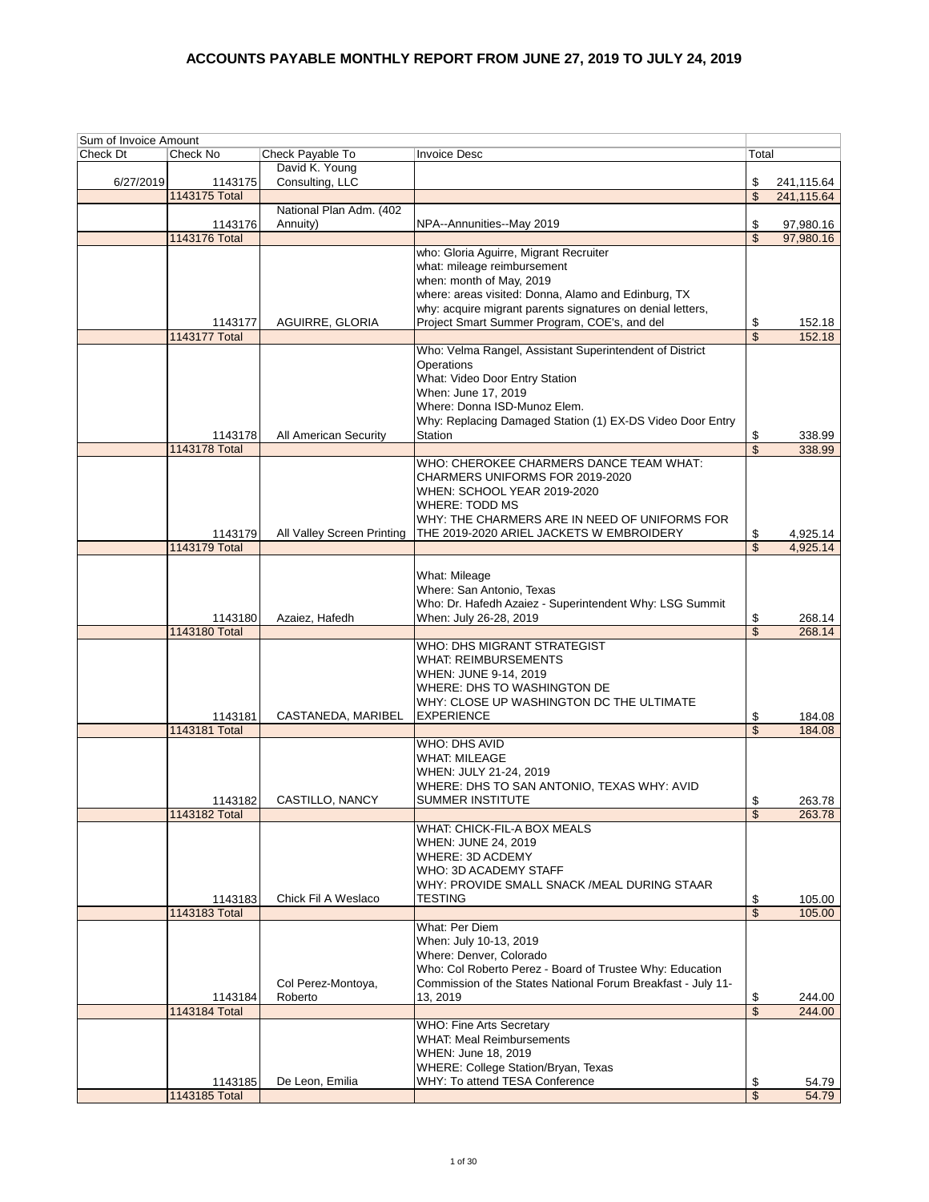| Sum of Invoice Amount |                          |                                     |                                                              |                          |                        |
|-----------------------|--------------------------|-------------------------------------|--------------------------------------------------------------|--------------------------|------------------------|
| Check Dt              | Check No                 | Check Payable To                    | <b>Invoice Desc</b>                                          | Total                    |                        |
|                       |                          | David K. Young                      |                                                              |                          |                        |
| 6/27/2019             | 1143175                  | Consulting, LLC                     |                                                              | \$                       | 241,115.64             |
|                       | 1143175 Total            |                                     |                                                              | \$                       | 241,115.64             |
|                       |                          | National Plan Adm. (402<br>Annuity) | NPA--Annunities--May 2019                                    | \$                       |                        |
|                       | 1143176<br>1143176 Total |                                     |                                                              | \$                       | 97,980.16<br>97,980.16 |
|                       |                          |                                     | who: Gloria Aguirre, Migrant Recruiter                       |                          |                        |
|                       |                          |                                     | what: mileage reimbursement                                  |                          |                        |
|                       |                          |                                     | when: month of May, 2019                                     |                          |                        |
|                       |                          |                                     | where: areas visited: Donna, Alamo and Edinburg, TX          |                          |                        |
|                       |                          |                                     | why: acquire migrant parents signatures on denial letters,   |                          |                        |
|                       | 1143177                  | AGUIRRE, GLORIA                     | Project Smart Summer Program, COE's, and del                 | \$                       | 152.18                 |
|                       | <b>1143177 Total</b>     |                                     |                                                              | \$                       | 152.18                 |
|                       |                          |                                     | Who: Velma Rangel, Assistant Superintendent of District      |                          |                        |
|                       |                          |                                     | Operations                                                   |                          |                        |
|                       |                          |                                     | What: Video Door Entry Station<br>When: June 17, 2019        |                          |                        |
|                       |                          |                                     | Where: Donna ISD-Munoz Elem.                                 |                          |                        |
|                       |                          |                                     | Why: Replacing Damaged Station (1) EX-DS Video Door Entry    |                          |                        |
|                       | 1143178                  | All American Security               | Station                                                      | \$                       | 338.99                 |
|                       | 1143178 Total            |                                     |                                                              | \$                       | 338.99                 |
|                       |                          |                                     | WHO: CHEROKEE CHARMERS DANCE TEAM WHAT:                      |                          |                        |
|                       |                          |                                     | CHARMERS UNIFORMS FOR 2019-2020                              |                          |                        |
|                       |                          |                                     | WHEN: SCHOOL YEAR 2019-2020                                  |                          |                        |
|                       |                          |                                     | WHERE: TODD MS                                               |                          |                        |
|                       |                          |                                     | WHY: THE CHARMERS ARE IN NEED OF UNIFORMS FOR                |                          |                        |
|                       | 1143179<br>1143179 Total | All Valley Screen Printing          | THE 2019-2020 ARIEL JACKETS W EMBROIDERY                     | \$                       | 4,925.14               |
|                       |                          |                                     |                                                              | \$                       | 4,925.14               |
|                       |                          |                                     | What: Mileage                                                |                          |                        |
|                       |                          |                                     | Where: San Antonio, Texas                                    |                          |                        |
|                       |                          |                                     | Who: Dr. Hafedh Azaiez - Superintendent Why: LSG Summit      |                          |                        |
|                       | 1143180                  | Azaiez, Hafedh                      | When: July 26-28, 2019                                       | \$                       | 268.14                 |
|                       | 1143180 Total            |                                     |                                                              | $\overline{\mathcal{S}}$ | 268.14                 |
|                       |                          |                                     | WHO: DHS MIGRANT STRATEGIST                                  |                          |                        |
|                       |                          |                                     | <b>WHAT: REIMBURSEMENTS</b>                                  |                          |                        |
|                       |                          |                                     | WHEN: JUNE 9-14, 2019                                        |                          |                        |
|                       |                          |                                     | WHERE: DHS TO WASHINGTON DE                                  |                          |                        |
|                       |                          |                                     | WHY: CLOSE UP WASHINGTON DC THE ULTIMATE                     |                          |                        |
|                       | 1143181<br>1143181 Total | CASTANEDA, MARIBEL                  | <b>EXPERIENCE</b>                                            | \$                       | 184.08                 |
|                       |                          |                                     | <b>WHO: DHS AVID</b>                                         | \$                       | 184.08                 |
|                       |                          |                                     | <b>WHAT: MILEAGE</b>                                         |                          |                        |
|                       |                          |                                     | WHEN: JULY 21-24, 2019                                       |                          |                        |
|                       |                          |                                     | WHERE: DHS TO SAN ANTONIO, TEXAS WHY: AVID                   |                          |                        |
|                       | 1143182                  | CASTILLO, NANCY                     | <b>SUMMER INSTITUTE</b>                                      | \$                       | 263.78                 |
|                       | 1143182 Total            |                                     |                                                              | \$                       | 263.78                 |
|                       |                          |                                     | WHAT: CHICK-FIL-A BOX MEALS                                  |                          |                        |
|                       |                          |                                     | WHEN: JUNE 24, 2019                                          |                          |                        |
|                       |                          |                                     | WHERE: 3D ACDEMY                                             |                          |                        |
|                       |                          |                                     | WHO: 3D ACADEMY STAFF                                        |                          |                        |
|                       |                          |                                     | WHY: PROVIDE SMALL SNACK /MEAL DURING STAAR                  |                          |                        |
|                       | 1143183<br>1143183 Total | Chick Fil A Weslaco                 | <b>TESTING</b>                                               | \$<br>$\mathsf{\$}$      | 105.00<br>105.00       |
|                       |                          |                                     | What: Per Diem                                               |                          |                        |
|                       |                          |                                     | When: July 10-13, 2019                                       |                          |                        |
|                       |                          |                                     | Where: Denver, Colorado                                      |                          |                        |
|                       |                          |                                     | Who: Col Roberto Perez - Board of Trustee Why: Education     |                          |                        |
|                       |                          | Col Perez-Montoya,                  | Commission of the States National Forum Breakfast - July 11- |                          |                        |
|                       | 1143184                  | Roberto                             | 13, 2019                                                     | \$                       | 244.00                 |
|                       | 1143184 Total            |                                     |                                                              | \$                       | 244.00                 |
|                       |                          |                                     | <b>WHO: Fine Arts Secretary</b>                              |                          |                        |
|                       |                          |                                     | <b>WHAT: Meal Reimbursements</b>                             |                          |                        |
|                       |                          |                                     | WHEN: June 18, 2019                                          |                          |                        |
|                       |                          |                                     | WHERE: College Station/Bryan, Texas                          |                          |                        |
|                       | 1143185<br>1143185 Total | De Leon, Emilia                     | WHY: To attend TESA Conference                               | \$<br>\$                 | 54.79<br>54.79         |
|                       |                          |                                     |                                                              |                          |                        |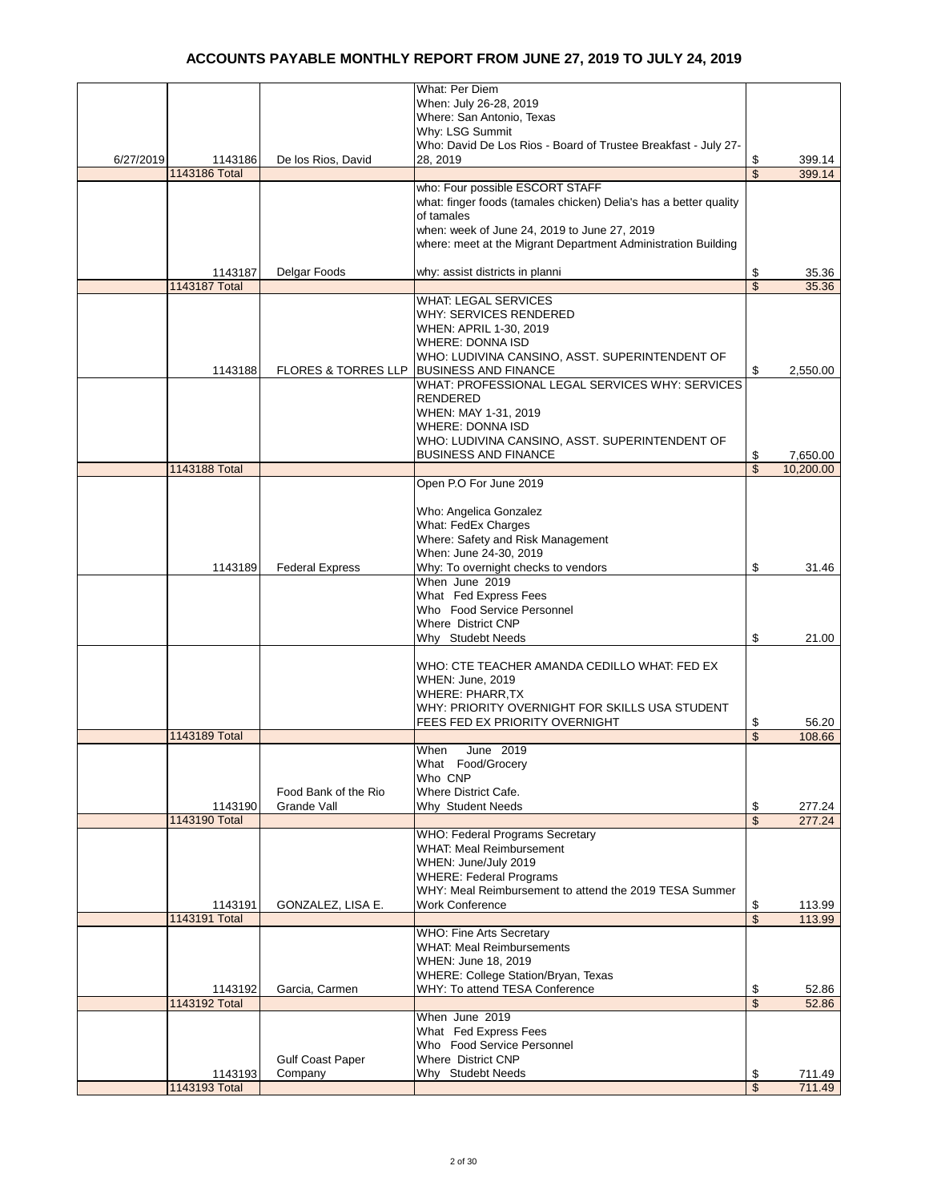|           |               |                                | <b>What: Per Diem</b>                                             |                 |
|-----------|---------------|--------------------------------|-------------------------------------------------------------------|-----------------|
|           |               |                                | When: July 26-28, 2019                                            |                 |
|           |               |                                | Where: San Antonio, Texas                                         |                 |
|           |               |                                | Why: LSG Summit                                                   |                 |
|           |               |                                | Who: David De Los Rios - Board of Trustee Breakfast - July 27-    |                 |
| 6/27/2019 | 1143186       | De los Rios, David             | 28.2019                                                           | \$<br>399.14    |
|           | 1143186 Total |                                |                                                                   | \$<br>399.14    |
|           |               |                                | who: Four possible ESCORT STAFF                                   |                 |
|           |               |                                | what: finger foods (tamales chicken) Delia's has a better quality |                 |
|           |               |                                | of tamales                                                        |                 |
|           |               |                                | when: week of June 24, 2019 to June 27, 2019                      |                 |
|           |               |                                | where: meet at the Migrant Department Administration Building     |                 |
|           |               |                                |                                                                   |                 |
|           |               |                                |                                                                   |                 |
|           | 1143187       | Delgar Foods                   | why: assist districts in planni                                   | \$<br>35.36     |
|           | 1143187 Total |                                |                                                                   | \$<br>35.36     |
|           |               |                                | <b>WHAT: LEGAL SERVICES</b>                                       |                 |
|           |               |                                | WHY: SERVICES RENDERED                                            |                 |
|           |               |                                | WHEN: APRIL 1-30, 2019                                            |                 |
|           |               |                                | <b>WHERE: DONNA ISD</b>                                           |                 |
|           |               |                                | WHO: LUDIVINA CANSINO, ASST. SUPERINTENDENT OF                    |                 |
|           | 1143188       | <b>FLORES &amp; TORRES LLP</b> | <b>BUSINESS AND FINANCE</b>                                       | \$<br>2,550.00  |
|           |               |                                | WHAT: PROFESSIONAL LEGAL SERVICES WHY: SERVICES                   |                 |
|           |               |                                | <b>RENDERED</b>                                                   |                 |
|           |               |                                | WHEN: MAY 1-31, 2019                                              |                 |
|           |               |                                | <b>WHERE: DONNA ISD</b>                                           |                 |
|           |               |                                | WHO: LUDIVINA CANSINO, ASST. SUPERINTENDENT OF                    |                 |
|           |               |                                | <b>BUSINESS AND FINANCE</b>                                       | \$<br>7,650.00  |
|           | 1143188 Total |                                |                                                                   | \$<br>10,200.00 |
|           |               |                                | Open P.O For June 2019                                            |                 |
|           |               |                                |                                                                   |                 |
|           |               |                                | Who: Angelica Gonzalez                                            |                 |
|           |               |                                |                                                                   |                 |
|           |               |                                | What: FedEx Charges                                               |                 |
|           |               |                                | Where: Safety and Risk Management                                 |                 |
|           |               |                                | When: June 24-30, 2019                                            |                 |
|           | 1143189       | <b>Federal Express</b>         | Why: To overnight checks to vendors                               | \$<br>31.46     |
|           |               |                                | When June 2019                                                    |                 |
|           |               |                                | What Fed Express Fees                                             |                 |
|           |               |                                | Who Food Service Personnel                                        |                 |
|           |               |                                | <b>Where District CNP</b>                                         |                 |
|           |               |                                | Why Studebt Needs                                                 | \$<br>21.00     |
|           |               |                                |                                                                   |                 |
|           |               |                                | WHO: CTE TEACHER AMANDA CEDILLO WHAT: FED EX                      |                 |
|           |               |                                | WHEN: June, 2019                                                  |                 |
|           |               |                                | <b>WHERE: PHARR, TX</b>                                           |                 |
|           |               |                                | WHY: PRIORITY OVERNIGHT FOR SKILLS USA STUDENT                    |                 |
|           |               |                                | FEES FED EX PRIORITY OVERNIGHT                                    | \$<br>56.20     |
|           | 1143189 Total |                                |                                                                   | \$<br>108.66    |
|           |               |                                | When                                                              |                 |
|           |               |                                | June 2019                                                         |                 |
|           |               |                                | What Food/Grocery                                                 |                 |
|           |               |                                | Who CNP                                                           |                 |
|           |               | Food Bank of the Rio           | Where District Cafe.                                              |                 |
|           | 1143190       | Grande Vall                    | Why Student Needs                                                 | \$<br>277.24    |
|           | 1143190 Total |                                |                                                                   | \$<br>277.24    |
|           |               |                                | WHO: Federal Programs Secretary                                   |                 |
|           |               |                                | <b>WHAT: Meal Reimbursement</b>                                   |                 |
|           |               |                                | WHEN: June/July 2019                                              |                 |
|           |               |                                | <b>WHERE: Federal Programs</b>                                    |                 |
|           |               |                                | WHY: Meal Reimbursement to attend the 2019 TESA Summer            |                 |
|           | 1143191       | GONZALEZ, LISA E.              | <b>Work Conference</b>                                            | \$<br>113.99    |
|           | 1143191 Total |                                |                                                                   | \$<br>113.99    |
|           |               |                                | WHO: Fine Arts Secretary                                          |                 |
|           |               |                                | <b>WHAT: Meal Reimbursements</b>                                  |                 |
|           |               |                                | WHEN: June 18, 2019                                               |                 |
|           |               |                                | WHERE: College Station/Bryan, Texas                               |                 |
|           | 1143192       | Garcia, Carmen                 | WHY: To attend TESA Conference                                    | \$<br>52.86     |
|           | 1143192 Total |                                |                                                                   | \$              |
|           |               |                                | When June 2019                                                    | 52.86           |
|           |               |                                |                                                                   |                 |
|           |               |                                | What Fed Express Fees                                             |                 |
|           |               |                                | Who Food Service Personnel                                        |                 |
|           |               | <b>Gulf Coast Paper</b>        | <b>Where District CNP</b>                                         |                 |
|           | 1143193       | Company                        | Why Studebt Needs                                                 | \$<br>711.49    |
|           | 1143193 Total |                                |                                                                   | \$<br>711.49    |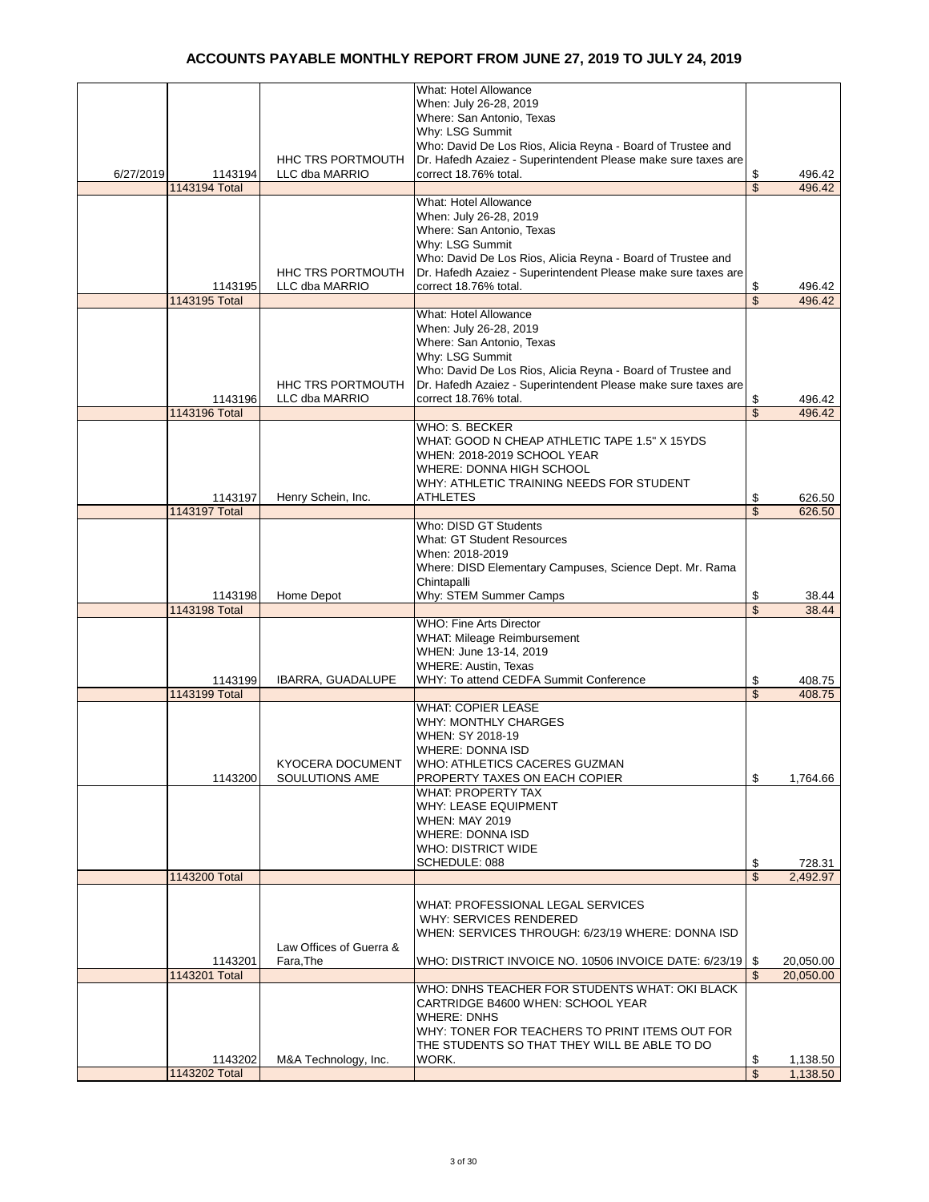|           |               |                          | What: Hotel Allowance                                         |                         |           |
|-----------|---------------|--------------------------|---------------------------------------------------------------|-------------------------|-----------|
|           |               |                          | When: July 26-28, 2019                                        |                         |           |
|           |               |                          | Where: San Antonio, Texas                                     |                         |           |
|           |               |                          | Why: LSG Summit                                               |                         |           |
|           |               |                          | Who: David De Los Rios, Alicia Reyna - Board of Trustee and   |                         |           |
|           |               |                          |                                                               |                         |           |
|           |               | HHC TRS PORTMOUTH        | Dr. Hafedh Azaiez - Superintendent Please make sure taxes are |                         |           |
| 6/27/2019 | 1143194       | LLC dba MARRIO           | correct 18.76% total.                                         | \$                      | 496.42    |
|           | 1143194 Total |                          |                                                               | \$                      | 496.42    |
|           |               |                          | <b>What: Hotel Allowance</b>                                  |                         |           |
|           |               |                          | When: July 26-28, 2019                                        |                         |           |
|           |               |                          | Where: San Antonio, Texas                                     |                         |           |
|           |               |                          | Why: LSG Summit                                               |                         |           |
|           |               |                          | Who: David De Los Rios, Alicia Reyna - Board of Trustee and   |                         |           |
|           |               | <b>HHC TRS PORTMOUTH</b> | Dr. Hafedh Azaiez - Superintendent Please make sure taxes are |                         |           |
|           | 1143195       | LLC dba MARRIO           | correct 18.76% total.                                         | \$                      | 496.42    |
|           | 1143195 Total |                          |                                                               | \$                      | 496.42    |
|           |               |                          | What: Hotel Allowance                                         |                         |           |
|           |               |                          |                                                               |                         |           |
|           |               |                          | When: July 26-28, 2019                                        |                         |           |
|           |               |                          | Where: San Antonio, Texas                                     |                         |           |
|           |               |                          | Why: LSG Summit                                               |                         |           |
|           |               |                          | Who: David De Los Rios, Alicia Reyna - Board of Trustee and   |                         |           |
|           |               | <b>HHC TRS PORTMOUTH</b> | Dr. Hafedh Azaiez - Superintendent Please make sure taxes are |                         |           |
|           | 1143196       | LLC dba MARRIO           | correct 18.76% total.                                         | \$                      | 496.42    |
|           | 1143196 Total |                          |                                                               | \$                      | 496.42    |
|           |               |                          | WHO: S. BECKER                                                |                         |           |
|           |               |                          | WHAT: GOOD N CHEAP ATHLETIC TAPE 1.5" X 15YDS                 |                         |           |
|           |               |                          | WHEN: 2018-2019 SCHOOL YEAR                                   |                         |           |
|           |               |                          | WHERE: DONNA HIGH SCHOOL                                      |                         |           |
|           |               |                          |                                                               |                         |           |
|           |               |                          | WHY: ATHLETIC TRAINING NEEDS FOR STUDENT                      |                         |           |
|           | 1143197       | Henry Schein, Inc.       | <b>ATHLETES</b>                                               | \$                      | 626.50    |
|           | 1143197 Total |                          |                                                               | \$                      | 626.50    |
|           |               |                          | Who: DISD GT Students                                         |                         |           |
|           |               |                          | <b>What: GT Student Resources</b>                             |                         |           |
|           |               |                          | When: 2018-2019                                               |                         |           |
|           |               |                          | Where: DISD Elementary Campuses, Science Dept. Mr. Rama       |                         |           |
|           |               |                          |                                                               |                         |           |
|           |               |                          |                                                               |                         |           |
|           |               |                          | Chintapalli                                                   |                         |           |
|           | 1143198       | Home Depot               | Why: STEM Summer Camps                                        | \$                      | 38.44     |
|           | 1143198 Total |                          |                                                               | $\overline{\mathbb{S}}$ | 38.44     |
|           |               |                          | <b>WHO: Fine Arts Director</b>                                |                         |           |
|           |               |                          | WHAT: Mileage Reimbursement                                   |                         |           |
|           |               |                          | WHEN: June 13-14, 2019                                        |                         |           |
|           |               |                          | <b>WHERE: Austin, Texas</b>                                   |                         |           |
|           | 1143199       | IBARRA, GUADALUPE        | WHY: To attend CEDFA Summit Conference                        | \$                      | 408.75    |
|           | 1143199 Total |                          |                                                               | \$                      | 408.75    |
|           |               |                          | <b>WHAT: COPIER LEASE</b>                                     |                         |           |
|           |               |                          | <b>WHY: MONTHLY CHARGES</b>                                   |                         |           |
|           |               |                          |                                                               |                         |           |
|           |               |                          | WHEN: SY 2018-19                                              |                         |           |
|           |               |                          | <b>WHERE: DONNA ISD</b>                                       |                         |           |
|           |               | KYOCERA DOCUMENT         | WHO: ATHLETICS CACERES GUZMAN                                 |                         |           |
|           | 1143200       | SOULUTIONS AME           | PROPERTY TAXES ON EACH COPIER                                 | \$                      | 1,764.66  |
|           |               |                          | <b>WHAT: PROPERTY TAX</b>                                     |                         |           |
|           |               |                          | <b>WHY: LEASE EQUIPMENT</b>                                   |                         |           |
|           |               |                          | <b>WHEN: MAY 2019</b>                                         |                         |           |
|           |               |                          | <b>WHERE: DONNA ISD</b>                                       |                         |           |
|           |               |                          | <b>WHO: DISTRICT WIDE</b>                                     |                         |           |
|           |               |                          | SCHEDULE: 088                                                 | \$                      | 728.31    |
|           | 1143200 Total |                          |                                                               | \$                      | 2,492.97  |
|           |               |                          |                                                               |                         |           |
|           |               |                          | WHAT: PROFESSIONAL LEGAL SERVICES                             |                         |           |
|           |               |                          |                                                               |                         |           |
|           |               |                          | WHY: SERVICES RENDERED                                        |                         |           |
|           |               |                          | WHEN: SERVICES THROUGH: 6/23/19 WHERE: DONNA ISD              |                         |           |
|           |               | Law Offices of Guerra &  |                                                               |                         |           |
|           | 1143201       | Fara, The                | WHO: DISTRICT INVOICE NO. 10506 INVOICE DATE: 6/23/19   \$    |                         | 20,050.00 |
|           | 1143201 Total |                          |                                                               | \$                      | 20,050.00 |
|           |               |                          | WHO: DNHS TEACHER FOR STUDENTS WHAT: OKI BLACK                |                         |           |
|           |               |                          | CARTRIDGE B4600 WHEN: SCHOOL YEAR                             |                         |           |
|           |               |                          | <b>WHERE: DNHS</b>                                            |                         |           |
|           |               |                          | WHY: TONER FOR TEACHERS TO PRINT ITEMS OUT FOR                |                         |           |
|           |               |                          | THE STUDENTS SO THAT THEY WILL BE ABLE TO DO                  |                         |           |
|           | 1143202       | M&A Technology, Inc.     | WORK.                                                         | \$                      | 1,138.50  |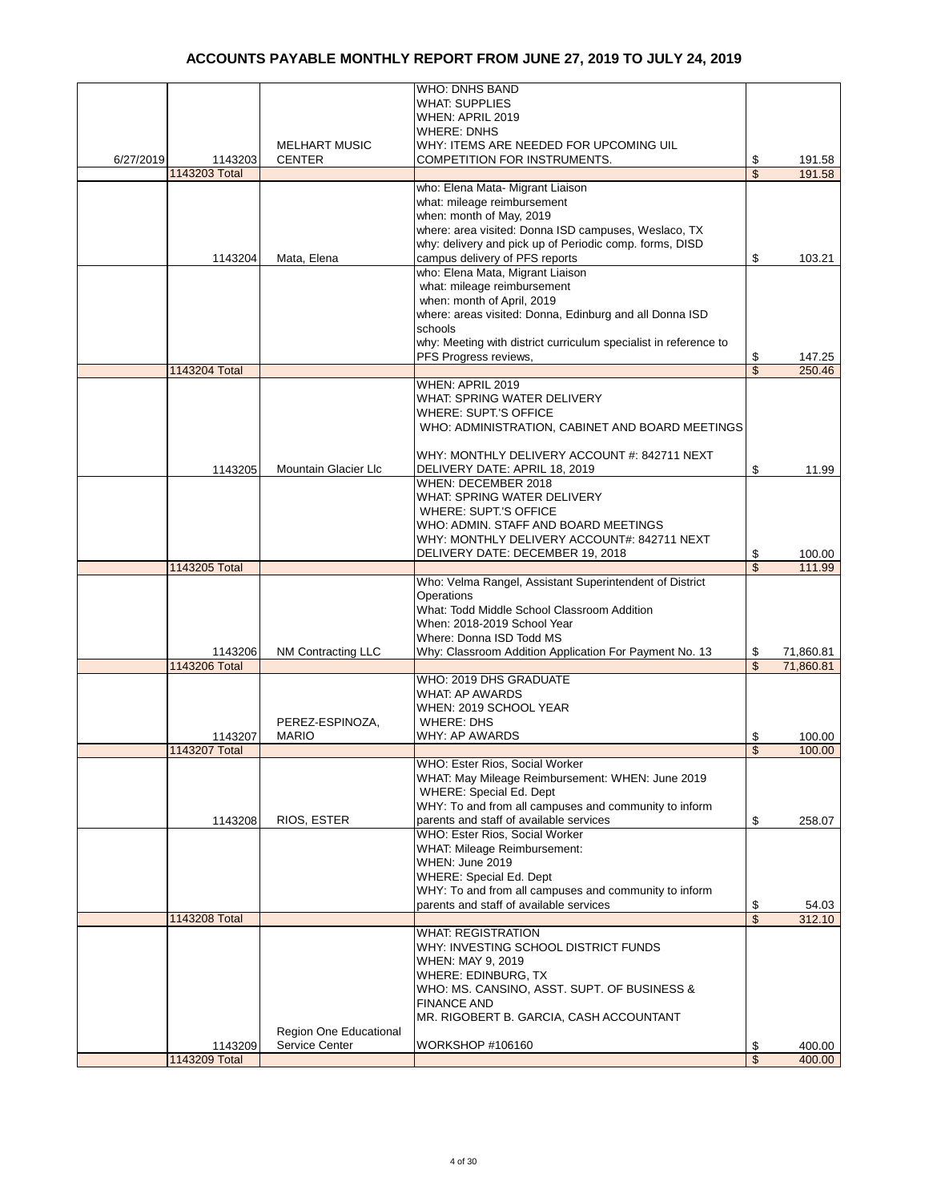|           |               |                        | <b>WHO: DNHS BAND</b>                                            |          |                  |
|-----------|---------------|------------------------|------------------------------------------------------------------|----------|------------------|
|           |               |                        | <b>WHAT: SUPPLIES</b>                                            |          |                  |
|           |               |                        | WHEN: APRIL 2019                                                 |          |                  |
|           |               |                        |                                                                  |          |                  |
|           |               |                        | <b>WHERE: DNHS</b>                                               |          |                  |
|           |               | <b>MELHART MUSIC</b>   | WHY: ITEMS ARE NEEDED FOR UPCOMING UIL                           |          |                  |
| 6/27/2019 | 1143203       | <b>CENTER</b>          | COMPETITION FOR INSTRUMENTS.                                     | \$       | 191.58           |
|           | 1143203 Total |                        |                                                                  | \$       | 191.58           |
|           |               |                        | who: Elena Mata- Migrant Liaison                                 |          |                  |
|           |               |                        | what: mileage reimbursement                                      |          |                  |
|           |               |                        | when: month of May, 2019                                         |          |                  |
|           |               |                        |                                                                  |          |                  |
|           |               |                        | where: area visited: Donna ISD campuses, Weslaco, TX             |          |                  |
|           |               |                        | why: delivery and pick up of Periodic comp. forms, DISD          |          |                  |
|           | 1143204       | Mata, Elena            | campus delivery of PFS reports                                   | \$       | 103.21           |
|           |               |                        | who: Elena Mata, Migrant Liaison                                 |          |                  |
|           |               |                        | what: mileage reimbursement                                      |          |                  |
|           |               |                        | when: month of April, 2019                                       |          |                  |
|           |               |                        | where: areas visited: Donna, Edinburg and all Donna ISD          |          |                  |
|           |               |                        | schools                                                          |          |                  |
|           |               |                        |                                                                  |          |                  |
|           |               |                        | why: Meeting with district curriculum specialist in reference to |          |                  |
|           |               |                        | PFS Progress reviews,                                            | \$       | 147.25           |
|           | 1143204 Total |                        |                                                                  | \$       | 250.46           |
|           |               |                        | WHEN: APRIL 2019                                                 |          |                  |
|           |               |                        | WHAT: SPRING WATER DELIVERY                                      |          |                  |
|           |               |                        | <b>WHERE: SUPT.'S OFFICE</b>                                     |          |                  |
|           |               |                        |                                                                  |          |                  |
|           |               |                        | WHO: ADMINISTRATION, CABINET AND BOARD MEETINGS                  |          |                  |
|           |               |                        |                                                                  |          |                  |
|           |               |                        | WHY: MONTHLY DELIVERY ACCOUNT #: 842711 NEXT                     |          |                  |
|           | 1143205       | Mountain Glacier Llc   | DELIVERY DATE: APRIL 18, 2019                                    | \$       | 11.99            |
|           |               |                        | WHEN: DECEMBER 2018                                              |          |                  |
|           |               |                        | WHAT: SPRING WATER DELIVERY                                      |          |                  |
|           |               |                        | <b>WHERE: SUPT.'S OFFICE</b>                                     |          |                  |
|           |               |                        |                                                                  |          |                  |
|           |               |                        | WHO: ADMIN. STAFF AND BOARD MEETINGS                             |          |                  |
|           |               |                        | WHY: MONTHLY DELIVERY ACCOUNT#: 842711 NEXT                      |          |                  |
|           |               |                        | DELIVERY DATE: DECEMBER 19, 2018                                 | \$       | 100.00           |
|           | 1143205 Total |                        |                                                                  | \$       | 111.99           |
|           |               |                        | Who: Velma Rangel, Assistant Superintendent of District          |          |                  |
|           |               |                        | Operations                                                       |          |                  |
|           |               |                        | What: Todd Middle School Classroom Addition                      |          |                  |
|           |               |                        | When: 2018-2019 School Year                                      |          |                  |
|           |               |                        |                                                                  |          |                  |
|           |               |                        | Where: Donna ISD Todd MS                                         |          |                  |
|           | 1143206       | NM Contracting LLC     | Why: Classroom Addition Application For Payment No. 13           | \$       | 71,860.81        |
|           | 1143206 Total |                        |                                                                  | \$       | 71,860.81        |
|           |               |                        | WHO: 2019 DHS GRADUATE                                           |          |                  |
|           |               |                        | <b>WHAT: AP AWARDS</b>                                           |          |                  |
|           |               |                        | WHEN: 2019 SCHOOL YEAR                                           |          |                  |
|           |               | PEREZ-ESPINOZA,        | <b>WHERE: DHS</b>                                                |          |                  |
|           |               |                        |                                                                  |          |                  |
|           | 1143207       | <b>MARIO</b>           | WHY: AP AWARDS                                                   | \$       | 100.00           |
|           | 1143207 Total |                        |                                                                  | \$       | 100.00           |
|           |               |                        | WHO: Ester Rios, Social Worker                                   |          |                  |
|           |               |                        | WHAT: May Mileage Reimbursement: WHEN: June 2019                 |          |                  |
|           |               |                        | WHERE: Special Ed. Dept                                          |          |                  |
|           |               |                        | WHY: To and from all campuses and community to inform            |          |                  |
|           | 1143208       | RIOS, ESTER            | parents and staff of available services                          | \$       | 258.07           |
|           |               |                        |                                                                  |          |                  |
|           |               |                        | WHO: Ester Rios, Social Worker                                   |          |                  |
|           |               |                        | <b>WHAT: Mileage Reimbursement:</b>                              |          |                  |
|           |               |                        | WHEN: June 2019                                                  |          |                  |
|           |               |                        | <b>WHERE: Special Ed. Dept</b>                                   |          |                  |
|           |               |                        | WHY: To and from all campuses and community to inform            |          |                  |
|           |               |                        | parents and staff of available services                          | \$       | 54.03            |
|           | 1143208 Total |                        |                                                                  | \$       | 312.10           |
|           |               |                        | <b>WHAT: REGISTRATION</b>                                        |          |                  |
|           |               |                        |                                                                  |          |                  |
|           |               |                        | WHY: INVESTING SCHOOL DISTRICT FUNDS                             |          |                  |
|           |               |                        | WHEN: MAY 9, 2019                                                |          |                  |
|           |               |                        | WHERE: EDINBURG, TX                                              |          |                  |
|           |               |                        | WHO: MS. CANSINO, ASST. SUPT. OF BUSINESS &                      |          |                  |
|           |               |                        | <b>FINANCE AND</b>                                               |          |                  |
|           |               |                        | MR. RIGOBERT B. GARCIA, CASH ACCOUNTANT                          |          |                  |
|           |               | Region One Educational |                                                                  |          |                  |
|           | 1143209       | Service Center         | WORKSHOP #106160                                                 |          |                  |
|           | 1143209 Total |                        |                                                                  | \$<br>\$ | 400.00<br>400.00 |
|           |               |                        |                                                                  |          |                  |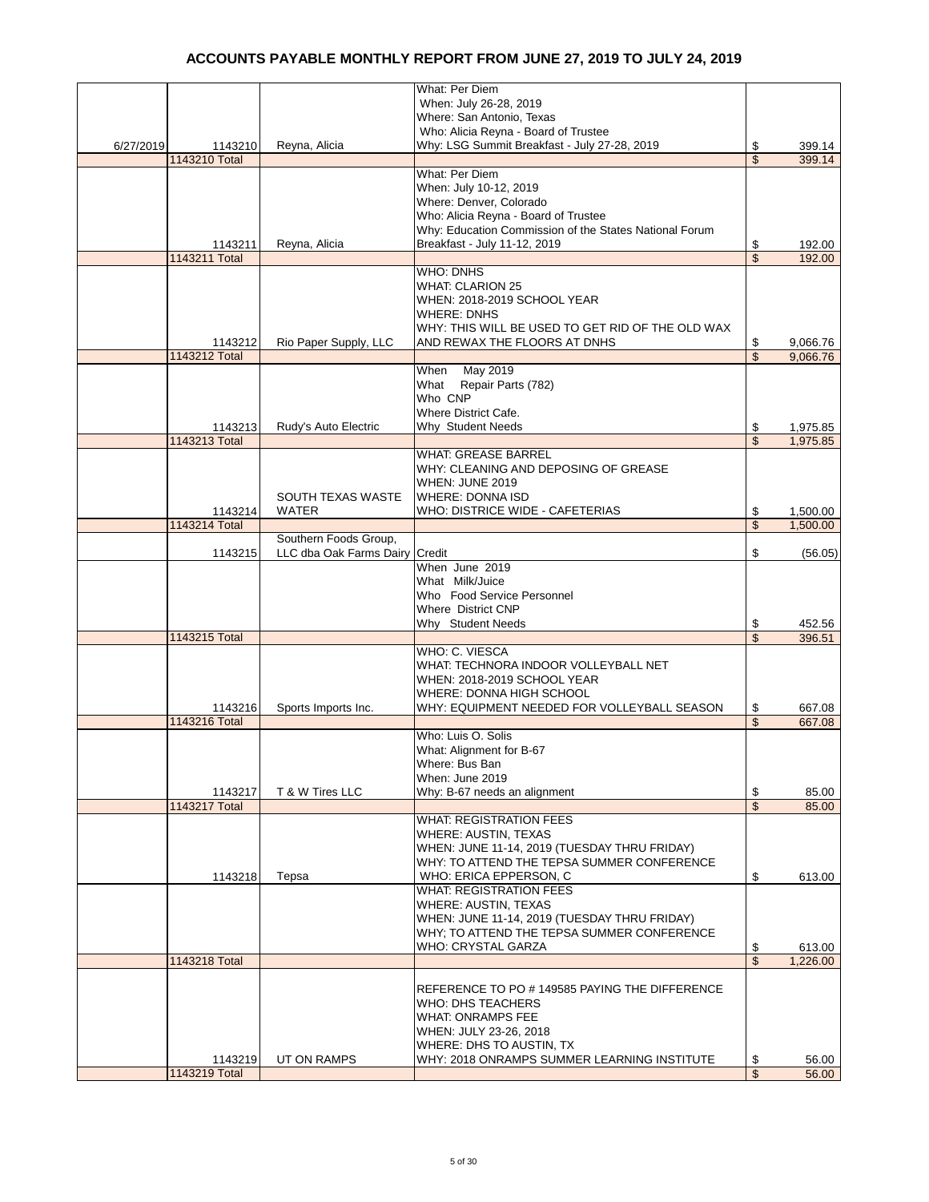|           |               |                                | <b>What: Per Diem</b>                                  |                          |          |
|-----------|---------------|--------------------------------|--------------------------------------------------------|--------------------------|----------|
|           |               |                                | When: July 26-28, 2019                                 |                          |          |
|           |               |                                | Where: San Antonio, Texas                              |                          |          |
|           |               |                                | Who: Alicia Reyna - Board of Trustee                   |                          |          |
| 6/27/2019 | 1143210       | Reyna, Alicia                  | Why: LSG Summit Breakfast - July 27-28, 2019           | \$                       | 399.14   |
|           | 1143210 Total |                                |                                                        | \$                       | 399.14   |
|           |               |                                | <b>What: Per Diem</b>                                  |                          |          |
|           |               |                                | When: July 10-12, 2019                                 |                          |          |
|           |               |                                | Where: Denver, Colorado                                |                          |          |
|           |               |                                |                                                        |                          |          |
|           |               |                                | Who: Alicia Reyna - Board of Trustee                   |                          |          |
|           |               |                                | Why: Education Commission of the States National Forum |                          |          |
|           | 1143211       | Reyna, Alicia                  | Breakfast - July 11-12, 2019                           | \$                       | 192.00   |
|           | 1143211 Total |                                |                                                        | $\overline{\mathcal{S}}$ | 192.00   |
|           |               |                                | <b>WHO: DNHS</b>                                       |                          |          |
|           |               |                                | <b>WHAT: CLARION 25</b>                                |                          |          |
|           |               |                                | WHEN: 2018-2019 SCHOOL YEAR                            |                          |          |
|           |               |                                | <b>WHERE: DNHS</b>                                     |                          |          |
|           |               |                                | WHY: THIS WILL BE USED TO GET RID OF THE OLD WAX       |                          |          |
|           | 1143212       | Rio Paper Supply, LLC          | AND REWAX THE FLOORS AT DNHS                           | \$                       | 9,066.76 |
|           | 1143212 Total |                                |                                                        | $\overline{\mathbb{S}}$  | 9,066.76 |
|           |               |                                | May 2019<br>When                                       |                          |          |
|           |               |                                | What<br>Repair Parts (782)                             |                          |          |
|           |               |                                | Who CNP                                                |                          |          |
|           |               |                                | Where District Cafe.                                   |                          |          |
|           |               |                                |                                                        |                          |          |
|           | 1143213       | Rudy's Auto Electric           | Why Student Needs                                      | \$                       | 1,975.85 |
|           | 1143213 Total |                                |                                                        | $\overline{\mathcal{S}}$ | 1,975.85 |
|           |               |                                | <b>WHAT: GREASE BARREL</b>                             |                          |          |
|           |               |                                | WHY: CLEANING AND DEPOSING OF GREASE                   |                          |          |
|           |               |                                | WHEN: JUNE 2019                                        |                          |          |
|           |               | SOUTH TEXAS WASTE              | <b>WHERE: DONNA ISD</b>                                |                          |          |
|           | 1143214       | WATER                          | WHO: DISTRICE WIDE - CAFETERIAS                        | \$                       | 1,500.00 |
|           | 1143214 Total |                                |                                                        | $\overline{\mathbb{S}}$  | 1,500.00 |
|           |               | Southern Foods Group,          |                                                        |                          |          |
|           | 1143215       | LLC dba Oak Farms Dairy Credit |                                                        | \$                       | (56.05)  |
|           |               |                                | When June 2019                                         |                          |          |
|           |               |                                | What Milk/Juice                                        |                          |          |
|           |               |                                | Who Food Service Personnel                             |                          |          |
|           |               |                                | <b>Where District CNP</b>                              |                          |          |
|           |               |                                | Why Student Needs                                      | \$                       | 452.56   |
|           | 1143215 Total |                                |                                                        | \$                       | 396.51   |
|           |               |                                | WHO: C. VIESCA                                         |                          |          |
|           |               |                                |                                                        |                          |          |
|           |               |                                | WHAT: TECHNORA INDOOR VOLLEYBALL NET                   |                          |          |
|           |               |                                | WHEN: 2018-2019 SCHOOL YEAR                            |                          |          |
|           |               |                                | WHERE: DONNA HIGH SCHOOL                               |                          |          |
|           | 1143216       | Sports Imports Inc.            | WHY: EQUIPMENT NEEDED FOR VOLLEYBALL SEASON            | \$                       | 667.08   |
|           | 1143216 Total |                                |                                                        | \$                       | 667.08   |
|           |               |                                | Who: Luis O. Solis                                     |                          |          |
|           |               |                                | What: Alignment for B-67                               |                          |          |
|           |               |                                | Where: Bus Ban                                         |                          |          |
|           |               |                                | When: June 2019                                        |                          |          |
|           | 1143217       | T & W Tires LLC                | Why: B-67 needs an alignment                           | \$                       | 85.00    |
|           | 1143217 Total |                                |                                                        | $\overline{\mathbb{S}}$  | 85.00    |
|           |               |                                | <b>WHAT: REGISTRATION FEES</b>                         |                          |          |
|           |               |                                | <b>WHERE: AUSTIN, TEXAS</b>                            |                          |          |
|           |               |                                | WHEN: JUNE 11-14, 2019 (TUESDAY THRU FRIDAY)           |                          |          |
|           |               |                                |                                                        |                          |          |
|           |               |                                | WHY: TO ATTEND THE TEPSA SUMMER CONFERENCE             |                          |          |
|           | 1143218       | Tepsa                          | WHO: ERICA EPPERSON, C                                 | \$                       | 613.00   |
|           |               |                                | <b>WHAT: REGISTRATION FEES</b>                         |                          |          |
|           |               |                                | WHERE: AUSTIN, TEXAS                                   |                          |          |
|           |               |                                | WHEN: JUNE 11-14, 2019 (TUESDAY THRU FRIDAY)           |                          |          |
|           |               |                                | WHY: TO ATTEND THE TEPSA SUMMER CONFERENCE             |                          |          |
|           |               |                                | WHO: CRYSTAL GARZA                                     | \$                       | 613.00   |
|           | 1143218 Total |                                |                                                        | $\overline{\mathbb{S}}$  | 1,226.00 |
|           |               |                                |                                                        |                          |          |
|           |               |                                | REFERENCE TO PO # 149585 PAYING THE DIFFERENCE         |                          |          |
|           |               |                                | <b>WHO: DHS TEACHERS</b>                               |                          |          |
|           |               |                                | <b>WHAT: ONRAMPS FEE</b>                               |                          |          |
|           |               |                                | WHEN: JULY 23-26, 2018                                 |                          |          |
|           |               |                                | WHERE: DHS TO AUSTIN, TX                               |                          |          |
|           | 1143219       | UT ON RAMPS                    | WHY: 2018 ONRAMPS SUMMER LEARNING INSTITUTE            | \$                       | 56.00    |
|           |               |                                |                                                        | $\sqrt{3}$               |          |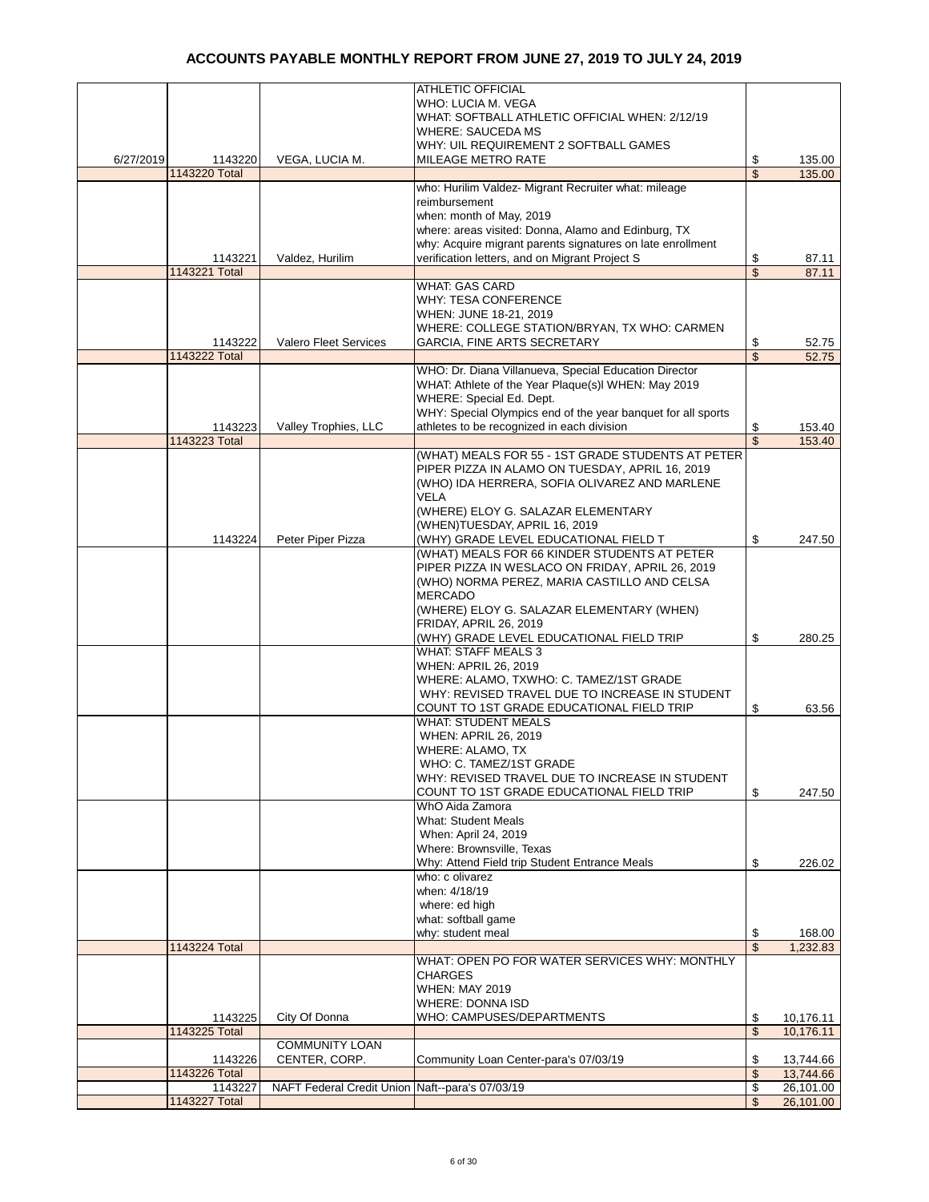|           |               |                                                 | <b>ATHLETIC OFFICIAL</b>                                     |                         |           |
|-----------|---------------|-------------------------------------------------|--------------------------------------------------------------|-------------------------|-----------|
|           |               |                                                 | WHO: LUCIA M. VEGA                                           |                         |           |
|           |               |                                                 | WHAT: SOFTBALL ATHLETIC OFFICIAL WHEN: 2/12/19               |                         |           |
|           |               |                                                 | <b>WHERE: SAUCEDA MS</b>                                     |                         |           |
|           |               |                                                 | WHY: UIL REQUIREMENT 2 SOFTBALL GAMES                        |                         |           |
| 6/27/2019 | 1143220       | VEGA, LUCIA M.                                  | <b>MILEAGE METRO RATE</b>                                    | \$                      | 135.00    |
|           | 1143220 Total |                                                 |                                                              | $\overline{\mathbb{S}}$ | 135.00    |
|           |               |                                                 | who: Hurilim Valdez- Migrant Recruiter what: mileage         |                         |           |
|           |               |                                                 | reimbursement                                                |                         |           |
|           |               |                                                 |                                                              |                         |           |
|           |               |                                                 | when: month of May, 2019                                     |                         |           |
|           |               |                                                 | where: areas visited: Donna, Alamo and Edinburg, TX          |                         |           |
|           |               |                                                 | why: Acquire migrant parents signatures on late enrollment   |                         |           |
|           | 1143221       | Valdez, Hurilim                                 | verification letters, and on Migrant Project S               | \$                      | 87.11     |
|           | 1143221 Total |                                                 |                                                              | \$                      | 87.11     |
|           |               |                                                 | <b>WHAT: GAS CARD</b>                                        |                         |           |
|           |               |                                                 | <b>WHY: TESA CONFERENCE</b>                                  |                         |           |
|           |               |                                                 | WHEN: JUNE 18-21, 2019                                       |                         |           |
|           |               |                                                 | WHERE: COLLEGE STATION/BRYAN, TX WHO: CARMEN                 |                         |           |
|           | 1143222       | <b>Valero Fleet Services</b>                    | <b>GARCIA, FINE ARTS SECRETARY</b>                           | \$                      | 52.75     |
|           | 1143222 Total |                                                 |                                                              | \$                      | 52.75     |
|           |               |                                                 | WHO: Dr. Diana Villanueva, Special Education Director        |                         |           |
|           |               |                                                 |                                                              |                         |           |
|           |               |                                                 | WHAT: Athlete of the Year Plaque(s)I WHEN: May 2019          |                         |           |
|           |               |                                                 | WHERE: Special Ed. Dept.                                     |                         |           |
|           |               |                                                 | WHY: Special Olympics end of the year banquet for all sports |                         |           |
|           | 1143223       | Valley Trophies, LLC                            | athletes to be recognized in each division                   | \$                      | 153.40    |
|           | 1143223 Total |                                                 |                                                              | \$                      | 153.40    |
|           |               |                                                 | (WHAT) MEALS FOR 55 - 1ST GRADE STUDENTS AT PETER            |                         |           |
|           |               |                                                 | PIPER PIZZA IN ALAMO ON TUESDAY, APRIL 16, 2019              |                         |           |
|           |               |                                                 | (WHO) IDA HERRERA, SOFIA OLIVAREZ AND MARLENE                |                         |           |
|           |               |                                                 | VELA                                                         |                         |           |
|           |               |                                                 | (WHERE) ELOY G. SALAZAR ELEMENTARY                           |                         |           |
|           |               |                                                 |                                                              |                         |           |
|           |               |                                                 | (WHEN)TUESDAY, APRIL 16, 2019                                |                         |           |
|           | 1143224       | Peter Piper Pizza                               | (WHY) GRADE LEVEL EDUCATIONAL FIELD T                        | \$                      | 247.50    |
|           |               |                                                 | (WHAT) MEALS FOR 66 KINDER STUDENTS AT PETER                 |                         |           |
|           |               |                                                 | PIPER PIZZA IN WESLACO ON FRIDAY, APRIL 26, 2019             |                         |           |
|           |               |                                                 | (WHO) NORMA PEREZ, MARIA CASTILLO AND CELSA                  |                         |           |
|           |               |                                                 | <b>MERCADO</b>                                               |                         |           |
|           |               |                                                 | (WHERE) ELOY G. SALAZAR ELEMENTARY (WHEN)                    |                         |           |
|           |               |                                                 | FRIDAY, APRIL 26, 2019                                       |                         |           |
|           |               |                                                 | (WHY) GRADE LEVEL EDUCATIONAL FIELD TRIP                     | \$                      | 280.25    |
|           |               |                                                 | <b>WHAT: STAFF MEALS 3</b>                                   |                         |           |
|           |               |                                                 | <b>WHEN: APRIL 26, 2019</b>                                  |                         |           |
|           |               |                                                 |                                                              |                         |           |
|           |               |                                                 | WHERE: ALAMO, TXWHO: C. TAMEZ/1ST GRADE                      |                         |           |
|           |               |                                                 | WHY: REVISED TRAVEL DUE TO INCREASE IN STUDENT               |                         |           |
|           |               |                                                 | COUNT TO 1ST GRADE EDUCATIONAL FIELD TRIP                    | \$                      | 63.56     |
|           |               |                                                 | <b>WHAT: STUDENT MEALS</b>                                   |                         |           |
|           |               |                                                 | <b>WHEN: APRIL 26, 2019</b>                                  |                         |           |
|           |               |                                                 | WHERE: ALAMO, TX                                             |                         |           |
|           |               |                                                 | WHO: C. TAMEZ/1ST GRADE                                      |                         |           |
|           |               |                                                 | WHY: REVISED TRAVEL DUE TO INCREASE IN STUDENT               |                         |           |
|           |               |                                                 | COUNT TO 1ST GRADE EDUCATIONAL FIELD TRIP                    | \$                      | 247.50    |
|           |               |                                                 | WhO Aida Zamora                                              |                         |           |
|           |               |                                                 | <b>What: Student Meals</b>                                   |                         |           |
|           |               |                                                 | When: April 24, 2019                                         |                         |           |
|           |               |                                                 |                                                              |                         |           |
|           |               |                                                 | Where: Brownsville, Texas                                    |                         |           |
|           |               |                                                 | Why: Attend Field trip Student Entrance Meals                | \$                      | 226.02    |
|           |               |                                                 | who: c olivarez                                              |                         |           |
|           |               |                                                 | when: 4/18/19                                                |                         |           |
|           |               |                                                 | where: ed high                                               |                         |           |
|           |               |                                                 | what: softball game                                          |                         |           |
|           |               |                                                 | why: student meal                                            | \$                      | 168.00    |
|           | 1143224 Total |                                                 |                                                              | \$                      | 1,232.83  |
|           |               |                                                 | WHAT: OPEN PO FOR WATER SERVICES WHY: MONTHLY                |                         |           |
|           |               |                                                 | <b>CHARGES</b>                                               |                         |           |
|           |               |                                                 | <b>WHEN: MAY 2019</b>                                        |                         |           |
|           |               |                                                 | <b>WHERE: DONNA ISD</b>                                      |                         |           |
|           | 1143225       | City Of Donna                                   | WHO: CAMPUSES/DEPARTMENTS                                    | \$                      | 10,176.11 |
|           | 1143225 Total |                                                 |                                                              | \$                      | 10,176.11 |
|           |               | <b>COMMUNITY LOAN</b>                           |                                                              |                         |           |
|           | 1143226       | CENTER, CORP.                                   | Community Loan Center-para's 07/03/19                        | \$                      | 13,744.66 |
|           | 1143226 Total |                                                 |                                                              | \$                      | 13,744.66 |
|           |               |                                                 |                                                              |                         |           |
|           | 1143227       | NAFT Federal Credit Union Naft--para's 07/03/19 |                                                              | \$                      | 26,101.00 |
|           | 1143227 Total |                                                 |                                                              | \$                      | 26,101.00 |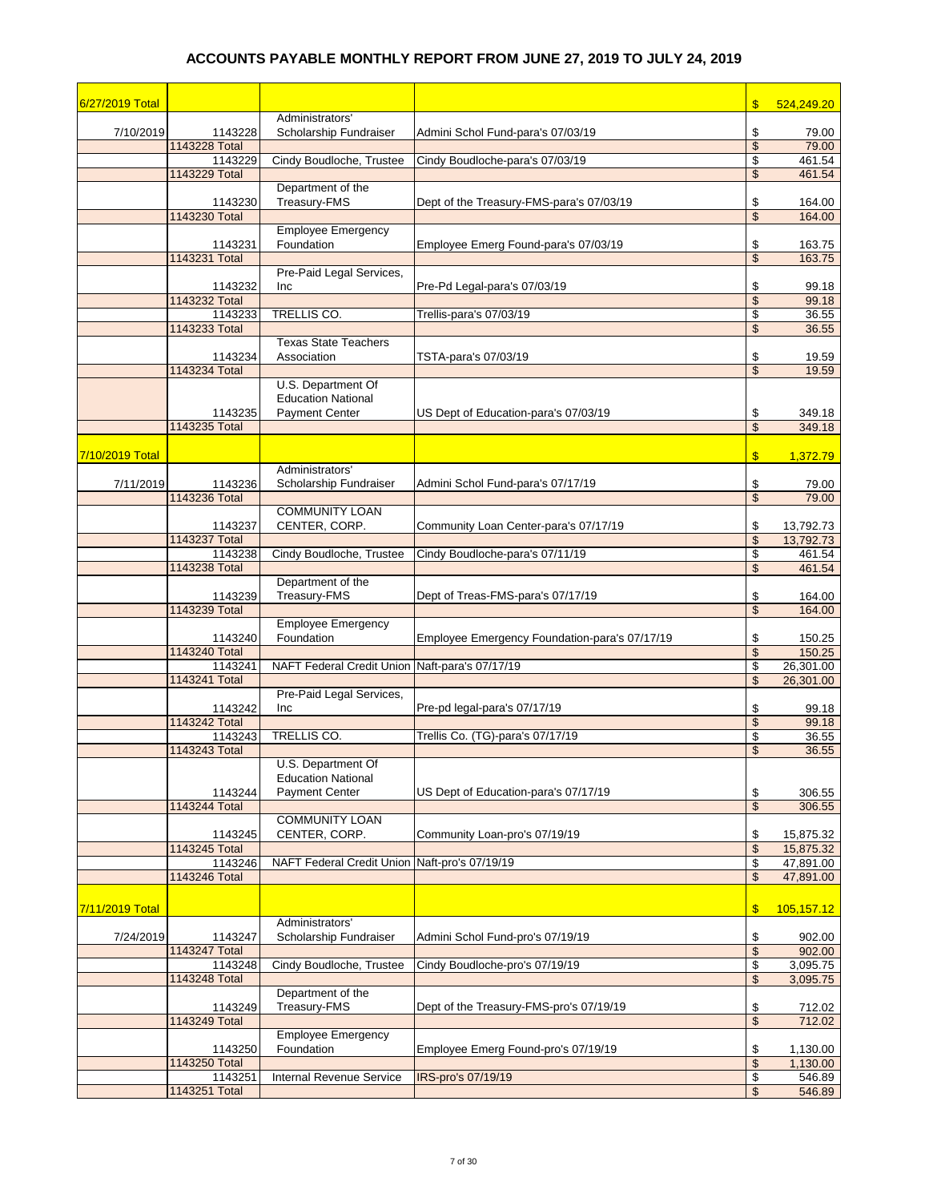| 6/27/2019 Total |                          |                                                |                                               | $\boldsymbol{\$}$        | 524,249.20          |
|-----------------|--------------------------|------------------------------------------------|-----------------------------------------------|--------------------------|---------------------|
|                 |                          | Administrators'                                |                                               |                          |                     |
| 7/10/2019       | 1143228                  | Scholarship Fundraiser                         | Admini Schol Fund-para's 07/03/19             | \$                       | 79.00               |
|                 | 1143228 Total<br>1143229 | Cindy Boudloche, Trustee                       | Cindy Boudloche-para's 07/03/19               | \$<br>\$                 | 79.00<br>461.54     |
|                 | 1143229 Total            |                                                |                                               | \$                       | 461.54              |
|                 |                          | Department of the                              |                                               |                          |                     |
|                 | 1143230                  | Treasury-FMS                                   | Dept of the Treasury-FMS-para's 07/03/19      | \$                       | 164.00              |
|                 | 1143230 Total            |                                                |                                               | \$                       | 164.00              |
|                 |                          | Employee Emergency                             |                                               |                          |                     |
|                 | 1143231<br>1143231 Total | Foundation                                     | Employee Emerg Found-para's 07/03/19          | \$<br>$\mathfrak{s}$     | 163.75<br>163.75    |
|                 |                          | Pre-Paid Legal Services,                       |                                               |                          |                     |
|                 | 1143232                  | Inc                                            | Pre-Pd Legal-para's 07/03/19                  | \$                       | 99.18               |
|                 | 1143232 Total            |                                                |                                               | \$                       | 99.18               |
|                 | 1143233                  | TRELLIS CO.                                    | Trellis-para's 07/03/19                       | \$                       | 36.55               |
|                 | 1143233 Total            | <b>Texas State Teachers</b>                    |                                               | \$                       | 36.55               |
|                 | 1143234                  | Association                                    | TSTA-para's 07/03/19                          | \$                       | 19.59               |
|                 | 1143234 Total            |                                                |                                               | \$                       | 19.59               |
|                 |                          | U.S. Department Of                             |                                               |                          |                     |
|                 |                          | <b>Education National</b>                      |                                               |                          |                     |
|                 | 1143235                  | <b>Payment Center</b>                          | US Dept of Education-para's 07/03/19          | \$                       | 349.18              |
|                 | 1143235 Total            |                                                |                                               | \$                       | 349.18              |
| 7/10/2019 Total |                          |                                                |                                               | $\mathsf{\$}$            | 1,372.79            |
|                 |                          | Administrators'                                |                                               |                          |                     |
| 7/11/2019       | 1143236                  | Scholarship Fundraiser                         | Admini Schol Fund-para's 07/17/19             | \$                       | 79.00               |
|                 | 1143236 Total            |                                                |                                               | $\overline{\mathcal{S}}$ | 79.00               |
|                 |                          | <b>COMMUNITY LOAN</b>                          |                                               |                          |                     |
|                 | 1143237                  | CENTER, CORP.                                  | Community Loan Center-para's 07/17/19         | \$                       | 13,792.73           |
|                 | 1143237 Total<br>1143238 | Cindy Boudloche, Trustee                       | Cindy Boudloche-para's 07/11/19               | \$<br>\$                 | 13,792.73<br>461.54 |
|                 | 1143238 Total            |                                                |                                               | $\mathfrak{s}$           | 461.54              |
|                 |                          | Department of the                              |                                               |                          |                     |
|                 | 1143239                  | Treasury-FMS                                   | Dept of Treas-FMS-para's 07/17/19             | \$                       | 164.00              |
|                 | 1143239 Total            |                                                |                                               | \$                       | 164.00              |
|                 |                          | <b>Employee Emergency</b>                      |                                               |                          |                     |
|                 | 1143240<br>1143240 Total | Foundation                                     | Employee Emergency Foundation-para's 07/17/19 | \$<br>$\mathfrak{s}$     | 150.25<br>150.25    |
|                 | 1143241                  | NAFT Federal Credit Union Naft-para's 07/17/19 |                                               | \$                       | 26,301.00           |
|                 | 1143241 Total            |                                                |                                               | \$                       | 26,301.00           |
|                 |                          | Pre-Paid Legal Services,                       |                                               |                          |                     |
|                 | 1143242                  | Inc                                            | Pre-pd legal-para's 07/17/19                  | \$                       | 99.18               |
|                 | 1143242 Total<br>1143243 | TRELLIS CO.                                    | Trellis Co. (TG)-para's 07/17/19              | $\mathfrak{s}$<br>\$     | 99.18<br>36.55      |
|                 | 1143243 Total            |                                                |                                               | $\mathfrak{s}$           | 36.55               |
|                 |                          | U.S. Department Of                             |                                               |                          |                     |
|                 |                          | <b>Education National</b>                      |                                               |                          |                     |
|                 | 1143244                  | <b>Payment Center</b>                          | US Dept of Education-para's 07/17/19          | $\frac{1}{2}$            | 306.55              |
|                 | 1143244 Total            |                                                |                                               | $\mathsf{\$}$            | 306.55              |
|                 | 1143245                  | <b>COMMUNITY LOAN</b><br>CENTER, CORP.         | Community Loan-pro's 07/19/19                 | \$                       | 15,875.32           |
|                 | 1143245 Total            |                                                |                                               | \$                       | 15,875.32           |
|                 | 1143246                  | <b>NAFT Federal Credit Union</b>               | Naft-pro's 07/19/19                           | \$                       | 47,891.00           |
|                 | 1143246 Total            |                                                |                                               | \$                       | 47,891.00           |
|                 |                          |                                                |                                               |                          |                     |
| 7/11/2019 Total |                          |                                                |                                               | $\mathbf{\$}$            | 105,157.12          |
|                 |                          | Administrators'                                |                                               |                          |                     |
| 7/24/2019       | 1143247<br>1143247 Total | Scholarship Fundraiser                         | Admini Schol Fund-pro's 07/19/19              | \$<br>\$                 | 902.00<br>902.00    |
|                 | 1143248                  | Cindy Boudloche, Trustee                       | Cindy Boudloche-pro's 07/19/19                | \$                       | 3,095.75            |
|                 | 1143248 Total            |                                                |                                               | \$                       | 3,095.75            |
|                 |                          | Department of the                              |                                               |                          |                     |
|                 | 1143249                  | Treasury-FMS                                   | Dept of the Treasury-FMS-pro's 07/19/19       | \$                       | 712.02              |
|                 | 1143249 Total            |                                                |                                               | \$                       | 712.02              |
|                 | 1143250                  | <b>Employee Emergency</b><br>Foundation        | Employee Emerg Found-pro's 07/19/19           | \$                       | 1,130.00            |
|                 | 1143250 Total            |                                                |                                               | $\mathfrak{s}$           | 1,130.00            |
|                 | 1143251                  | Internal Revenue Service                       | IRS-pro's 07/19/19                            | \$                       | 546.89              |
|                 | 1143251 Total            |                                                |                                               | $\mathsf{\$}$            | 546.89              |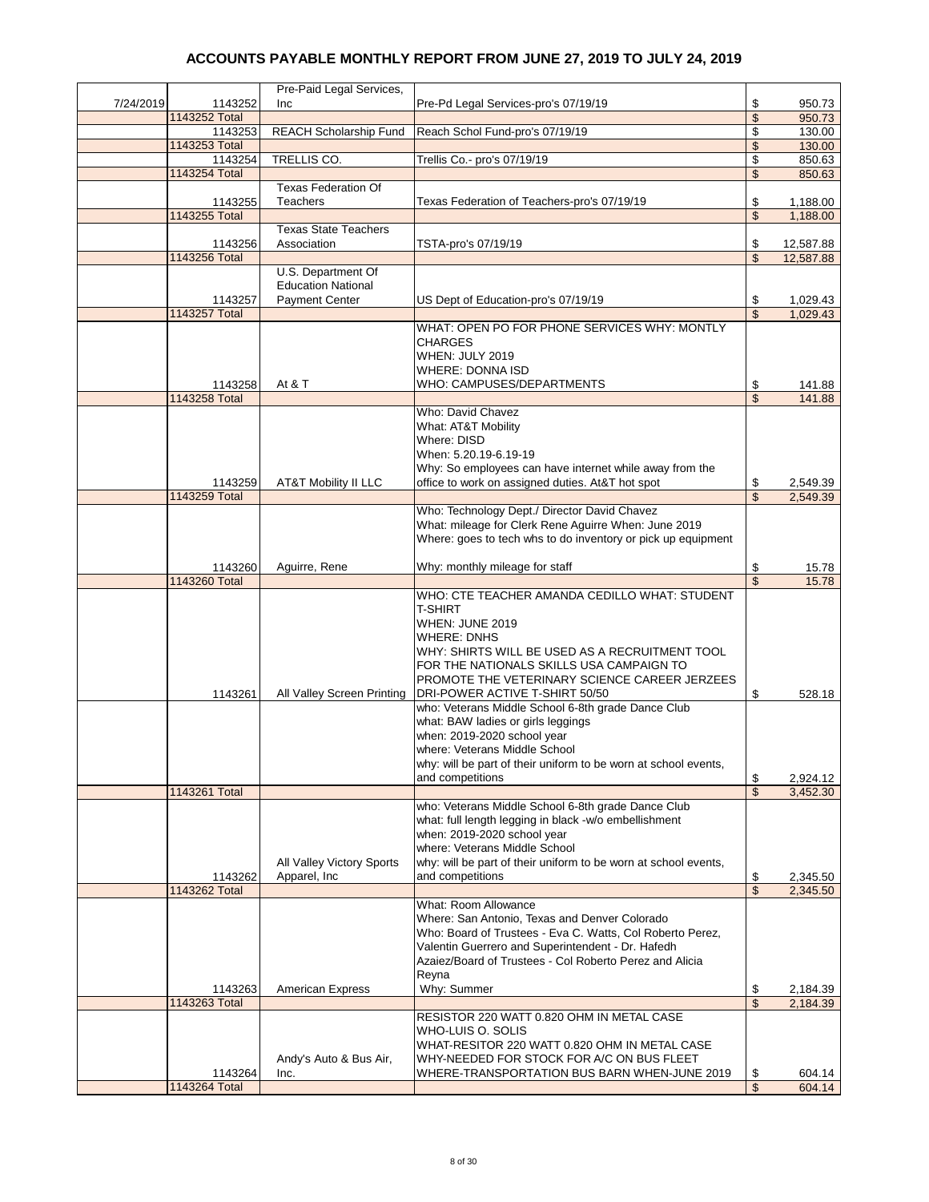|           |                          | Pre-Paid Legal Services,                        |                                                                                                            |                               |                  |
|-----------|--------------------------|-------------------------------------------------|------------------------------------------------------------------------------------------------------------|-------------------------------|------------------|
| 7/24/2019 | 1143252                  | Inc                                             | Pre-Pd Legal Services-pro's 07/19/19                                                                       | \$                            | 950.73           |
|           | 1143252 Total            |                                                 |                                                                                                            | $\mathfrak{s}$                | 950.73           |
|           | 1143253                  | <b>REACH Scholarship Fund</b>                   | Reach Schol Fund-pro's 07/19/19                                                                            | \$                            | 130.00           |
|           | 1143253 Total<br>1143254 | <b>TRELLIS CO.</b>                              | Trellis Co.- pro's 07/19/19                                                                                | \$<br>\$                      | 130.00<br>850.63 |
|           | 1143254 Total            |                                                 |                                                                                                            | $\mathfrak{s}$                | 850.63           |
|           |                          | <b>Texas Federation Of</b>                      |                                                                                                            |                               |                  |
|           | 1143255                  | <b>Teachers</b>                                 | Texas Federation of Teachers-pro's 07/19/19                                                                | \$                            | 1,188.00         |
|           | 1143255 Total            |                                                 |                                                                                                            | \$                            | 1,188.00         |
|           |                          | <b>Texas State Teachers</b>                     |                                                                                                            |                               |                  |
|           | 1143256                  | Association                                     | TSTA-pro's 07/19/19                                                                                        | \$                            | 12,587.88        |
|           | 1143256 Total            |                                                 |                                                                                                            | \$                            | 12,587.88        |
|           |                          | U.S. Department Of<br><b>Education National</b> |                                                                                                            |                               |                  |
|           | 1143257                  | <b>Payment Center</b>                           | US Dept of Education-pro's 07/19/19                                                                        | \$                            | 1,029.43         |
|           | 1143257 Total            |                                                 |                                                                                                            | $\overline{\mathcal{S}}$      | 1,029.43         |
|           |                          |                                                 | WHAT: OPEN PO FOR PHONE SERVICES WHY: MONTLY                                                               |                               |                  |
|           |                          |                                                 | <b>CHARGES</b>                                                                                             |                               |                  |
|           |                          |                                                 | WHEN: JULY 2019                                                                                            |                               |                  |
|           |                          |                                                 | <b>WHERE: DONNA ISD</b>                                                                                    |                               |                  |
|           | 1143258                  | At & T                                          | WHO: CAMPUSES/DEPARTMENTS                                                                                  | \$                            | 141.88           |
|           | 1143258 Total            |                                                 | Who: David Chavez                                                                                          | $\mathfrak{S}$                | 141.88           |
|           |                          |                                                 | What: AT&T Mobility                                                                                        |                               |                  |
|           |                          |                                                 | Where: DISD                                                                                                |                               |                  |
|           |                          |                                                 | When: 5.20.19-6.19-19                                                                                      |                               |                  |
|           |                          |                                                 | Why: So employees can have internet while away from the                                                    |                               |                  |
|           | 1143259                  | <b>AT&amp;T Mobility II LLC</b>                 | office to work on assigned duties. At&T hot spot                                                           | \$                            | 2,549.39         |
|           | 1143259 Total            |                                                 |                                                                                                            | \$                            | 2,549.39         |
|           |                          |                                                 | Who: Technology Dept./ Director David Chavez                                                               |                               |                  |
|           |                          |                                                 | What: mileage for Clerk Rene Aguirre When: June 2019                                                       |                               |                  |
|           |                          |                                                 | Where: goes to tech whs to do inventory or pick up equipment                                               |                               |                  |
|           | 1143260                  | Aguirre, Rene                                   | Why: monthly mileage for staff                                                                             | \$                            | 15.78            |
|           | 1143260 Total            |                                                 |                                                                                                            | \$                            | 15.78            |
|           |                          |                                                 | WHO: CTE TEACHER AMANDA CEDILLO WHAT: STUDENT                                                              |                               |                  |
|           |                          |                                                 | T-SHIRT                                                                                                    |                               |                  |
|           |                          |                                                 | WHEN: JUNE 2019                                                                                            |                               |                  |
|           |                          |                                                 | <b>WHERE: DNHS</b>                                                                                         |                               |                  |
|           |                          |                                                 | WHY: SHIRTS WILL BE USED AS A RECRUITMENT TOOL                                                             |                               |                  |
|           |                          |                                                 | FOR THE NATIONALS SKILLS USA CAMPAIGN TO<br>PROMOTE THE VETERINARY SCIENCE CAREER JERZEES                  |                               |                  |
|           | 1143261                  | All Valley Screen Printing                      | DRI-POWER ACTIVE T-SHIRT 50/50                                                                             | \$                            | 528.18           |
|           |                          |                                                 | who: Veterans Middle School 6-8th grade Dance Club                                                         |                               |                  |
|           |                          |                                                 | what: BAW ladies or girls leggings                                                                         |                               |                  |
|           |                          |                                                 | when: 2019-2020 school year                                                                                |                               |                  |
|           |                          |                                                 | where: Veterans Middle School                                                                              |                               |                  |
|           |                          |                                                 | why: will be part of their uniform to be worn at school events,                                            |                               |                  |
|           |                          |                                                 | and competitions                                                                                           | \$<br>$\overline{\mathbb{S}}$ | 2,924.12         |
|           | 1143261 Total            |                                                 | who: Veterans Middle School 6-8th grade Dance Club                                                         |                               | 3,452.30         |
|           |                          |                                                 | what: full length legging in black -w/o embellishment                                                      |                               |                  |
|           |                          |                                                 | when: 2019-2020 school year                                                                                |                               |                  |
|           |                          |                                                 | where: Veterans Middle School                                                                              |                               |                  |
|           |                          | All Valley Victory Sports                       | why: will be part of their uniform to be worn at school events,                                            |                               |                  |
|           | 1143262                  | Apparel, Inc.                                   | and competitions                                                                                           | \$                            | 2,345.50         |
|           | 1143262 Total            |                                                 |                                                                                                            | \$                            | 2,345.50         |
|           |                          |                                                 | <b>What: Room Allowance</b>                                                                                |                               |                  |
|           |                          |                                                 | Where: San Antonio, Texas and Denver Colorado<br>Who: Board of Trustees - Eva C. Watts, Col Roberto Perez, |                               |                  |
|           |                          |                                                 | Valentin Guerrero and Superintendent - Dr. Hafedh                                                          |                               |                  |
|           |                          |                                                 | Azaiez/Board of Trustees - Col Roberto Perez and Alicia                                                    |                               |                  |
|           |                          |                                                 | Reyna                                                                                                      |                               |                  |
|           | 1143263                  | <b>American Express</b>                         | Why: Summer                                                                                                | \$                            | 2,184.39         |
|           | 1143263 Total            |                                                 |                                                                                                            | $\overline{\mathcal{S}}$      | 2,184.39         |
|           |                          |                                                 | RESISTOR 220 WATT 0.820 OHM IN METAL CASE                                                                  |                               |                  |
|           |                          |                                                 | WHO-LUIS O. SOLIS<br>WHAT-RESITOR 220 WATT 0.820 OHM IN METAL CASE                                         |                               |                  |
|           |                          |                                                 |                                                                                                            |                               |                  |
|           |                          |                                                 |                                                                                                            |                               |                  |
|           | 1143264                  | Andy's Auto & Bus Air,<br>Inc.                  | WHY-NEEDED FOR STOCK FOR A/C ON BUS FLEET<br>WHERE-TRANSPORTATION BUS BARN WHEN-JUNE 2019                  | \$                            | 604.14           |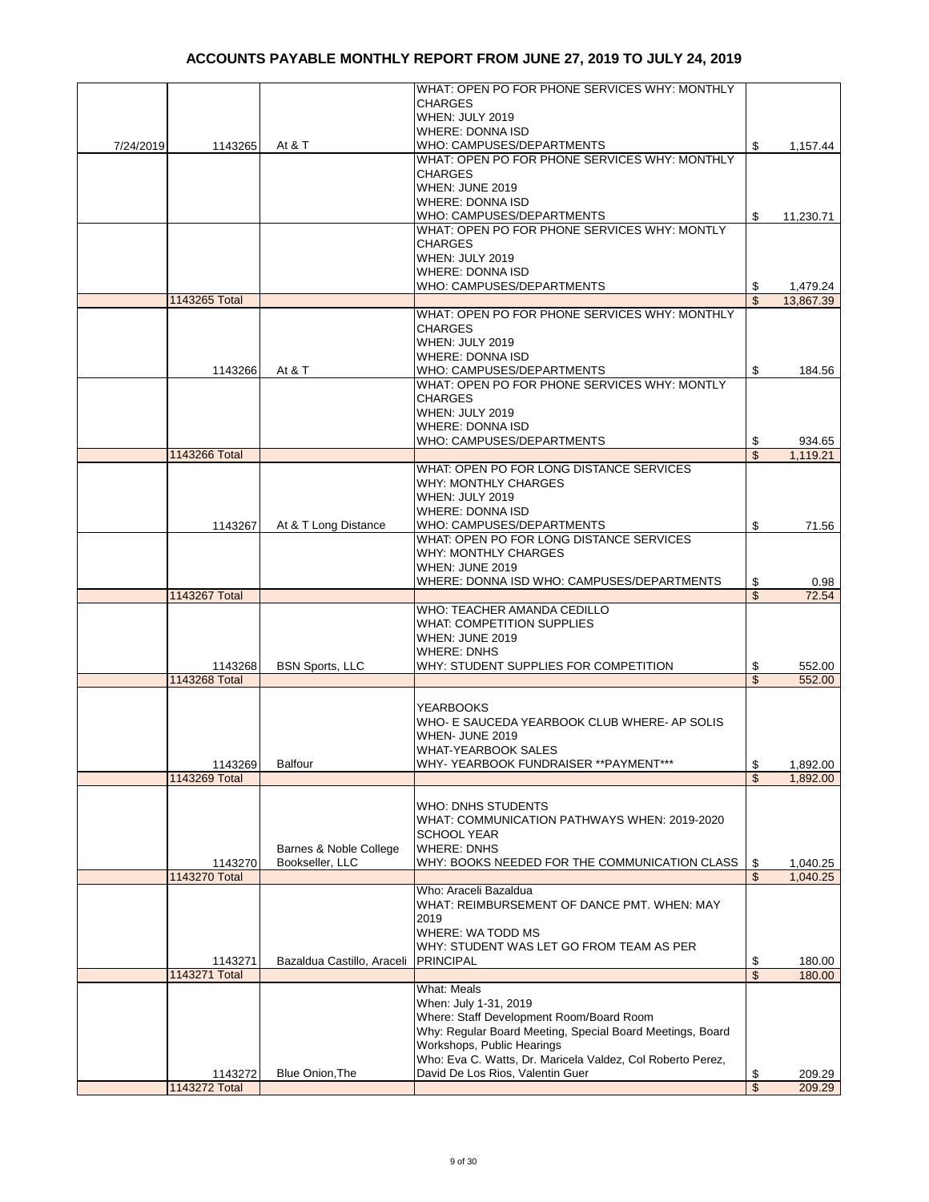|           |               |                            | WHAT: OPEN PO FOR PHONE SERVICES WHY: MONTHLY                                                  |                         |           |
|-----------|---------------|----------------------------|------------------------------------------------------------------------------------------------|-------------------------|-----------|
|           |               |                            | <b>CHARGES</b>                                                                                 |                         |           |
|           |               |                            | WHEN: JULY 2019                                                                                |                         |           |
|           |               |                            | <b>WHERE: DONNA ISD</b>                                                                        |                         |           |
| 7/24/2019 | 1143265       | At & T                     | WHO: CAMPUSES/DEPARTMENTS                                                                      | \$                      | 1,157.44  |
|           |               |                            | WHAT: OPEN PO FOR PHONE SERVICES WHY: MONTHLY                                                  |                         |           |
|           |               |                            | <b>CHARGES</b>                                                                                 |                         |           |
|           |               |                            | WHEN: JUNE 2019                                                                                |                         |           |
|           |               |                            | <b>WHERE: DONNA ISD</b>                                                                        |                         |           |
|           |               |                            | WHO: CAMPUSES/DEPARTMENTS<br>WHAT: OPEN PO FOR PHONE SERVICES WHY: MONTLY                      | \$                      | 11,230.71 |
|           |               |                            | <b>CHARGES</b>                                                                                 |                         |           |
|           |               |                            | WHEN: JULY 2019                                                                                |                         |           |
|           |               |                            | <b>WHERE: DONNA ISD</b>                                                                        |                         |           |
|           |               |                            | WHO: CAMPUSES/DEPARTMENTS                                                                      | \$                      | 1,479.24  |
|           | 1143265 Total |                            |                                                                                                | \$                      | 13,867.39 |
|           |               |                            | WHAT: OPEN PO FOR PHONE SERVICES WHY: MONTHLY                                                  |                         |           |
|           |               |                            | <b>CHARGES</b>                                                                                 |                         |           |
|           |               |                            | WHEN: JULY 2019                                                                                |                         |           |
|           |               |                            | <b>WHERE: DONNA ISD</b>                                                                        |                         |           |
|           | 1143266       | At & T                     | WHO: CAMPUSES/DEPARTMENTS                                                                      | \$                      | 184.56    |
|           |               |                            | WHAT: OPEN PO FOR PHONE SERVICES WHY: MONTLY                                                   |                         |           |
|           |               |                            | <b>CHARGES</b><br>WHEN: JULY 2019                                                              |                         |           |
|           |               |                            | <b>WHERE: DONNA ISD</b>                                                                        |                         |           |
|           |               |                            | WHO: CAMPUSES/DEPARTMENTS                                                                      | \$                      | 934.65    |
|           | 1143266 Total |                            |                                                                                                | \$                      | 1,119.21  |
|           |               |                            | WHAT: OPEN PO FOR LONG DISTANCE SERVICES                                                       |                         |           |
|           |               |                            | <b>WHY: MONTHLY CHARGES</b>                                                                    |                         |           |
|           |               |                            | WHEN: JULY 2019                                                                                |                         |           |
|           |               |                            | <b>WHERE: DONNA ISD</b>                                                                        |                         |           |
|           | 1143267       | At & T Long Distance       | WHO: CAMPUSES/DEPARTMENTS                                                                      | \$                      | 71.56     |
|           |               |                            | WHAT: OPEN PO FOR LONG DISTANCE SERVICES                                                       |                         |           |
|           |               |                            | <b>WHY: MONTHLY CHARGES</b>                                                                    |                         |           |
|           |               |                            | WHEN: JUNE 2019                                                                                |                         |           |
|           |               |                            | WHERE: DONNA ISD WHO: CAMPUSES/DEPARTMENTS                                                     | \$                      | 0.98      |
|           | 1143267 Total |                            |                                                                                                | $\overline{\mathbb{S}}$ | 72.54     |
|           |               |                            | WHO: TEACHER AMANDA CEDILLO<br><b>WHAT: COMPETITION SUPPLIES</b>                               |                         |           |
|           |               |                            | WHEN: JUNE 2019                                                                                |                         |           |
|           |               |                            | <b>WHERE: DNHS</b>                                                                             |                         |           |
|           | 1143268       | <b>BSN Sports, LLC</b>     | WHY: STUDENT SUPPLIES FOR COMPETITION                                                          | \$                      | 552.00    |
|           | 1143268 Total |                            |                                                                                                | \$                      | 552.00    |
|           |               |                            |                                                                                                |                         |           |
|           |               |                            | <b>YEARBOOKS</b>                                                                               |                         |           |
|           |               |                            | WHO- E SAUCEDA YEARBOOK CLUB WHERE- AP SOLIS                                                   |                         |           |
|           |               |                            | WHEN- JUNE 2019                                                                                |                         |           |
|           |               |                            | <b>WHAT-YEARBOOK SALES</b>                                                                     |                         |           |
|           | 1143269       | <b>Balfour</b>             | WHY- YEARBOOK FUNDRAISER ** PAYMENT                                                            | \$                      | 1,892.00  |
|           | 1143269 Total |                            |                                                                                                | $\overline{\mathbb{S}}$ | 1,892.00  |
|           |               |                            |                                                                                                |                         |           |
|           |               |                            | <b>WHO: DNHS STUDENTS</b>                                                                      |                         |           |
|           |               |                            | WHAT: COMMUNICATION PATHWAYS WHEN: 2019-2020                                                   |                         |           |
|           |               |                            |                                                                                                |                         |           |
|           |               |                            | <b>SCHOOL YEAR</b>                                                                             |                         |           |
|           |               | Barnes & Noble College     | <b>WHERE: DNHS</b>                                                                             |                         |           |
|           | 1143270       | Bookseller, LLC            | WHY: BOOKS NEEDED FOR THE COMMUNICATION CLASS                                                  | \$                      | 1,040.25  |
|           | 1143270 Total |                            | Who: Araceli Bazaldua                                                                          | \$                      | 1,040.25  |
|           |               |                            | WHAT: REIMBURSEMENT OF DANCE PMT. WHEN: MAY                                                    |                         |           |
|           |               |                            | 2019                                                                                           |                         |           |
|           |               |                            | WHERE: WA TODD MS                                                                              |                         |           |
|           |               |                            | WHY: STUDENT WAS LET GO FROM TEAM AS PER                                                       |                         |           |
|           | 1143271       | Bazaldua Castillo, Araceli | <b>PRINCIPAL</b>                                                                               | \$                      | 180.00    |
|           | 1143271 Total |                            |                                                                                                | \$                      | 180.00    |
|           |               |                            | What: Meals                                                                                    |                         |           |
|           |               |                            | When: July 1-31, 2019                                                                          |                         |           |
|           |               |                            | Where: Staff Development Room/Board Room                                                       |                         |           |
|           |               |                            | Why: Regular Board Meeting, Special Board Meetings, Board                                      |                         |           |
|           |               |                            | Workshops, Public Hearings                                                                     |                         |           |
|           | 1143272       | Blue Onion, The            | Who: Eva C. Watts, Dr. Maricela Valdez, Col Roberto Perez,<br>David De Los Rios, Valentin Guer | \$                      | 209.29    |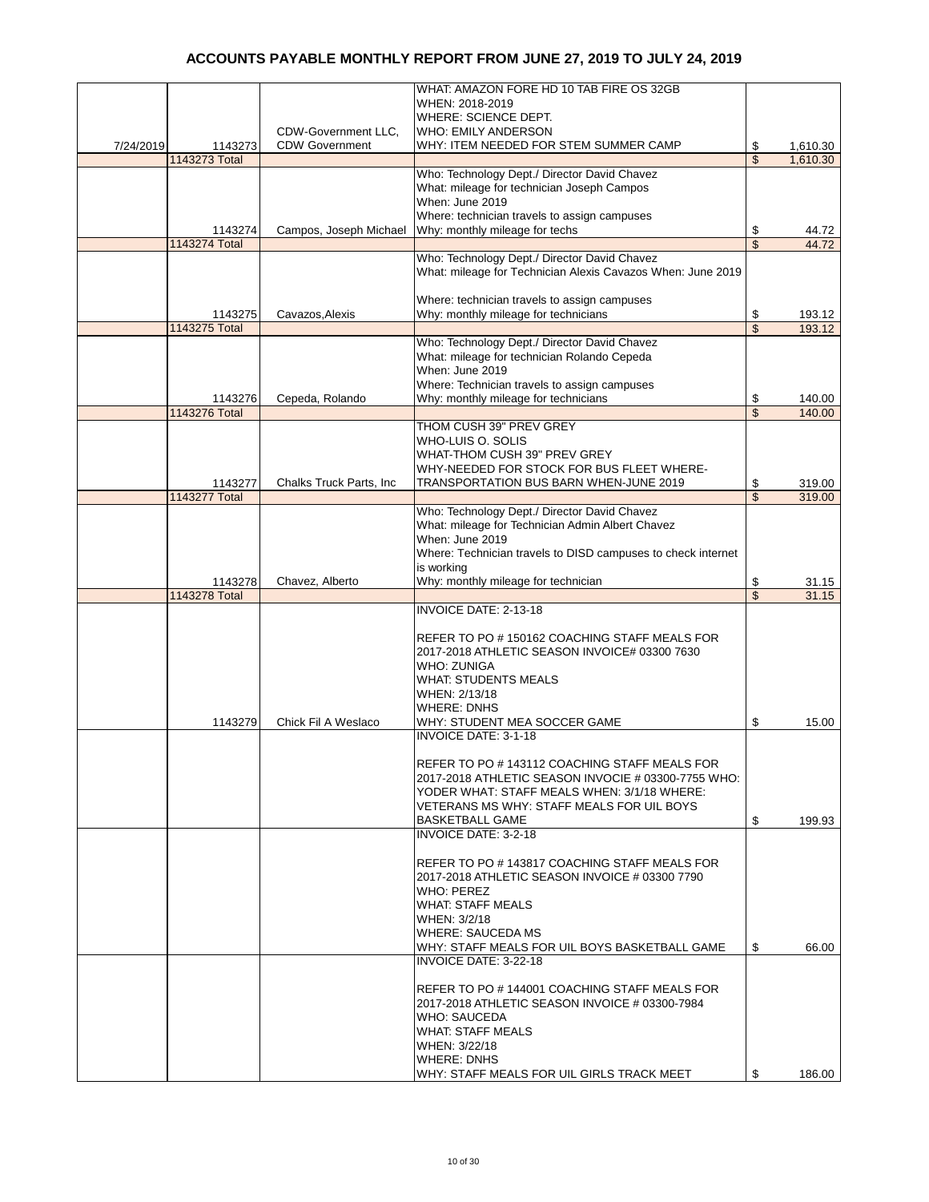|           |                          |                          | WHAT: AMAZON FORE HD 10 TAB FIRE OS 32GB                                                           |          |                  |
|-----------|--------------------------|--------------------------|----------------------------------------------------------------------------------------------------|----------|------------------|
|           |                          |                          | WHEN: 2018-2019                                                                                    |          |                  |
|           |                          | CDW-Government LLC,      | WHERE: SCIENCE DEPT.<br><b>WHO: EMILY ANDERSON</b>                                                 |          |                  |
| 7/24/2019 | 1143273                  | <b>CDW Government</b>    | WHY: ITEM NEEDED FOR STEM SUMMER CAMP                                                              | \$       | 1,610.30         |
|           | 1143273 Total            |                          |                                                                                                    | \$       | 1,610.30         |
|           |                          |                          | Who: Technology Dept./ Director David Chavez                                                       |          |                  |
|           |                          |                          | What: mileage for technician Joseph Campos                                                         |          |                  |
|           |                          |                          | When: June 2019                                                                                    |          |                  |
|           | 1143274                  | Campos, Joseph Michael   | Where: technician travels to assign campuses<br>Why: monthly mileage for techs                     | \$       | 44.72            |
|           | 1143274 Total            |                          |                                                                                                    | \$       | 44.72            |
|           |                          |                          | Who: Technology Dept./ Director David Chavez                                                       |          |                  |
|           |                          |                          | What: mileage for Technician Alexis Cavazos When: June 2019                                        |          |                  |
|           |                          |                          |                                                                                                    |          |                  |
|           |                          | Cavazos, Alexis          | Where: technician travels to assign campuses<br>Why: monthly mileage for technicians               |          |                  |
|           | 1143275<br>1143275 Total |                          |                                                                                                    | \$<br>\$ | 193.12<br>193.12 |
|           |                          |                          | Who: Technology Dept./ Director David Chavez                                                       |          |                  |
|           |                          |                          | What: mileage for technician Rolando Cepeda                                                        |          |                  |
|           |                          |                          | When: June 2019                                                                                    |          |                  |
|           |                          |                          | Where: Technician travels to assign campuses                                                       |          |                  |
|           | 1143276<br>1143276 Total | Cepeda, Rolando          | Why: monthly mileage for technicians                                                               | \$       | 140.00           |
|           |                          |                          | THOM CUSH 39" PREV GREY                                                                            | \$       | 140.00           |
|           |                          |                          | WHO-LUIS O. SOLIS                                                                                  |          |                  |
|           |                          |                          | WHAT-THOM CUSH 39" PREV GREY                                                                       |          |                  |
|           |                          |                          | WHY-NEEDED FOR STOCK FOR BUS FLEET WHERE-                                                          |          |                  |
|           | 1143277                  | Chalks Truck Parts, Inc. | TRANSPORTATION BUS BARN WHEN-JUNE 2019                                                             | \$       | 319.00           |
|           | 1143277 Total            |                          | Who: Technology Dept./ Director David Chavez                                                       | \$       | 319.00           |
|           |                          |                          | What: mileage for Technician Admin Albert Chavez                                                   |          |                  |
|           |                          |                          | When: June 2019                                                                                    |          |                  |
|           |                          |                          | Where: Technician travels to DISD campuses to check internet                                       |          |                  |
|           |                          |                          | is working                                                                                         |          |                  |
|           | 1143278<br>1143278 Total | Chavez, Alberto          | Why: monthly mileage for technician                                                                | \$<br>\$ | 31.15<br>31.15   |
|           |                          |                          | INVOICE DATE: 2-13-18                                                                              |          |                  |
|           |                          |                          |                                                                                                    |          |                  |
|           |                          |                          | REFER TO PO #150162 COACHING STAFF MEALS FOR                                                       |          |                  |
|           |                          |                          | 2017-2018 ATHLETIC SEASON INVOICE# 03300 7630                                                      |          |                  |
|           |                          |                          | <b>WHO: ZUNIGA</b>                                                                                 |          |                  |
|           |                          |                          | <b>WHAT: STUDENTS MEALS</b><br>WHEN: 2/13/18                                                       |          |                  |
|           |                          |                          | <b>WHERE: DNHS</b>                                                                                 |          |                  |
|           | 1143279                  | Chick Fil A Weslaco      | WHY: STUDENT MEA SOCCER GAME                                                                       | \$       | 15.00            |
|           |                          |                          | <b>INVOICE DATE: 3-1-18</b>                                                                        |          |                  |
|           |                          |                          |                                                                                                    |          |                  |
|           |                          |                          | REFER TO PO # 143112 COACHING STAFF MEALS FOR                                                      |          |                  |
|           |                          |                          | 2017-2018 ATHLETIC SEASON INVOCIE # 03300-7755 WHO:<br>YODER WHAT: STAFF MEALS WHEN: 3/1/18 WHERE: |          |                  |
|           |                          |                          | VETERANS MS WHY: STAFF MEALS FOR UIL BOYS                                                          |          |                  |
|           |                          |                          | <b>BASKETBALL GAME</b>                                                                             | \$       | 199.93           |
|           |                          |                          | <b>INVOICE DATE: 3-2-18</b>                                                                        |          |                  |
|           |                          |                          |                                                                                                    |          |                  |
|           |                          |                          | REFER TO PO # 143817 COACHING STAFF MEALS FOR<br>2017-2018 ATHLETIC SEASON INVOICE # 03300 7790    |          |                  |
|           |                          |                          | WHO: PEREZ                                                                                         |          |                  |
|           |                          |                          | <b>WHAT: STAFF MEALS</b>                                                                           |          |                  |
|           |                          |                          | WHEN: 3/2/18                                                                                       |          |                  |
|           |                          |                          | <b>WHERE: SAUCEDA MS</b>                                                                           |          |                  |
|           |                          |                          | WHY: STAFF MEALS FOR UIL BOYS BASKETBALL GAME<br><b>INVOICE DATE: 3-22-18</b>                      | \$       | 66.00            |
|           |                          |                          |                                                                                                    |          |                  |
|           |                          |                          | REFER TO PO # 144001 COACHING STAFF MEALS FOR                                                      |          |                  |
|           |                          |                          | 2017-2018 ATHLETIC SEASON INVOICE # 03300-7984                                                     |          |                  |
|           |                          |                          | <b>WHO: SAUCEDA</b>                                                                                |          |                  |
|           |                          |                          | <b>WHAT: STAFF MEALS</b><br>WHEN: 3/22/18                                                          |          |                  |
|           |                          |                          | <b>WHERE: DNHS</b>                                                                                 |          |                  |
|           |                          |                          | WHY: STAFF MEALS FOR UIL GIRLS TRACK MEET                                                          | \$       | 186.00           |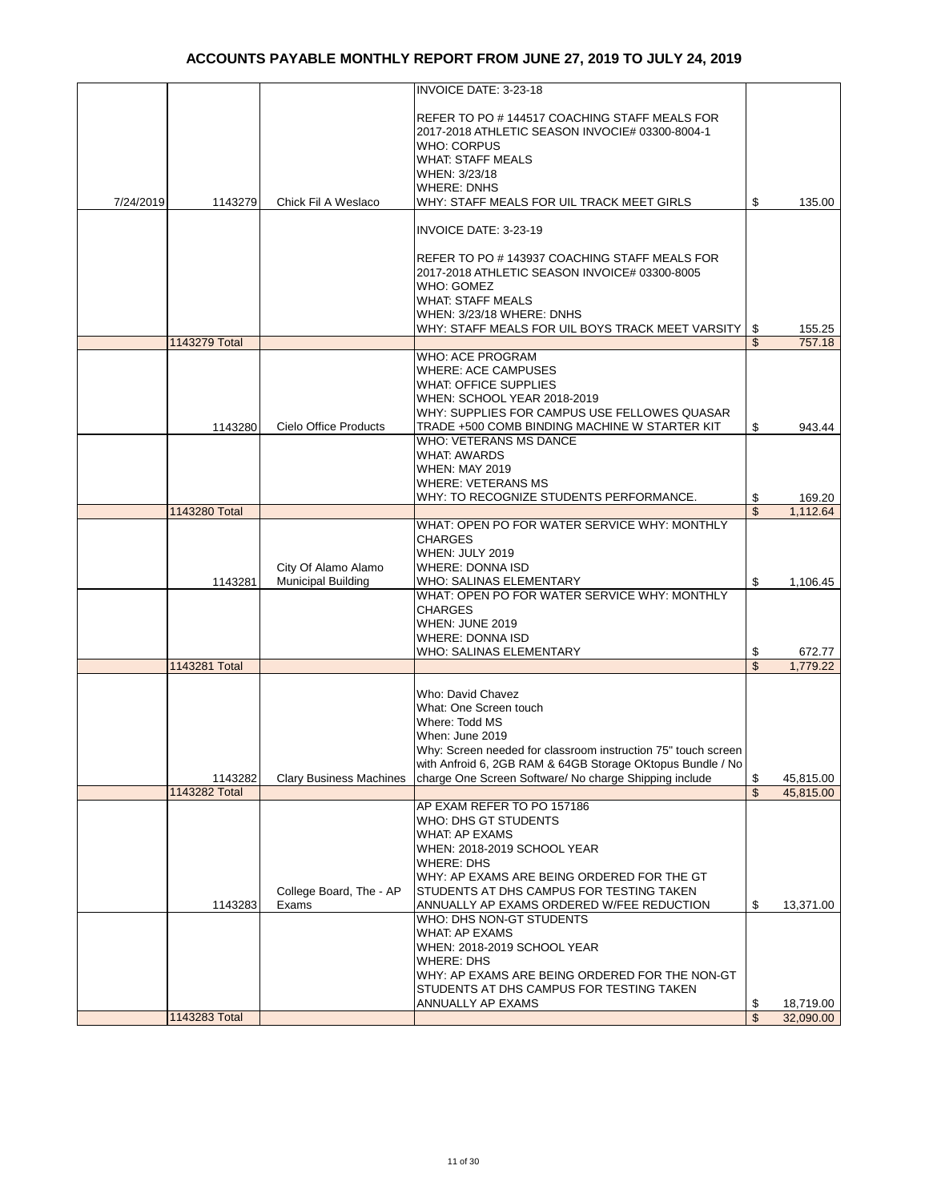|           |               |                                | INVOICE DATE: 3-23-18                                                                          |                      |                  |
|-----------|---------------|--------------------------------|------------------------------------------------------------------------------------------------|----------------------|------------------|
|           |               |                                |                                                                                                |                      |                  |
|           |               |                                | REFER TO PO#144517 COACHING STAFF MEALS FOR<br>2017-2018 ATHLETIC SEASON INVOCIE# 03300-8004-1 |                      |                  |
|           |               |                                | WHO: CORPUS                                                                                    |                      |                  |
|           |               |                                | <b>WHAT: STAFF MEALS</b>                                                                       |                      |                  |
|           |               |                                | WHEN: 3/23/18                                                                                  |                      |                  |
|           |               |                                | WHERE: DNHS                                                                                    |                      |                  |
| 7/24/2019 | 1143279       | Chick Fil A Weslaco            | WHY: STAFF MEALS FOR UIL TRACK MEET GIRLS                                                      | \$                   | 135.00           |
|           |               |                                | INVOICE DATE: 3-23-19                                                                          |                      |                  |
|           |               |                                | REFER TO PO # 143937 COACHING STAFF MEALS FOR                                                  |                      |                  |
|           |               |                                | 2017-2018 ATHLETIC SEASON INVOICE# 03300-8005                                                  |                      |                  |
|           |               |                                | WHO: GOMEZ                                                                                     |                      |                  |
|           |               |                                | <b>WHAT: STAFF MEALS</b>                                                                       |                      |                  |
|           |               |                                | WHEN: 3/23/18 WHERE: DNHS                                                                      |                      |                  |
|           | 1143279 Total |                                | WHY: STAFF MEALS FOR UIL BOYS TRACK MEET VARSITY                                               | \$<br>$\mathfrak{L}$ | 155.25<br>757.18 |
|           |               |                                | WHO: ACE PROGRAM                                                                               |                      |                  |
|           |               |                                | <b>WHERE: ACE CAMPUSES</b>                                                                     |                      |                  |
|           |               |                                | <b>WHAT: OFFICE SUPPLIES</b>                                                                   |                      |                  |
|           |               |                                | WHEN: SCHOOL YEAR 2018-2019                                                                    |                      |                  |
|           |               |                                | WHY: SUPPLIES FOR CAMPUS USE FELLOWES QUASAR                                                   |                      |                  |
|           | 1143280       | Cielo Office Products          | TRADE +500 COMB BINDING MACHINE W STARTER KIT<br><b>WHO: VETERANS MS DANCE</b>                 | \$                   | 943.44           |
|           |               |                                | WHAT: AWARDS                                                                                   |                      |                  |
|           |               |                                | <b>WHEN: MAY 2019</b>                                                                          |                      |                  |
|           |               |                                | <b>WHERE: VETERANS MS</b>                                                                      |                      |                  |
|           |               |                                | WHY: TO RECOGNIZE STUDENTS PERFORMANCE.                                                        | \$                   | 169.20           |
|           | 1143280 Total |                                |                                                                                                | $\mathsf{\$}$        | 1,112.64         |
|           |               |                                | WHAT: OPEN PO FOR WATER SERVICE WHY: MONTHLY<br><b>CHARGES</b>                                 |                      |                  |
|           |               |                                | WHEN: JULY 2019                                                                                |                      |                  |
|           |               | City Of Alamo Alamo            | <b>WHERE: DONNA ISD</b>                                                                        |                      |                  |
|           | 1143281       | <b>Municipal Building</b>      | WHO: SALINAS ELEMENTARY                                                                        | \$                   | 1,106.45         |
|           |               |                                | WHAT: OPEN PO FOR WATER SERVICE WHY: MONTHLY                                                   |                      |                  |
|           |               |                                | <b>CHARGES</b>                                                                                 |                      |                  |
|           |               |                                | WHEN: JUNE 2019<br>WHERE: DONNA ISD                                                            |                      |                  |
|           |               |                                | WHO: SALINAS ELEMENTARY                                                                        | \$                   | 672.77           |
|           | 1143281 Total |                                |                                                                                                | \$                   | 1.779.22         |
|           |               |                                |                                                                                                |                      |                  |
|           |               |                                | Who: David Chavez                                                                              |                      |                  |
|           |               |                                | What: One Screen touch                                                                         |                      |                  |
|           |               |                                | Where: Todd MS<br>When: June 2019                                                              |                      |                  |
|           |               |                                | Why: Screen needed for classroom instruction 75" touch screen                                  |                      |                  |
|           |               |                                | with Anfroid 6, 2GB RAM & 64GB Storage OKtopus Bundle / No                                     |                      |                  |
|           | 1143282       | <b>Clary Business Machines</b> | charge One Screen Software/ No charge Shipping include                                         | \$                   | 45,815.00        |
|           | 1143282 Total |                                |                                                                                                | \$                   | 45,815.00        |
|           |               |                                | AP EXAM REFER TO PO 157186<br>WHO: DHS GT STUDENTS                                             |                      |                  |
|           |               |                                | WHAT: AP EXAMS                                                                                 |                      |                  |
|           |               |                                | WHEN: 2018-2019 SCHOOL YEAR                                                                    |                      |                  |
|           |               |                                | <b>WHERE: DHS</b>                                                                              |                      |                  |
|           |               |                                | WHY: AP EXAMS ARE BEING ORDERED FOR THE GT                                                     |                      |                  |
|           |               | College Board, The - AP        | STUDENTS AT DHS CAMPUS FOR TESTING TAKEN                                                       |                      |                  |
|           | 1143283       | Exams                          | ANNUALLY AP EXAMS ORDERED W/FEE REDUCTION                                                      | \$                   | 13,371.00        |
|           |               |                                | WHO: DHS NON-GT STUDENTS<br><b>WHAT: AP EXAMS</b>                                              |                      |                  |
|           |               |                                | WHEN: 2018-2019 SCHOOL YEAR                                                                    |                      |                  |
|           |               |                                | <b>WHERE: DHS</b>                                                                              |                      |                  |
|           |               |                                | WHY: AP EXAMS ARE BEING ORDERED FOR THE NON-GT                                                 |                      |                  |
|           |               |                                | STUDENTS AT DHS CAMPUS FOR TESTING TAKEN                                                       |                      |                  |
|           |               |                                | ANNUALLY AP EXAMS                                                                              | \$                   | 18,719.00        |
|           | 1143283 Total |                                |                                                                                                | $\mathsf{\$}$        | 32,090.00        |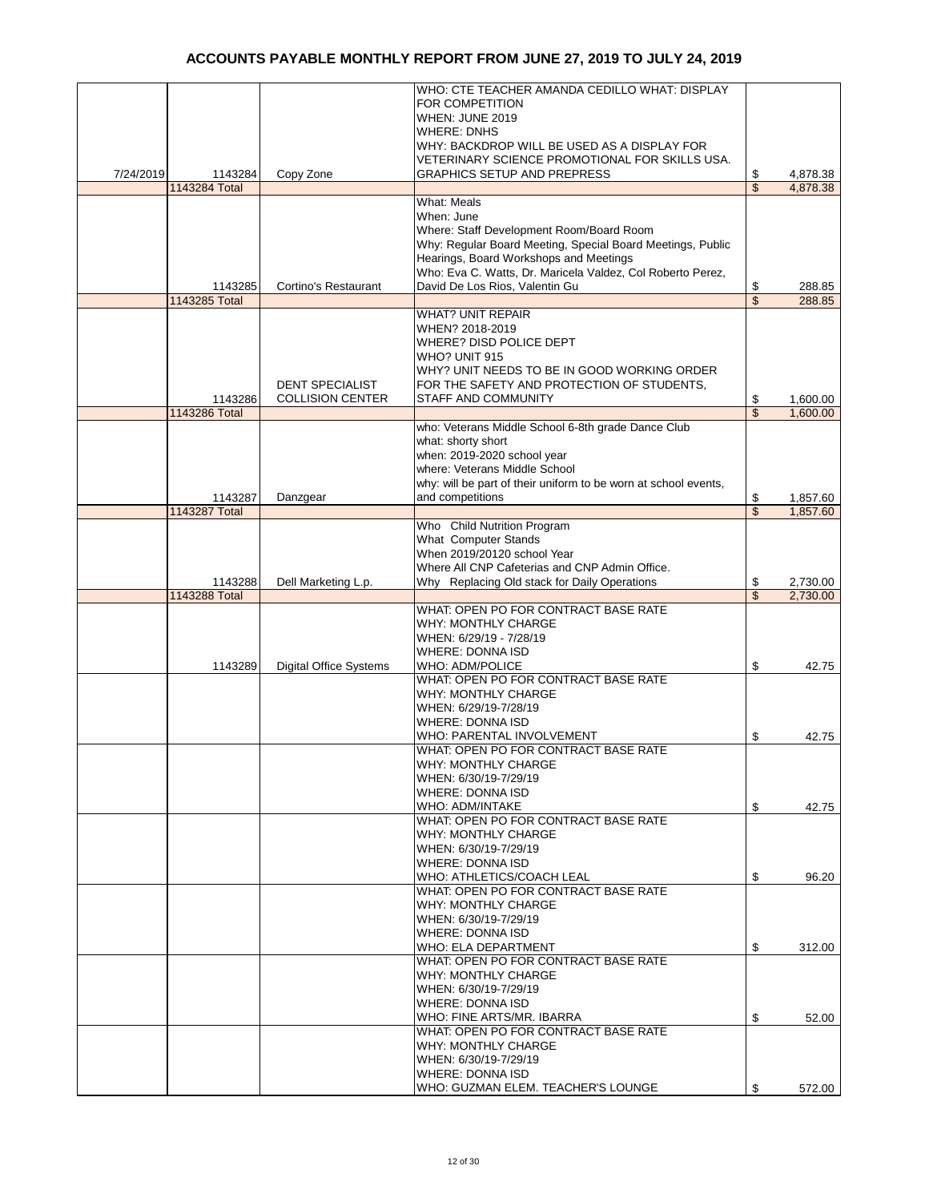|           |                      |                               | WHO: CTE TEACHER AMANDA CEDILLO WHAT: DISPLAY                   |                          |          |
|-----------|----------------------|-------------------------------|-----------------------------------------------------------------|--------------------------|----------|
|           |                      |                               |                                                                 |                          |          |
|           |                      |                               | FOR COMPETITION                                                 |                          |          |
|           |                      |                               | WHEN: JUNE 2019                                                 |                          |          |
|           |                      |                               | <b>WHERE: DNHS</b>                                              |                          |          |
|           |                      |                               |                                                                 |                          |          |
|           |                      |                               | WHY: BACKDROP WILL BE USED AS A DISPLAY FOR                     |                          |          |
|           |                      |                               | VETERINARY SCIENCE PROMOTIONAL FOR SKILLS USA.                  |                          |          |
| 7/24/2019 | 1143284              | Copy Zone                     | GRAPHICS SETUP AND PREPRESS                                     | \$                       | 4,878.38 |
|           | <b>1143284 Total</b> |                               |                                                                 | \$                       |          |
|           |                      |                               |                                                                 |                          | 4,878.38 |
|           |                      |                               | What: Meals                                                     |                          |          |
|           |                      |                               | When: June                                                      |                          |          |
|           |                      |                               | Where: Staff Development Room/Board Room                        |                          |          |
|           |                      |                               |                                                                 |                          |          |
|           |                      |                               | Why: Regular Board Meeting, Special Board Meetings, Public      |                          |          |
|           |                      |                               | Hearings, Board Workshops and Meetings                          |                          |          |
|           |                      |                               | Who: Eva C. Watts, Dr. Maricela Valdez, Col Roberto Perez,      |                          |          |
|           |                      |                               | David De Los Rios, Valentin Gu                                  |                          |          |
|           | 1143285              | Cortino's Restaurant          |                                                                 | \$                       | 288.85   |
|           | 1143285 Total        |                               |                                                                 | $\overline{\mathcal{L}}$ | 288.85   |
|           |                      |                               | <b>WHAT? UNIT REPAIR</b>                                        |                          |          |
|           |                      |                               | WHEN? 2018-2019                                                 |                          |          |
|           |                      |                               |                                                                 |                          |          |
|           |                      |                               | <b>WHERE? DISD POLICE DEPT</b>                                  |                          |          |
|           |                      |                               | WHO? UNIT 915                                                   |                          |          |
|           |                      |                               | WHY? UNIT NEEDS TO BE IN GOOD WORKING ORDER                     |                          |          |
|           |                      |                               |                                                                 |                          |          |
|           |                      | <b>DENT SPECIALIST</b>        | FOR THE SAFETY AND PROTECTION OF STUDENTS,                      |                          |          |
|           | 1143286              | <b>COLLISION CENTER</b>       | STAFF AND COMMUNITY                                             | \$                       | 1,600.00 |
|           | 1143286 Total        |                               |                                                                 | \$                       | 1,600.00 |
|           |                      |                               | who: Veterans Middle School 6-8th grade Dance Club              |                          |          |
|           |                      |                               |                                                                 |                          |          |
|           |                      |                               | what: shorty short                                              |                          |          |
|           |                      |                               | when: 2019-2020 school year                                     |                          |          |
|           |                      |                               | where: Veterans Middle School                                   |                          |          |
|           |                      |                               |                                                                 |                          |          |
|           |                      |                               | why: will be part of their uniform to be worn at school events, |                          |          |
|           | 1143287              | Danzgear                      | and competitions                                                | \$                       | 1,857.60 |
|           | 1143287 Total        |                               |                                                                 | \$                       | 1,857.60 |
|           |                      |                               | Who Child Nutrition Program                                     |                          |          |
|           |                      |                               |                                                                 |                          |          |
|           |                      |                               | What Computer Stands                                            |                          |          |
|           |                      |                               | When 2019/20120 school Year                                     |                          |          |
|           |                      |                               | Where All CNP Cafeterias and CNP Admin Office.                  |                          |          |
|           |                      |                               |                                                                 |                          |          |
|           | 1143288              | Dell Marketing L.p.           | Why Replacing Old stack for Daily Operations                    |                          | 2,730.00 |
|           |                      |                               |                                                                 | \$                       |          |
|           | 1143288 Total        |                               |                                                                 | \$                       | 2,730.00 |
|           |                      |                               | WHAT: OPEN PO FOR CONTRACT BASE RATE                            |                          |          |
|           |                      |                               |                                                                 |                          |          |
|           |                      |                               | WHY: MONTHLY CHARGE                                             |                          |          |
|           |                      |                               | WHEN: 6/29/19 - 7/28/19                                         |                          |          |
|           |                      |                               | <b>WHERE: DONNA ISD</b>                                         |                          |          |
|           |                      |                               |                                                                 |                          |          |
|           | 1143289              | <b>Digital Office Systems</b> | WHO: ADM/POLICE                                                 | \$                       | 42.75    |
|           |                      |                               | WHAT: OPEN PO FOR CONTRACT BASE RATE                            |                          |          |
|           |                      |                               | <b>WHY: MONTHLY CHARGE</b>                                      |                          |          |
|           |                      |                               | WHEN: 6/29/19-7/28/19                                           |                          |          |
|           |                      |                               |                                                                 |                          |          |
|           |                      |                               | <b>WHERE: DONNA ISD</b>                                         |                          |          |
|           |                      |                               | WHO: PARENTAL INVOLVEMENT                                       | \$                       | 42.75    |
|           |                      |                               | WHAT: OPEN PO FOR CONTRACT BASE RATE                            |                          |          |
|           |                      |                               | WHY: MONTHLY CHARGE                                             |                          |          |
|           |                      |                               |                                                                 |                          |          |
|           |                      |                               | WHEN: 6/30/19-7/29/19                                           |                          |          |
|           |                      |                               | <b>WHERE: DONNA ISD</b>                                         |                          |          |
|           |                      |                               | WHO: ADM/INTAKE                                                 | \$                       | 42.75    |
|           |                      |                               | WHAT: OPEN PO FOR CONTRACT BASE RATE                            |                          |          |
|           |                      |                               |                                                                 |                          |          |
|           |                      |                               | WHY: MONTHLY CHARGE                                             |                          |          |
|           |                      |                               | WHEN: 6/30/19-7/29/19                                           |                          |          |
|           |                      |                               | <b>WHERE: DONNA ISD</b>                                         |                          |          |
|           |                      |                               |                                                                 |                          |          |
|           |                      |                               | WHO: ATHLETICS/COACH LEAL                                       | \$                       | 96.20    |
|           |                      |                               | WHAT: OPEN PO FOR CONTRACT BASE RATE                            |                          |          |
|           |                      |                               | WHY: MONTHLY CHARGE                                             |                          |          |
|           |                      |                               | WHEN: 6/30/19-7/29/19                                           |                          |          |
|           |                      |                               |                                                                 |                          |          |
|           |                      |                               | <b>WHERE: DONNA ISD</b>                                         |                          |          |
|           |                      |                               | WHO: ELA DEPARTMENT                                             | \$                       | 312.00   |
|           |                      |                               | WHAT: OPEN PO FOR CONTRACT BASE RATE                            |                          |          |
|           |                      |                               |                                                                 |                          |          |
|           |                      |                               | WHY: MONTHLY CHARGE                                             |                          |          |
|           |                      |                               | WHEN: 6/30/19-7/29/19                                           |                          |          |
|           |                      |                               | <b>WHERE: DONNA ISD</b>                                         |                          |          |
|           |                      |                               | WHO: FINE ARTS/MR. IBARRA                                       | \$                       | 52.00    |
|           |                      |                               |                                                                 |                          |          |
|           |                      |                               | WHAT: OPEN PO FOR CONTRACT BASE RATE                            |                          |          |
|           |                      |                               | WHY: MONTHLY CHARGE                                             |                          |          |
|           |                      |                               | WHEN: 6/30/19-7/29/19                                           |                          |          |
|           |                      |                               |                                                                 |                          |          |
|           |                      |                               | WHERE: DONNA ISD<br>WHO: GUZMAN ELEM. TEACHER'S LOUNGE          | \$                       | 572.00   |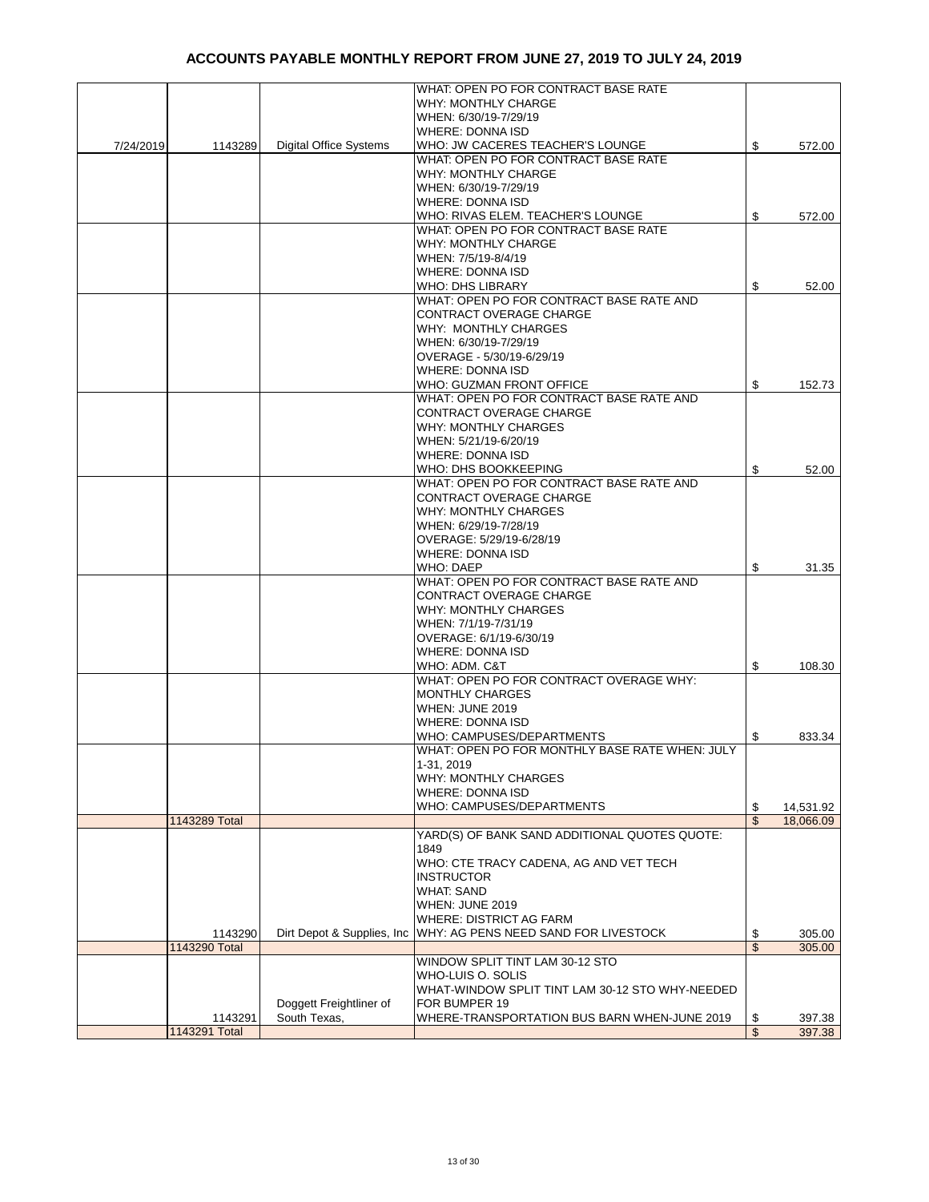|           |               |                               | WHAT: OPEN PO FOR CONTRACT BASE RATE                              |                 |
|-----------|---------------|-------------------------------|-------------------------------------------------------------------|-----------------|
|           |               |                               | WHY: MONTHLY CHARGE                                               |                 |
|           |               |                               | WHEN: 6/30/19-7/29/19                                             |                 |
|           |               |                               | <b>WHERE: DONNA ISD</b>                                           |                 |
|           |               |                               |                                                                   |                 |
| 7/24/2019 | 1143289       | <b>Digital Office Systems</b> | WHO: JW CACERES TEACHER'S LOUNGE                                  | \$<br>572.00    |
|           |               |                               | WHAT: OPEN PO FOR CONTRACT BASE RATE                              |                 |
|           |               |                               | <b>WHY: MONTHLY CHARGE</b>                                        |                 |
|           |               |                               | WHEN: 6/30/19-7/29/19                                             |                 |
|           |               |                               | <b>WHERE: DONNA ISD</b>                                           |                 |
|           |               |                               |                                                                   |                 |
|           |               |                               | WHO: RIVAS ELEM. TEACHER'S LOUNGE                                 | \$<br>572.00    |
|           |               |                               | WHAT: OPEN PO FOR CONTRACT BASE RATE                              |                 |
|           |               |                               | WHY: MONTHLY CHARGE                                               |                 |
|           |               |                               | WHEN: 7/5/19-8/4/19                                               |                 |
|           |               |                               | <b>WHERE: DONNA ISD</b>                                           |                 |
|           |               |                               |                                                                   |                 |
|           |               |                               | <b>WHO: DHS LIBRARY</b>                                           | \$<br>52.00     |
|           |               |                               | WHAT: OPEN PO FOR CONTRACT BASE RATE AND                          |                 |
|           |               |                               | CONTRACT OVERAGE CHARGE                                           |                 |
|           |               |                               | <b>WHY: MONTHLY CHARGES</b>                                       |                 |
|           |               |                               |                                                                   |                 |
|           |               |                               | WHEN: 6/30/19-7/29/19                                             |                 |
|           |               |                               | OVERAGE - 5/30/19-6/29/19                                         |                 |
|           |               |                               | <b>WHERE: DONNA ISD</b>                                           |                 |
|           |               |                               | WHO: GUZMAN FRONT OFFICE                                          |                 |
|           |               |                               |                                                                   | \$<br>152.73    |
|           |               |                               | WHAT: OPEN PO FOR CONTRACT BASE RATE AND                          |                 |
|           |               |                               | <b>CONTRACT OVERAGE CHARGE</b>                                    |                 |
|           |               |                               | WHY: MONTHLY CHARGES                                              |                 |
|           |               |                               | WHEN: 5/21/19-6/20/19                                             |                 |
|           |               |                               |                                                                   |                 |
|           |               |                               | <b>WHERE: DONNA ISD</b>                                           |                 |
|           |               |                               | WHO: DHS BOOKKEEPING                                              | \$<br>52.00     |
|           |               |                               | WHAT: OPEN PO FOR CONTRACT BASE RATE AND                          |                 |
|           |               |                               | CONTRACT OVERAGE CHARGE                                           |                 |
|           |               |                               | WHY: MONTHLY CHARGES                                              |                 |
|           |               |                               |                                                                   |                 |
|           |               |                               | WHEN: 6/29/19-7/28/19                                             |                 |
|           |               |                               | OVERAGE: 5/29/19-6/28/19                                          |                 |
|           |               |                               | <b>WHERE: DONNA ISD</b>                                           |                 |
|           |               |                               | WHO: DAEP                                                         | \$<br>31.35     |
|           |               |                               |                                                                   |                 |
|           |               |                               | WHAT: OPEN PO FOR CONTRACT BASE RATE AND                          |                 |
|           |               |                               | <b>CONTRACT OVERAGE CHARGE</b>                                    |                 |
|           |               |                               | <b>WHY: MONTHLY CHARGES</b>                                       |                 |
|           |               |                               | WHEN: 7/1/19-7/31/19                                              |                 |
|           |               |                               |                                                                   |                 |
|           |               |                               | OVERAGE: 6/1/19-6/30/19                                           |                 |
|           |               |                               | <b>WHERE: DONNA ISD</b>                                           |                 |
|           |               |                               | WHO: ADM, C&T                                                     | \$<br>108.30    |
|           |               |                               | WHAT: OPEN PO FOR CONTRACT OVERAGE WHY:                           |                 |
|           |               |                               |                                                                   |                 |
|           |               |                               | <b>MONTHLY CHARGES</b>                                            |                 |
|           |               |                               | WHEN: JUNE 2019                                                   |                 |
|           |               |                               | <b>WHERE: DONNA ISD</b>                                           |                 |
|           |               |                               | WHO: CAMPUSES/DEPARTMENTS                                         | \$<br>833.34    |
|           |               |                               | WHAT: OPEN PO FOR MONTHLY BASE RATE WHEN: JULY                    |                 |
|           |               |                               |                                                                   |                 |
|           |               |                               | 1-31, 2019                                                        |                 |
|           |               |                               | <b>WHY: MONTHLY CHARGES</b>                                       |                 |
|           |               |                               | <b>WHERE: DONNA ISD</b>                                           |                 |
|           |               |                               | WHO: CAMPUSES/DEPARTMENTS                                         | \$<br>14,531.92 |
|           |               |                               |                                                                   |                 |
|           | 1143289 Total |                               |                                                                   | \$<br>18,066.09 |
|           |               |                               | YARD(S) OF BANK SAND ADDITIONAL QUOTES QUOTE:                     |                 |
|           |               |                               | 1849                                                              |                 |
|           |               |                               | WHO: CTE TRACY CADENA, AG AND VET TECH                            |                 |
|           |               |                               | <b>INSTRUCTOR</b>                                                 |                 |
|           |               |                               |                                                                   |                 |
|           |               |                               | <b>WHAT: SAND</b>                                                 |                 |
|           |               |                               | WHEN: JUNE 2019                                                   |                 |
|           |               |                               | <b>WHERE: DISTRICT AG FARM</b>                                    |                 |
|           | 1143290       |                               | Dirt Depot & Supplies, Inc   WHY: AG PENS NEED SAND FOR LIVESTOCK | \$<br>305.00    |
|           | 1143290 Total |                               |                                                                   | \$              |
|           |               |                               |                                                                   | 305.00          |
|           |               |                               | WINDOW SPLIT TINT LAM 30-12 STO                                   |                 |
|           |               |                               | WHO-LUIS O. SOLIS                                                 |                 |
|           |               |                               | WHAT-WINDOW SPLIT TINT LAM 30-12 STO WHY-NEEDED                   |                 |
|           |               | Doggett Freightliner of       | FOR BUMPER 19                                                     |                 |
|           |               |                               |                                                                   |                 |
|           | 1143291       | South Texas,                  | WHERE-TRANSPORTATION BUS BARN WHEN-JUNE 2019                      | \$<br>397.38    |
|           | 1143291 Total |                               |                                                                   | \$<br>397.38    |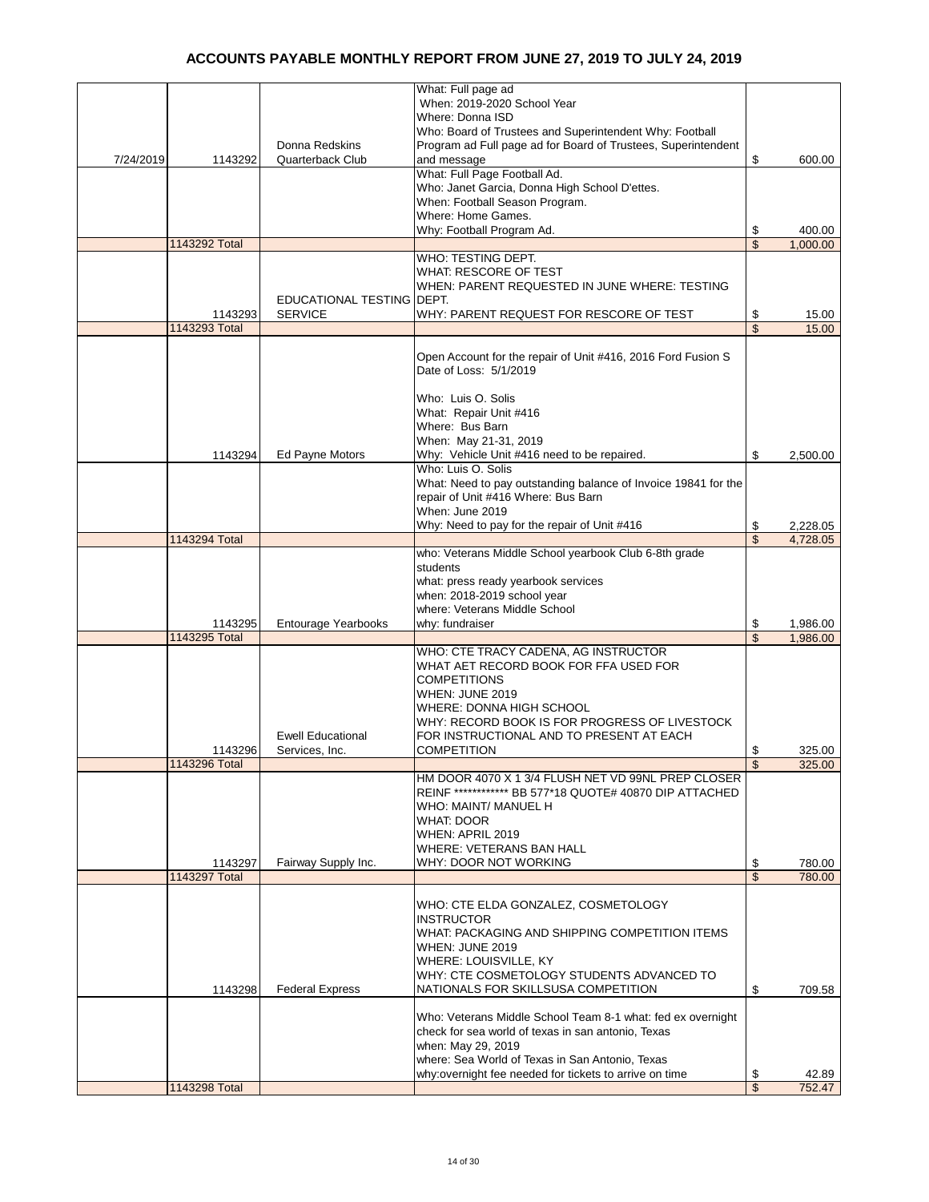|           |               |                                             | What: Full page ad<br>When: 2019-2020 School Year                                                                        |                         |                      |
|-----------|---------------|---------------------------------------------|--------------------------------------------------------------------------------------------------------------------------|-------------------------|----------------------|
|           |               |                                             | Where: Donna ISD                                                                                                         |                         |                      |
|           |               | Donna Redskins                              | Who: Board of Trustees and Superintendent Why: Football<br>Program ad Full page ad for Board of Trustees, Superintendent |                         |                      |
| 7/24/2019 | 1143292       | Quarterback Club                            | and message                                                                                                              | \$                      | 600.00               |
|           |               |                                             | What: Full Page Football Ad.                                                                                             |                         |                      |
|           |               |                                             | Who: Janet Garcia, Donna High School D'ettes.<br>When: Football Season Program.                                          |                         |                      |
|           |               |                                             | Where: Home Games.                                                                                                       |                         |                      |
|           |               |                                             | Why: Football Program Ad.                                                                                                | \$                      | 400.00               |
|           | 1143292 Total |                                             | WHO: TESTING DEPT.                                                                                                       | \$                      | 1.000.00             |
|           |               |                                             | <b>WHAT: RESCORE OF TEST</b>                                                                                             |                         |                      |
|           |               |                                             | WHEN: PARENT REQUESTED IN JUNE WHERE: TESTING                                                                            |                         |                      |
|           | 1143293       | EDUCATIONAL TESTING DEPT.<br><b>SERVICE</b> | WHY: PARENT REQUEST FOR RESCORE OF TEST                                                                                  | \$                      | 15.00                |
|           | 1143293 Total |                                             |                                                                                                                          | \$                      | 15.00                |
|           |               |                                             |                                                                                                                          |                         |                      |
|           |               |                                             | Open Account for the repair of Unit #416, 2016 Ford Fusion S<br>Date of Loss: 5/1/2019                                   |                         |                      |
|           |               |                                             |                                                                                                                          |                         |                      |
|           |               |                                             | Who: Luis O. Solis                                                                                                       |                         |                      |
|           |               |                                             | What: Repair Unit #416<br>Where: Bus Barn                                                                                |                         |                      |
|           |               |                                             | When: May 21-31, 2019                                                                                                    |                         |                      |
|           | 1143294       | Ed Payne Motors                             | Why: Vehicle Unit #416 need to be repaired.                                                                              | \$                      | 2,500.00             |
|           |               |                                             | Who: Luis O. Solis<br>What: Need to pay outstanding balance of Invoice 19841 for the                                     |                         |                      |
|           |               |                                             | repair of Unit #416 Where: Bus Barn                                                                                      |                         |                      |
|           |               |                                             | When: June 2019                                                                                                          |                         |                      |
|           | 1143294 Total |                                             | Why: Need to pay for the repair of Unit #416                                                                             | \$<br>\$                | 2,228.05<br>4,728.05 |
|           |               |                                             | who: Veterans Middle School yearbook Club 6-8th grade                                                                    |                         |                      |
|           |               |                                             | students                                                                                                                 |                         |                      |
|           |               |                                             | what: press ready yearbook services<br>when: 2018-2019 school year                                                       |                         |                      |
|           |               |                                             | where: Veterans Middle School                                                                                            |                         |                      |
|           | 1143295       | <b>Entourage Yearbooks</b>                  | why: fundraiser                                                                                                          | \$                      | 1,986.00             |
|           | 1143295 Total |                                             |                                                                                                                          | $\overline{\mathbb{S}}$ | 1,986.00             |
|           |               |                                             | WHO: CTE TRACY CADENA, AG INSTRUCTOR<br>WHAT AET RECORD BOOK FOR FFA USED FOR                                            |                         |                      |
|           |               |                                             | <b>COMPETITIONS</b>                                                                                                      |                         |                      |
|           |               |                                             | WHEN: JUNE 2019                                                                                                          |                         |                      |
|           |               |                                             | WHERE: DONNA HIGH SCHOOL<br>WHY: RECORD BOOK IS FOR PROGRESS OF LIVESTOCK                                                |                         |                      |
|           |               | <b>Ewell Educational</b>                    | FOR INSTRUCTIONAL AND TO PRESENT AT EACH                                                                                 |                         |                      |
|           | 1143296       | Services, Inc.                              | <b>COMPETITION</b>                                                                                                       | \$                      | 325.00               |
|           | 1143296 Total |                                             | HM DOOR 4070 X 1 3/4 FLUSH NET VD 99NL PREP CLOSER                                                                       | \$                      | 325.00               |
|           |               |                                             | REINF ************* BB 577*18 QUOTE# 40870 DIP ATTACHED                                                                  |                         |                      |
|           |               |                                             | WHO: MAINT/ MANUEL H                                                                                                     |                         |                      |
|           |               |                                             | <b>WHAT: DOOR</b><br>WHEN: APRIL 2019                                                                                    |                         |                      |
|           |               |                                             | WHERE: VETERANS BAN HALL                                                                                                 |                         |                      |
|           | 1143297       | Fairway Supply Inc.                         | WHY: DOOR NOT WORKING                                                                                                    | \$                      | 780.00               |
|           | 1143297 Total |                                             |                                                                                                                          | \$                      | 780.00               |
|           |               |                                             | WHO: CTE ELDA GONZALEZ, COSMETOLOGY                                                                                      |                         |                      |
|           |               |                                             | <b>INSTRUCTOR</b>                                                                                                        |                         |                      |
|           |               |                                             | WHAT: PACKAGING AND SHIPPING COMPETITION ITEMS<br>WHEN: JUNE 2019                                                        |                         |                      |
|           |               |                                             | WHERE: LOUISVILLE, KY                                                                                                    |                         |                      |
|           |               |                                             | WHY: CTE COSMETOLOGY STUDENTS ADVANCED TO                                                                                |                         |                      |
|           | 1143298       | <b>Federal Express</b>                      | NATIONALS FOR SKILLSUSA COMPETITION                                                                                      | \$                      | 709.58               |
|           |               |                                             | Who: Veterans Middle School Team 8-1 what: fed ex overnight                                                              |                         |                      |
|           |               |                                             | check for sea world of texas in san antonio, Texas                                                                       |                         |                      |
|           |               |                                             | when: May 29, 2019<br>where: Sea World of Texas in San Antonio, Texas                                                    |                         |                      |
|           |               |                                             | why:overnight fee needed for tickets to arrive on time                                                                   | \$                      | 42.89                |
|           | 1143298 Total |                                             |                                                                                                                          | \$                      | 752.47               |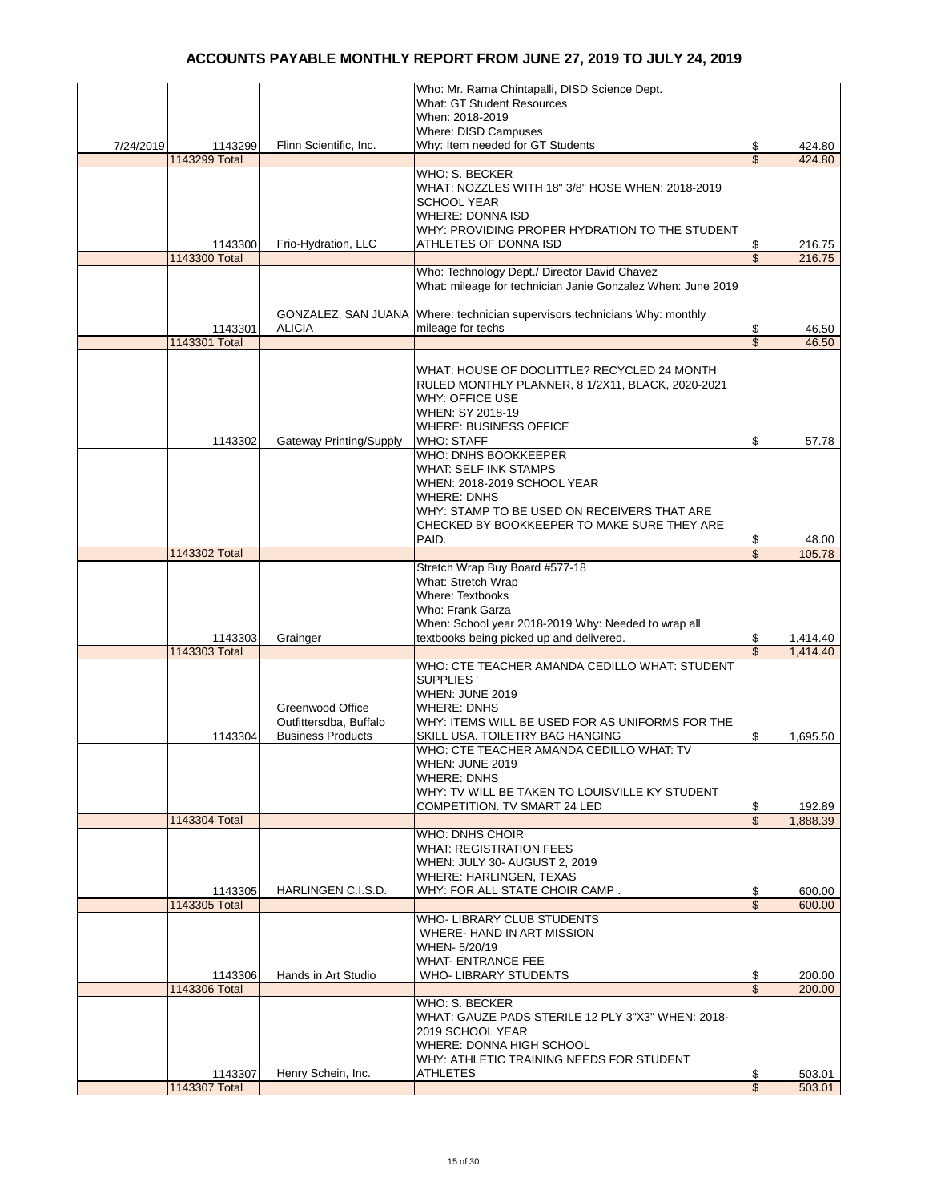|           |               |                                | Who: Mr. Rama Chintapalli, DISD Science Dept.                              |                          |          |
|-----------|---------------|--------------------------------|----------------------------------------------------------------------------|--------------------------|----------|
|           |               |                                | <b>What: GT Student Resources</b>                                          |                          |          |
|           |               |                                | When: 2018-2019                                                            |                          |          |
|           |               |                                | Where: DISD Campuses                                                       |                          |          |
| 7/24/2019 | 1143299       | Flinn Scientific, Inc.         | Why: Item needed for GT Students                                           | \$                       | 424.80   |
|           | 1143299 Total |                                |                                                                            | \$                       | 424.80   |
|           |               |                                | WHO: S. BECKER                                                             |                          |          |
|           |               |                                |                                                                            |                          |          |
|           |               |                                | WHAT: NOZZLES WITH 18" 3/8" HOSE WHEN: 2018-2019                           |                          |          |
|           |               |                                | <b>SCHOOL YEAR</b>                                                         |                          |          |
|           |               |                                | <b>WHERE: DONNA ISD</b>                                                    |                          |          |
|           |               |                                | WHY: PROVIDING PROPER HYDRATION TO THE STUDENT                             |                          |          |
|           | 1143300       | Frio-Hydration, LLC            | ATHLETES OF DONNA ISD                                                      | \$                       | 216.75   |
|           | 1143300 Total |                                |                                                                            | \$                       | 216.75   |
|           |               |                                | Who: Technology Dept./ Director David Chavez                               |                          |          |
|           |               |                                |                                                                            |                          |          |
|           |               |                                | What: mileage for technician Janie Gonzalez When: June 2019                |                          |          |
|           |               |                                |                                                                            |                          |          |
|           |               |                                | GONZALEZ, SAN JUANA Where: technician supervisors technicians Why: monthly |                          |          |
|           | 1143301       | <b>ALICIA</b>                  | mileage for techs                                                          | \$                       | 46.50    |
|           | 1143301 Total |                                |                                                                            | $\overline{\mathcal{S}}$ | 46.50    |
|           |               |                                |                                                                            |                          |          |
|           |               |                                | WHAT: HOUSE OF DOOLITTLE? RECYCLED 24 MONTH                                |                          |          |
|           |               |                                | RULED MONTHLY PLANNER, 8 1/2X11, BLACK, 2020-2021                          |                          |          |
|           |               |                                |                                                                            |                          |          |
|           |               |                                | <b>WHY: OFFICE USE</b>                                                     |                          |          |
|           |               |                                | WHEN: SY 2018-19                                                           |                          |          |
|           |               |                                | <b>WHERE: BUSINESS OFFICE</b>                                              |                          |          |
|           | 1143302       | <b>Gateway Printing/Supply</b> | <b>WHO: STAFF</b>                                                          | \$                       | 57.78    |
|           |               |                                | WHO: DNHS BOOKKEEPER                                                       |                          |          |
|           |               |                                | <b>WHAT: SELF INK STAMPS</b>                                               |                          |          |
|           |               |                                | WHEN: 2018-2019 SCHOOL YEAR                                                |                          |          |
|           |               |                                |                                                                            |                          |          |
|           |               |                                | <b>WHERE: DNHS</b>                                                         |                          |          |
|           |               |                                | WHY: STAMP TO BE USED ON RECEIVERS THAT ARE                                |                          |          |
|           |               |                                | CHECKED BY BOOKKEEPER TO MAKE SURE THEY ARE                                |                          |          |
|           |               |                                | PAID.                                                                      | \$                       | 48.00    |
|           | 1143302 Total |                                |                                                                            | $\overline{\mathbb{S}}$  | 105.78   |
|           |               |                                | Stretch Wrap Buy Board #577-18                                             |                          |          |
|           |               |                                | What: Stretch Wrap                                                         |                          |          |
|           |               |                                |                                                                            |                          |          |
|           |               |                                | <b>Where: Textbooks</b>                                                    |                          |          |
|           |               |                                | Who: Frank Garza                                                           |                          |          |
|           |               |                                | When: School year 2018-2019 Why: Needed to wrap all                        |                          |          |
|           | 1143303       | Grainger                       | textbooks being picked up and delivered.                                   | \$                       | 1,414.40 |
|           | 1143303 Total |                                |                                                                            | $\overline{\mathbf{S}}$  | 1,414.40 |
|           |               |                                | WHO: CTE TEACHER AMANDA CEDILLO WHAT: STUDENT                              |                          |          |
|           |               |                                | SUPPLIES'                                                                  |                          |          |
|           |               |                                | WHEN: JUNE 2019                                                            |                          |          |
|           |               | Greenwood Office               |                                                                            |                          |          |
|           |               |                                | <b>WHERE: DNHS</b>                                                         |                          |          |
|           |               | Outfittersdba, Buffalo         | WHY: ITEMS WILL BE USED FOR AS UNIFORMS FOR THE                            |                          |          |
|           | 1143304       | <b>Business Products</b>       | SKILL USA. TOILETRY BAG HANGING                                            | \$                       | 1,695.50 |
|           |               |                                | WHO: CTE TEACHER AMANDA CEDILLO WHAT: TV                                   |                          |          |
|           |               |                                | WHEN: JUNE 2019                                                            |                          |          |
|           |               |                                | <b>WHERE: DNHS</b>                                                         |                          |          |
|           |               |                                | WHY: TV WILL BE TAKEN TO LOUISVILLE KY STUDENT                             |                          |          |
|           |               |                                | COMPETITION. TV SMART 24 LED                                               | \$                       | 192.89   |
|           |               |                                |                                                                            |                          |          |
|           | 1143304 Total |                                |                                                                            | $\mathsf{\$}$            | 1,888.39 |
|           |               |                                | <b>WHO: DNHS CHOIR</b>                                                     |                          |          |
|           |               |                                | <b>WHAT: REGISTRATION FEES</b>                                             |                          |          |
|           |               |                                | WHEN: JULY 30- AUGUST 2, 2019                                              |                          |          |
|           |               |                                | <b>WHERE: HARLINGEN, TEXAS</b>                                             |                          |          |
|           | 1143305       | HARLINGEN C.I.S.D.             | WHY: FOR ALL STATE CHOIR CAMP.                                             | \$                       | 600.00   |
|           | 1143305 Total |                                |                                                                            | \$                       | 600.00   |
|           |               |                                | WHO- LIBRARY CLUB STUDENTS                                                 |                          |          |
|           |               |                                |                                                                            |                          |          |
|           |               |                                | WHERE- HAND IN ART MISSION                                                 |                          |          |
|           |               |                                | WHEN- 5/20/19                                                              |                          |          |
|           |               |                                | <b>WHAT- ENTRANCE FEE</b>                                                  |                          |          |
|           | 1143306       | Hands in Art Studio            | <b>WHO- LIBRARY STUDENTS</b>                                               | \$                       | 200.00   |
|           | 1143306 Total |                                |                                                                            | \$                       | 200.00   |
|           |               |                                | WHO: S. BECKER                                                             |                          |          |
|           |               |                                | WHAT: GAUZE PADS STERILE 12 PLY 3"X3" WHEN: 2018-                          |                          |          |
|           |               |                                | 2019 SCHOOL YEAR                                                           |                          |          |
|           |               |                                |                                                                            |                          |          |
|           |               |                                | WHERE: DONNA HIGH SCHOOL                                                   |                          |          |
|           |               |                                | WHY: ATHLETIC TRAINING NEEDS FOR STUDENT                                   |                          |          |
|           | 1143307       | Henry Schein, Inc.             | <b>ATHLETES</b>                                                            | \$                       | 503.01   |
|           | 1143307 Total |                                |                                                                            | \$                       | 503.01   |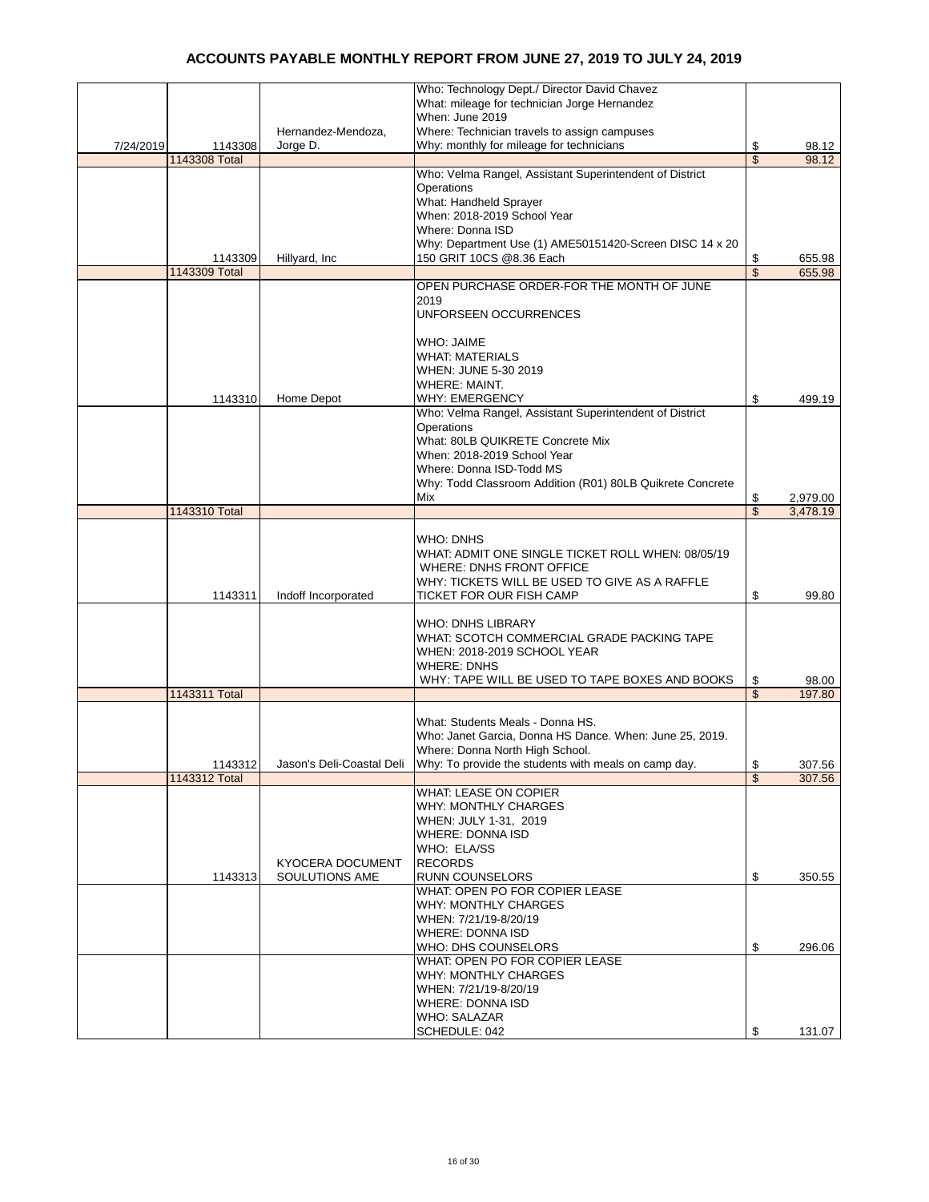|           |               |                         | Who: Technology Dept./ Director David Chavez                                     |                         |                 |
|-----------|---------------|-------------------------|----------------------------------------------------------------------------------|-------------------------|-----------------|
|           |               |                         | What: mileage for technician Jorge Hernandez                                     |                         |                 |
|           |               |                         | When: June 2019                                                                  |                         |                 |
|           |               | Hernandez-Mendoza,      | Where: Technician travels to assign campuses                                     |                         |                 |
| 7/24/2019 | 1143308       | Jorge D.                | Why: monthly for mileage for technicians                                         | \$                      | 98.12           |
|           | 1143308 Total |                         |                                                                                  | \$                      | 98.12           |
|           |               |                         | Who: Velma Rangel, Assistant Superintendent of District                          |                         |                 |
|           |               |                         | Operations                                                                       |                         |                 |
|           |               |                         | What: Handheld Sprayer                                                           |                         |                 |
|           |               |                         | When: 2018-2019 School Year                                                      |                         |                 |
|           |               |                         | Where: Donna ISD                                                                 |                         |                 |
|           |               |                         | Why: Department Use (1) AME50151420-Screen DISC 14 x 20                          |                         |                 |
|           | 1143309       | Hillyard, Inc           | 150 GRIT 10CS @8.36 Each                                                         | \$                      | 655.98          |
|           | 1143309 Total |                         |                                                                                  | \$                      | 655.98          |
|           |               |                         | OPEN PURCHASE ORDER-FOR THE MONTH OF JUNE                                        |                         |                 |
|           |               |                         | 2019<br>UNFORSEEN OCCURRENCES                                                    |                         |                 |
|           |               |                         |                                                                                  |                         |                 |
|           |               |                         | <b>WHO: JAIME</b>                                                                |                         |                 |
|           |               |                         | <b>WHAT: MATERIALS</b>                                                           |                         |                 |
|           |               |                         | WHEN: JUNE 5-30 2019                                                             |                         |                 |
|           |               |                         | <b>WHERE: MAINT.</b>                                                             |                         |                 |
|           | 1143310       | Home Depot              | <b>WHY: EMERGENCY</b>                                                            | \$                      | 499.19          |
|           |               |                         | Who: Velma Rangel, Assistant Superintendent of District                          |                         |                 |
|           |               |                         | Operations                                                                       |                         |                 |
|           |               |                         | What: 80LB QUIKRETE Concrete Mix                                                 |                         |                 |
|           |               |                         | When: 2018-2019 School Year                                                      |                         |                 |
|           |               |                         | Where: Donna ISD-Todd MS                                                         |                         |                 |
|           |               |                         | Why: Todd Classroom Addition (R01) 80LB Quikrete Concrete                        |                         |                 |
|           |               |                         | Mix                                                                              | \$                      | 2,979.00        |
|           | 1143310 Total |                         |                                                                                  | $\overline{\mathbb{S}}$ | 3,478.19        |
|           |               |                         |                                                                                  |                         |                 |
|           |               |                         | <b>WHO: DNHS</b>                                                                 |                         |                 |
|           |               |                         | WHAT: ADMIT ONE SINGLE TICKET ROLL WHEN: 08/05/19                                |                         |                 |
|           |               |                         | WHERE: DNHS FRONT OFFICE                                                         |                         |                 |
|           |               |                         | WHY: TICKETS WILL BE USED TO GIVE AS A RAFFLE                                    |                         |                 |
|           | 1143311       | Indoff Incorporated     | TICKET FOR OUR FISH CAMP                                                         | \$                      | 99.80           |
|           |               |                         |                                                                                  |                         |                 |
|           |               |                         | <b>WHO: DNHS LIBRARY</b>                                                         |                         |                 |
|           |               |                         | WHAT: SCOTCH COMMERCIAL GRADE PACKING TAPE                                       |                         |                 |
|           |               |                         | WHEN: 2018-2019 SCHOOL YEAR<br><b>WHERE: DNHS</b>                                |                         |                 |
|           |               |                         |                                                                                  |                         |                 |
|           | 1143311 Total |                         | WHY: TAPE WILL BE USED TO TAPE BOXES AND BOOKS                                   | \$<br>\$                | 98.00<br>197.80 |
|           |               |                         |                                                                                  |                         |                 |
|           |               |                         | What: Students Meals - Donna HS.                                                 |                         |                 |
|           |               |                         | Who: Janet Garcia, Donna HS Dance. When: June 25, 2019.                          |                         |                 |
|           |               |                         | Where: Donna North High School.                                                  |                         |                 |
|           | 1143312       |                         | Jason's Deli-Coastal Deli   Why: To provide the students with meals on camp day. | \$                      | 307.56          |
|           | 1143312 Total |                         |                                                                                  | \$                      | 307.56          |
|           |               |                         | <b>WHAT: LEASE ON COPIER</b>                                                     |                         |                 |
|           |               |                         | <b>WHY: MONTHLY CHARGES</b>                                                      |                         |                 |
|           |               |                         | WHEN: JULY 1-31, 2019                                                            |                         |                 |
|           |               |                         | <b>WHERE: DONNA ISD</b>                                                          |                         |                 |
|           |               |                         | WHO: ELA/SS                                                                      |                         |                 |
|           |               | <b>KYOCERA DOCUMENT</b> | <b>RECORDS</b>                                                                   |                         |                 |
|           | 1143313       | SOULUTIONS AME          | <b>RUNN COUNSELORS</b>                                                           | \$                      | 350.55          |
|           |               |                         | WHAT: OPEN PO FOR COPIER LEASE                                                   |                         |                 |
|           |               |                         | <b>WHY: MONTHLY CHARGES</b>                                                      |                         |                 |
|           |               |                         | WHEN: 7/21/19-8/20/19                                                            |                         |                 |
|           |               |                         | <b>WHERE: DONNA ISD</b>                                                          |                         |                 |
|           |               |                         | WHO: DHS COUNSELORS                                                              | \$                      | 296.06          |
|           |               |                         | WHAT: OPEN PO FOR COPIER LEASE                                                   |                         |                 |
|           |               |                         | <b>WHY: MONTHLY CHARGES</b>                                                      |                         |                 |
|           |               |                         | WHEN: 7/21/19-8/20/19                                                            |                         |                 |
|           |               |                         | <b>WHERE: DONNA ISD</b>                                                          |                         |                 |
|           |               |                         | WHO: SALAZAR                                                                     | \$                      |                 |
|           |               |                         | SCHEDULE: 042                                                                    |                         | 131.07          |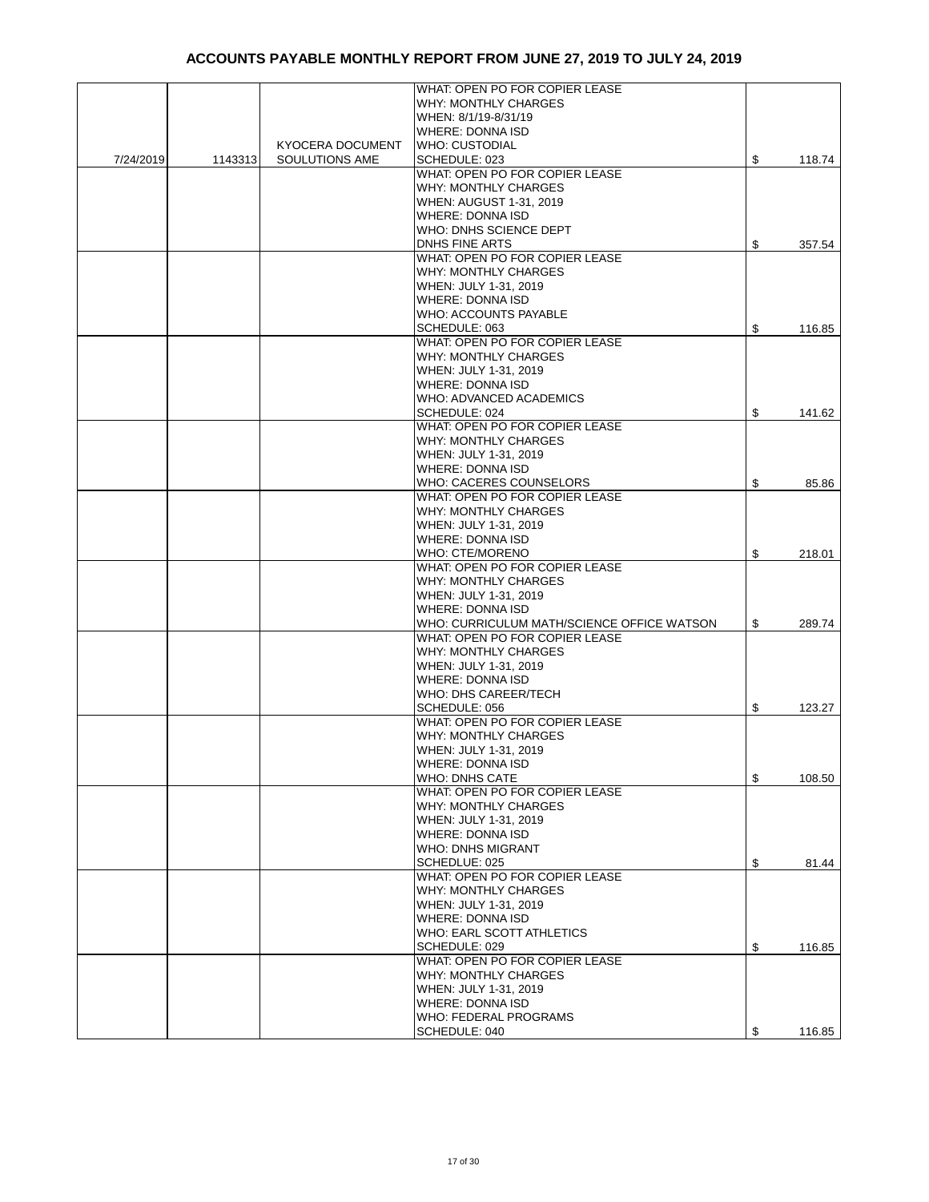|           |         |                         | WHAT: OPEN PO FOR COPIER LEASE             |              |
|-----------|---------|-------------------------|--------------------------------------------|--------------|
|           |         |                         | <b>WHY: MONTHLY CHARGES</b>                |              |
|           |         |                         | WHEN: 8/1/19-8/31/19                       |              |
|           |         |                         | <b>WHERE: DONNA ISD</b>                    |              |
|           |         | <b>KYOCERA DOCUMENT</b> | <b>WHO: CUSTODIAL</b>                      |              |
| 7/24/2019 | 1143313 | SOULUTIONS AME          | SCHEDULE: 023                              | \$<br>118.74 |
|           |         |                         | WHAT: OPEN PO FOR COPIER LEASE             |              |
|           |         |                         |                                            |              |
|           |         |                         | WHY: MONTHLY CHARGES                       |              |
|           |         |                         | <b>WHEN: AUGUST 1-31, 2019</b>             |              |
|           |         |                         | <b>WHERE: DONNA ISD</b>                    |              |
|           |         |                         | WHO: DNHS SCIENCE DEPT                     |              |
|           |         |                         | <b>DNHS FINE ARTS</b>                      | \$<br>357.54 |
|           |         |                         | WHAT: OPEN PO FOR COPIER LEASE             |              |
|           |         |                         | WHY: MONTHLY CHARGES                       |              |
|           |         |                         | WHEN: JULY 1-31, 2019                      |              |
|           |         |                         | <b>WHERE: DONNA ISD</b>                    |              |
|           |         |                         | <b>WHO: ACCOUNTS PAYABLE</b>               |              |
|           |         |                         | SCHEDULE: 063                              | \$<br>116.85 |
|           |         |                         | WHAT: OPEN PO FOR COPIER LEASE             |              |
|           |         |                         |                                            |              |
|           |         |                         | <b>WHY: MONTHLY CHARGES</b>                |              |
|           |         |                         | WHEN: JULY 1-31, 2019                      |              |
|           |         |                         | <b>WHERE: DONNA ISD</b>                    |              |
|           |         |                         | WHO: ADVANCED ACADEMICS                    |              |
|           |         |                         | SCHEDULE: 024                              | \$<br>141.62 |
|           |         |                         | WHAT: OPEN PO FOR COPIER LEASE             |              |
|           |         |                         | WHY: MONTHLY CHARGES                       |              |
|           |         |                         | WHEN: JULY 1-31, 2019                      |              |
|           |         |                         | <b>WHERE: DONNA ISD</b>                    |              |
|           |         |                         | WHO: CACERES COUNSELORS                    | \$<br>85.86  |
|           |         |                         | WHAT: OPEN PO FOR COPIER LEASE             |              |
|           |         |                         | <b>WHY: MONTHLY CHARGES</b>                |              |
|           |         |                         | WHEN: JULY 1-31, 2019                      |              |
|           |         |                         |                                            |              |
|           |         |                         | <b>WHERE: DONNA ISD</b>                    |              |
|           |         |                         | <b>WHO: CTE/MORENO</b>                     | \$<br>218.01 |
|           |         |                         | WHAT: OPEN PO FOR COPIER LEASE             |              |
|           |         |                         | <b>WHY: MONTHLY CHARGES</b>                |              |
|           |         |                         | WHEN: JULY 1-31, 2019                      |              |
|           |         |                         | <b>WHERE: DONNA ISD</b>                    |              |
|           |         |                         | WHO: CURRICULUM MATH/SCIENCE OFFICE WATSON | \$<br>289.74 |
|           |         |                         | WHAT: OPEN PO FOR COPIER LEASE             |              |
|           |         |                         | <b>WHY: MONTHLY CHARGES</b>                |              |
|           |         |                         | WHEN: JULY 1-31, 2019                      |              |
|           |         |                         | <b>WHERE: DONNA ISD</b>                    |              |
|           |         |                         | WHO: DHS CAREER/TECH                       |              |
|           |         |                         | SCHEDULE: 056                              | \$<br>123.27 |
|           |         |                         | WHAT: OPEN PO FOR COPIER LEASE             |              |
|           |         |                         | <b>WHY: MONTHLY CHARGES</b>                |              |
|           |         |                         |                                            |              |
|           |         |                         | WHEN: JULY 1-31, 2019                      |              |
|           |         |                         | WHERE: DONNA ISD                           |              |
|           |         |                         | <b>WHO: DNHS CATE</b>                      | \$<br>108.50 |
|           |         |                         | WHAT: OPEN PO FOR COPIER LEASE             |              |
|           |         |                         | <b>WHY: MONTHLY CHARGES</b>                |              |
|           |         |                         | WHEN: JULY 1-31, 2019                      |              |
|           |         |                         | <b>WHERE: DONNA ISD</b>                    |              |
|           |         |                         | <b>WHO: DNHS MIGRANT</b>                   |              |
|           |         |                         | SCHEDLUE: 025                              | \$<br>81.44  |
|           |         |                         | WHAT: OPEN PO FOR COPIER LEASE             |              |
|           |         |                         | <b>WHY: MONTHLY CHARGES</b>                |              |
|           |         |                         | WHEN: JULY 1-31, 2019                      |              |
|           |         |                         | <b>WHERE: DONNA ISD</b>                    |              |
|           |         |                         | WHO: EARL SCOTT ATHLETICS                  |              |
|           |         |                         | SCHEDULE: 029                              | \$<br>116.85 |
|           |         |                         | WHAT: OPEN PO FOR COPIER LEASE             |              |
|           |         |                         |                                            |              |
|           |         |                         | <b>WHY: MONTHLY CHARGES</b>                |              |
|           |         |                         | WHEN: JULY 1-31, 2019                      |              |
|           |         |                         | <b>WHERE: DONNA ISD</b>                    |              |
|           |         |                         | WHO: FEDERAL PROGRAMS                      |              |
|           |         |                         | SCHEDULE: 040                              | \$<br>116.85 |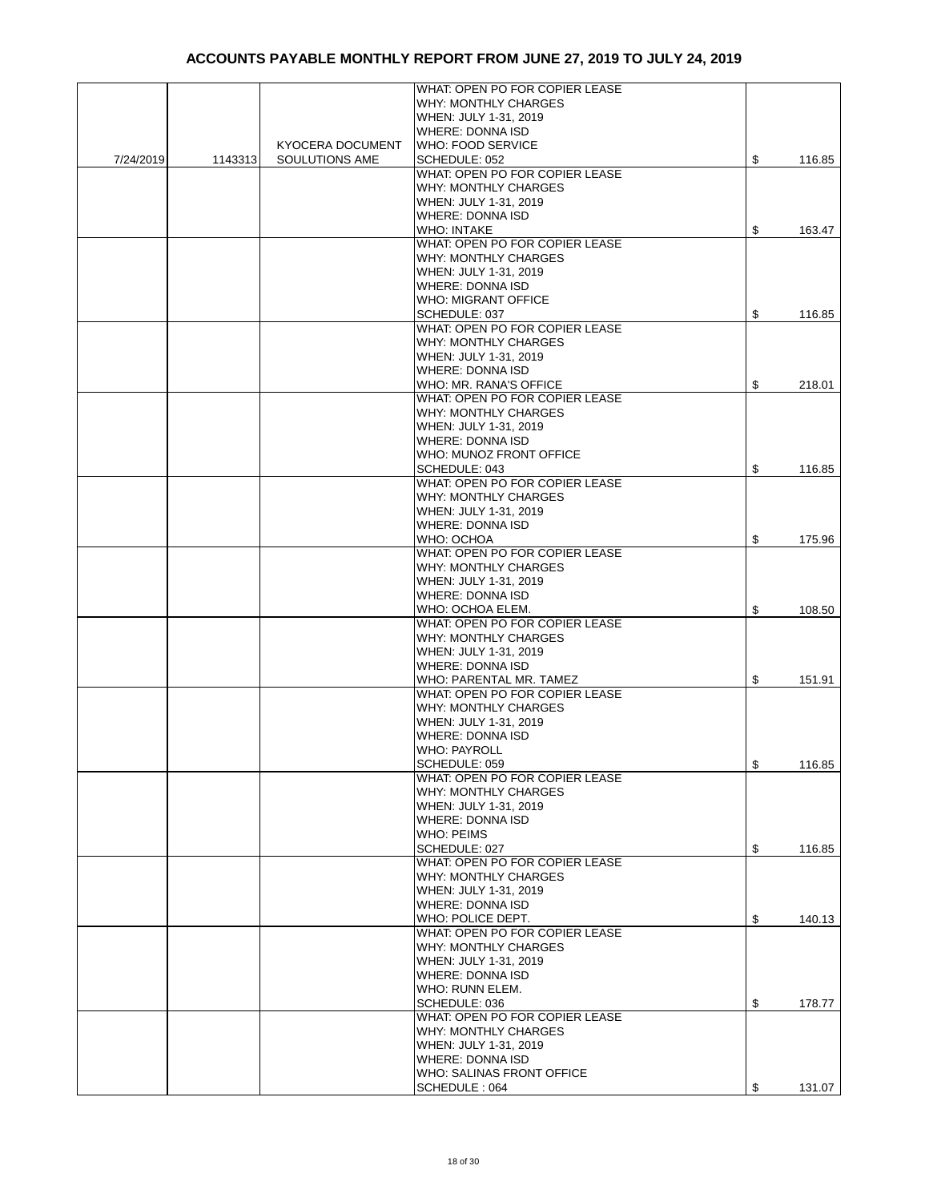|           |         |                         | WHAT: OPEN PO FOR COPIER LEASE |               |        |
|-----------|---------|-------------------------|--------------------------------|---------------|--------|
|           |         |                         | WHY: MONTHLY CHARGES           |               |        |
|           |         |                         | WHEN: JULY 1-31, 2019          |               |        |
|           |         |                         | <b>WHERE: DONNA ISD</b>        |               |        |
|           |         | <b>KYOCERA DOCUMENT</b> | <b>WHO: FOOD SERVICE</b>       |               |        |
|           |         |                         |                                |               | 116.85 |
| 7/24/2019 | 1143313 | SOULUTIONS AME          | SCHEDULE: 052                  | \$            |        |
|           |         |                         | WHAT: OPEN PO FOR COPIER LEASE |               |        |
|           |         |                         | <b>WHY: MONTHLY CHARGES</b>    |               |        |
|           |         |                         | WHEN: JULY 1-31, 2019          |               |        |
|           |         |                         | <b>WHERE: DONNA ISD</b>        |               |        |
|           |         |                         | <b>WHO: INTAKE</b>             | \$            | 163.47 |
|           |         |                         | WHAT: OPEN PO FOR COPIER LEASE |               |        |
|           |         |                         | <b>WHY: MONTHLY CHARGES</b>    |               |        |
|           |         |                         | WHEN: JULY 1-31, 2019          |               |        |
|           |         |                         | <b>WHERE: DONNA ISD</b>        |               |        |
|           |         |                         | <b>WHO: MIGRANT OFFICE</b>     |               |        |
|           |         |                         | SCHEDULE: 037                  | \$            |        |
|           |         |                         |                                |               | 116.85 |
|           |         |                         | WHAT: OPEN PO FOR COPIER LEASE |               |        |
|           |         |                         | <b>WHY: MONTHLY CHARGES</b>    |               |        |
|           |         |                         | WHEN: JULY 1-31, 2019          |               |        |
|           |         |                         | <b>WHERE: DONNA ISD</b>        |               |        |
|           |         |                         | WHO: MR. RANA'S OFFICE         | \$            | 218.01 |
|           |         |                         | WHAT: OPEN PO FOR COPIER LEASE |               |        |
|           |         |                         | WHY: MONTHLY CHARGES           |               |        |
|           |         |                         | WHEN: JULY 1-31, 2019          |               |        |
|           |         |                         | <b>WHERE: DONNA ISD</b>        |               |        |
|           |         |                         | WHO: MUNOZ FRONT OFFICE        |               |        |
|           |         |                         | SCHEDULE: 043                  | \$            | 116.85 |
|           |         |                         | WHAT: OPEN PO FOR COPIER LEASE |               |        |
|           |         |                         |                                |               |        |
|           |         |                         | <b>WHY: MONTHLY CHARGES</b>    |               |        |
|           |         |                         | WHEN: JULY 1-31, 2019          |               |        |
|           |         |                         | <b>WHERE: DONNA ISD</b>        |               |        |
|           |         |                         | WHO: OCHOA                     | \$            | 175.96 |
|           |         |                         | WHAT: OPEN PO FOR COPIER LEASE |               |        |
|           |         |                         | <b>WHY: MONTHLY CHARGES</b>    |               |        |
|           |         |                         | WHEN: JULY 1-31, 2019          |               |        |
|           |         |                         | <b>WHERE: DONNA ISD</b>        |               |        |
|           |         |                         | WHO: OCHOA ELEM.               | \$            | 108.50 |
|           |         |                         | WHAT: OPEN PO FOR COPIER LEASE |               |        |
|           |         |                         | <b>WHY: MONTHLY CHARGES</b>    |               |        |
|           |         |                         | WHEN: JULY 1-31, 2019          |               |        |
|           |         |                         | <b>WHERE: DONNA ISD</b>        |               |        |
|           |         |                         | WHO: PARENTAL MR. TAMEZ        | \$            | 151.91 |
|           |         |                         | WHAT: OPEN PO FOR COPIER LEASE |               |        |
|           |         |                         | <b>WHY: MONTHLY CHARGES</b>    |               |        |
|           |         |                         |                                |               |        |
|           |         |                         | WHEN: JULY 1-31, 2019          |               |        |
|           |         |                         | <b>WHERE: DONNA ISD</b>        |               |        |
|           |         |                         | <b>WHO: PAYROLL</b>            |               |        |
|           |         |                         | SCHEDULE: 059                  | \$            | 116.85 |
|           |         |                         | WHAT: OPEN PO FOR COPIER LEASE |               |        |
|           |         |                         | <b>WHY: MONTHLY CHARGES</b>    |               |        |
|           |         |                         | WHEN: JULY 1-31, 2019          |               |        |
|           |         |                         | <b>WHERE: DONNA ISD</b>        |               |        |
|           |         |                         | <b>WHO: PEIMS</b>              |               |        |
|           |         |                         | SCHEDULE: 027                  | \$            | 116.85 |
|           |         |                         | WHAT: OPEN PO FOR COPIER LEASE |               |        |
|           |         |                         | <b>WHY: MONTHLY CHARGES</b>    |               |        |
|           |         |                         | WHEN: JULY 1-31, 2019          |               |        |
|           |         |                         | <b>WHERE: DONNA ISD</b>        |               |        |
|           |         |                         |                                |               |        |
|           |         |                         | WHO: POLICE DEPT.              | \$            | 140.13 |
|           |         |                         | WHAT: OPEN PO FOR COPIER LEASE |               |        |
|           |         |                         | <b>WHY: MONTHLY CHARGES</b>    |               |        |
|           |         |                         | WHEN: JULY 1-31, 2019          |               |        |
|           |         |                         | <b>WHERE: DONNA ISD</b>        |               |        |
|           |         |                         | WHO: RUNN ELEM.                |               |        |
|           |         |                         | SCHEDULE: 036                  | \$            | 178.77 |
|           |         |                         | WHAT: OPEN PO FOR COPIER LEASE |               |        |
|           |         |                         | <b>WHY: MONTHLY CHARGES</b>    |               |        |
|           |         |                         | WHEN: JULY 1-31, 2019          |               |        |
|           |         |                         | <b>WHERE: DONNA ISD</b>        |               |        |
|           |         |                         | WHO: SALINAS FRONT OFFICE      |               |        |
|           |         |                         | SCHEDULE: 064                  | $\mathfrak s$ | 131.07 |
|           |         |                         |                                |               |        |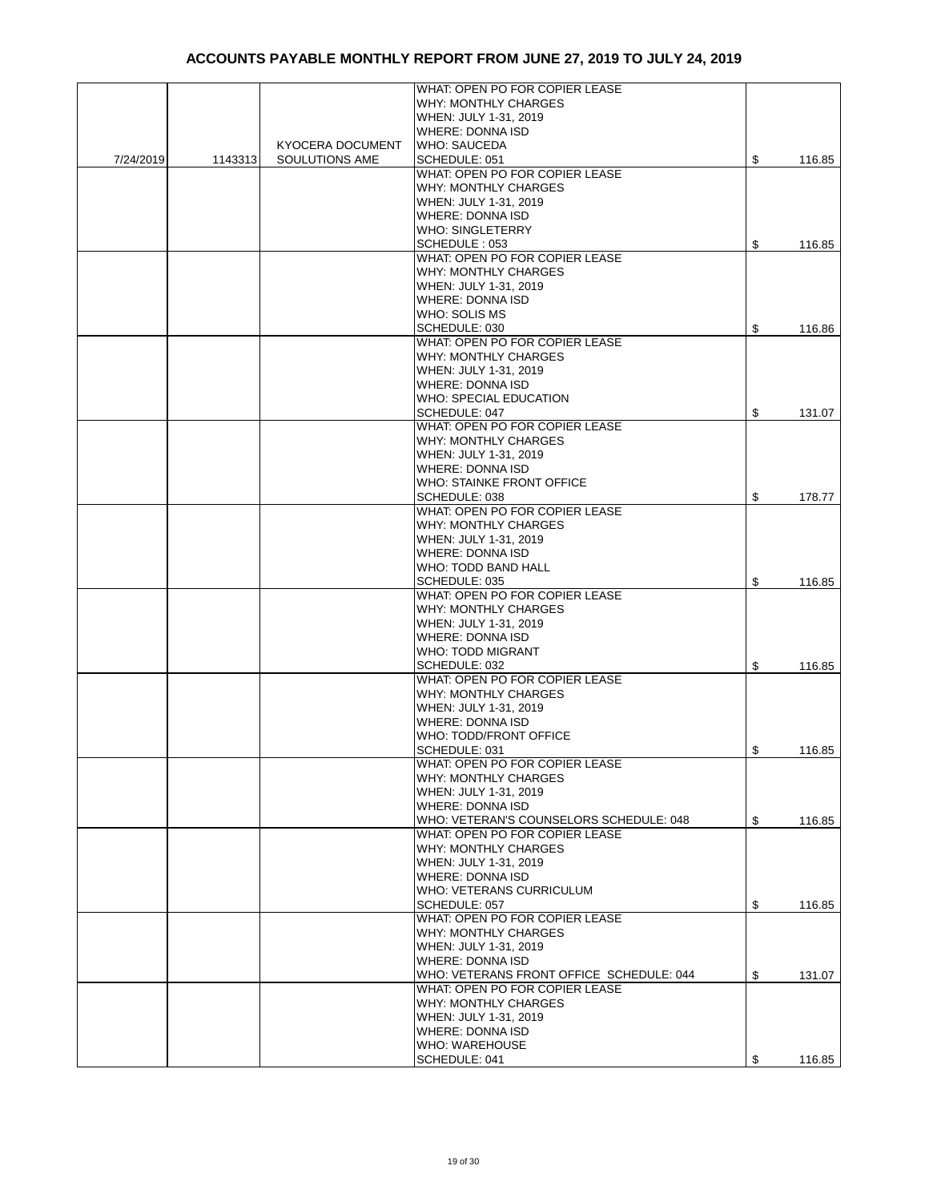|           |         |                         | WHAT: OPEN PO FOR COPIER LEASE           |              |
|-----------|---------|-------------------------|------------------------------------------|--------------|
|           |         |                         | WHY: MONTHLY CHARGES                     |              |
|           |         |                         |                                          |              |
|           |         |                         | WHEN: JULY 1-31, 2019                    |              |
|           |         |                         | <b>WHERE: DONNA ISD</b>                  |              |
|           |         | <b>KYOCERA DOCUMENT</b> | <b>WHO: SAUCEDA</b>                      |              |
| 7/24/2019 | 1143313 | SOULUTIONS AME          | SCHEDULE: 051                            | \$<br>116.85 |
|           |         |                         | WHAT: OPEN PO FOR COPIER LEASE           |              |
|           |         |                         | <b>WHY: MONTHLY CHARGES</b>              |              |
|           |         |                         |                                          |              |
|           |         |                         | WHEN: JULY 1-31, 2019                    |              |
|           |         |                         | <b>WHERE: DONNA ISD</b>                  |              |
|           |         |                         | <b>WHO: SINGLETERRY</b>                  |              |
|           |         |                         | SCHEDULE: 053                            | \$<br>116.85 |
|           |         |                         | WHAT: OPEN PO FOR COPIER LEASE           |              |
|           |         |                         |                                          |              |
|           |         |                         | WHY: MONTHLY CHARGES                     |              |
|           |         |                         | WHEN: JULY 1-31, 2019                    |              |
|           |         |                         | <b>WHERE: DONNA ISD</b>                  |              |
|           |         |                         | WHO: SOLIS MS                            |              |
|           |         |                         | SCHEDULE: 030                            | \$<br>116.86 |
|           |         |                         | WHAT: OPEN PO FOR COPIER LEASE           |              |
|           |         |                         |                                          |              |
|           |         |                         | <b>WHY: MONTHLY CHARGES</b>              |              |
|           |         |                         | WHEN: JULY 1-31, 2019                    |              |
|           |         |                         | <b>WHERE: DONNA ISD</b>                  |              |
|           |         |                         | WHO: SPECIAL EDUCATION                   |              |
|           |         |                         |                                          |              |
|           |         |                         | SCHEDULE: 047                            | \$<br>131.07 |
|           |         |                         | WHAT: OPEN PO FOR COPIER LEASE           |              |
|           |         |                         | <b>WHY: MONTHLY CHARGES</b>              |              |
|           |         |                         | WHEN: JULY 1-31, 2019                    |              |
|           |         |                         | <b>WHERE: DONNA ISD</b>                  |              |
|           |         |                         |                                          |              |
|           |         |                         | WHO: STAINKE FRONT OFFICE                |              |
|           |         |                         | SCHEDULE: 038                            | \$<br>178.77 |
|           |         |                         | WHAT: OPEN PO FOR COPIER LEASE           |              |
|           |         |                         | <b>WHY: MONTHLY CHARGES</b>              |              |
|           |         |                         | WHEN: JULY 1-31, 2019                    |              |
|           |         |                         | <b>WHERE: DONNA ISD</b>                  |              |
|           |         |                         |                                          |              |
|           |         |                         | WHO: TODD BAND HALL                      |              |
|           |         |                         | SCHEDULE: 035                            | \$<br>116.85 |
|           |         |                         | WHAT: OPEN PO FOR COPIER LEASE           |              |
|           |         |                         | WHY: MONTHLY CHARGES                     |              |
|           |         |                         |                                          |              |
|           |         |                         | WHEN: JULY 1-31, 2019                    |              |
|           |         |                         | <b>WHERE: DONNA ISD</b>                  |              |
|           |         |                         | WHO: TODD MIGRANT                        |              |
|           |         |                         | SCHEDULE: 032                            | \$<br>116.85 |
|           |         |                         | WHAT: OPEN PO FOR COPIER LEASE           |              |
|           |         |                         | <b>WHY: MONTHLY CHARGES</b>              |              |
|           |         |                         |                                          |              |
|           |         |                         | WHEN: JULY 1-31, 2019                    |              |
|           |         |                         | <b>WHERE: DONNA ISD</b>                  |              |
|           |         |                         | WHO: TODD/FRONT OFFICE                   |              |
|           |         |                         | SCHEDULE: 031                            | \$<br>116.85 |
|           |         |                         | WHAT: OPEN PO FOR COPIER LEASE           |              |
|           |         |                         |                                          |              |
|           |         |                         | <b>WHY: MONTHLY CHARGES</b>              |              |
|           |         |                         | WHEN: JULY 1-31, 2019                    |              |
|           |         |                         | <b>WHERE: DONNA ISD</b>                  |              |
|           |         |                         | WHO: VETERAN'S COUNSELORS SCHEDULE: 048  | \$<br>116.85 |
|           |         |                         | WHAT: OPEN PO FOR COPIER LEASE           |              |
|           |         |                         |                                          |              |
|           |         |                         | <b>WHY: MONTHLY CHARGES</b>              |              |
|           |         |                         | WHEN: JULY 1-31, 2019                    |              |
|           |         |                         | WHERE: DONNA ISD                         |              |
|           |         |                         | WHO: VETERANS CURRICULUM                 |              |
|           |         |                         | SCHEDULE: 057                            | \$<br>116.85 |
|           |         |                         | WHAT: OPEN PO FOR COPIER LEASE           |              |
|           |         |                         |                                          |              |
|           |         |                         | <b>WHY: MONTHLY CHARGES</b>              |              |
|           |         |                         | WHEN: JULY 1-31, 2019                    |              |
|           |         |                         | <b>WHERE: DONNA ISD</b>                  |              |
|           |         |                         | WHO: VETERANS FRONT OFFICE SCHEDULE: 044 | \$<br>131.07 |
|           |         |                         | WHAT: OPEN PO FOR COPIER LEASE           |              |
|           |         |                         |                                          |              |
|           |         |                         | <b>WHY: MONTHLY CHARGES</b>              |              |
|           |         |                         | WHEN: JULY 1-31, 2019                    |              |
|           |         |                         | WHERE: DONNA ISD                         |              |
|           |         |                         | <b>WHO: WAREHOUSE</b>                    |              |
|           |         |                         |                                          |              |
|           |         |                         | SCHEDULE: 041                            | \$<br>116.85 |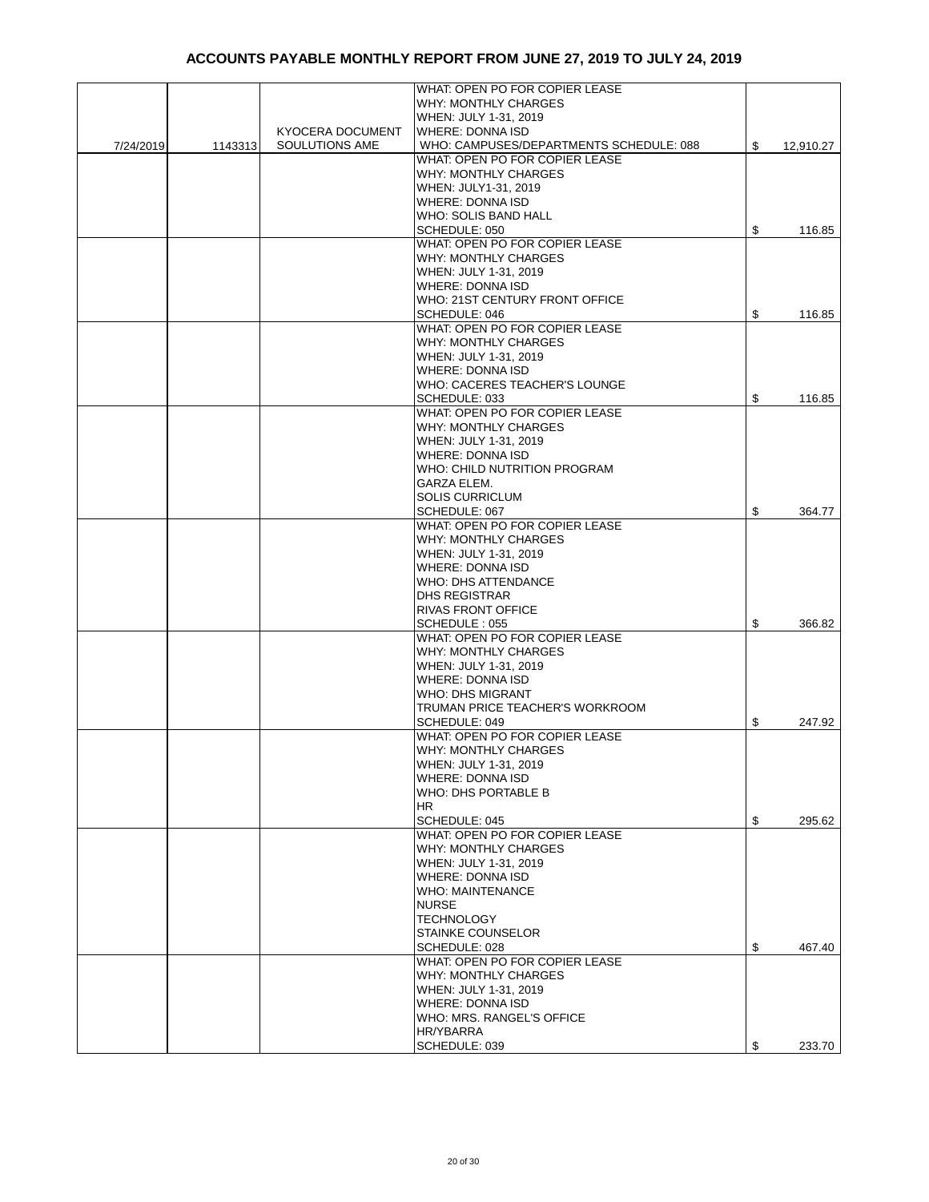|           |         |                  | WHAT: OPEN PO FOR COPIER LEASE          |                 |
|-----------|---------|------------------|-----------------------------------------|-----------------|
|           |         |                  |                                         |                 |
|           |         |                  | <b>WHY: MONTHLY CHARGES</b>             |                 |
|           |         |                  | WHEN: JULY 1-31, 2019                   |                 |
|           |         | KYOCERA DOCUMENT | <b>WHERE: DONNA ISD</b>                 |                 |
| 7/24/2019 | 1143313 | SOULUTIONS AME   | WHO: CAMPUSES/DEPARTMENTS SCHEDULE: 088 | \$<br>12,910.27 |
|           |         |                  | WHAT: OPEN PO FOR COPIER LEASE          |                 |
|           |         |                  |                                         |                 |
|           |         |                  | <b>WHY: MONTHLY CHARGES</b>             |                 |
|           |         |                  | WHEN: JULY1-31, 2019                    |                 |
|           |         |                  | <b>WHERE: DONNA ISD</b>                 |                 |
|           |         |                  | WHO: SOLIS BAND HALL                    |                 |
|           |         |                  | SCHEDULE: 050                           | \$<br>116.85    |
|           |         |                  | WHAT: OPEN PO FOR COPIER LEASE          |                 |
|           |         |                  |                                         |                 |
|           |         |                  | <b>WHY: MONTHLY CHARGES</b>             |                 |
|           |         |                  | WHEN: JULY 1-31, 2019                   |                 |
|           |         |                  | <b>WHERE: DONNA ISD</b>                 |                 |
|           |         |                  | WHO: 21ST CENTURY FRONT OFFICE          |                 |
|           |         |                  | SCHEDULE: 046                           | \$<br>116.85    |
|           |         |                  | WHAT: OPEN PO FOR COPIER LEASE          |                 |
|           |         |                  |                                         |                 |
|           |         |                  | <b>WHY: MONTHLY CHARGES</b>             |                 |
|           |         |                  | WHEN: JULY 1-31, 2019                   |                 |
|           |         |                  | WHERE: DONNA ISD                        |                 |
|           |         |                  | WHO: CACERES TEACHER'S LOUNGE           |                 |
|           |         |                  | SCHEDULE: 033                           | \$<br>116.85    |
|           |         |                  | WHAT: OPEN PO FOR COPIER LEASE          |                 |
|           |         |                  |                                         |                 |
|           |         |                  | <b>WHY: MONTHLY CHARGES</b>             |                 |
|           |         |                  | WHEN: JULY 1-31, 2019                   |                 |
|           |         |                  | <b>WHERE: DONNA ISD</b>                 |                 |
|           |         |                  | WHO: CHILD NUTRITION PROGRAM            |                 |
|           |         |                  | GARZA ELEM.                             |                 |
|           |         |                  | <b>SOLIS CURRICLUM</b>                  |                 |
|           |         |                  | SCHEDULE: 067                           |                 |
|           |         |                  |                                         | \$<br>364.77    |
|           |         |                  | WHAT: OPEN PO FOR COPIER LEASE          |                 |
|           |         |                  | <b>WHY: MONTHLY CHARGES</b>             |                 |
|           |         |                  | WHEN: JULY 1-31, 2019                   |                 |
|           |         |                  | <b>WHERE: DONNA ISD</b>                 |                 |
|           |         |                  | <b>WHO: DHS ATTENDANCE</b>              |                 |
|           |         |                  |                                         |                 |
|           |         |                  | <b>DHS REGISTRAR</b>                    |                 |
|           |         |                  | <b>RIVAS FRONT OFFICE</b>               |                 |
|           |         |                  | SCHEDULE: 055                           | \$<br>366.82    |
|           |         |                  | WHAT: OPEN PO FOR COPIER LEASE          |                 |
|           |         |                  | <b>WHY: MONTHLY CHARGES</b>             |                 |
|           |         |                  | WHEN: JULY 1-31, 2019                   |                 |
|           |         |                  | <b>WHERE: DONNA ISD</b>                 |                 |
|           |         |                  |                                         |                 |
|           |         |                  | <b>WHO: DHS MIGRANT</b>                 |                 |
|           |         |                  | TRUMAN PRICE TEACHER'S WORKROOM         |                 |
|           |         |                  | SCHEDULE: 049                           | \$<br>247.92    |
|           |         |                  | WHAT: OPEN PO FOR COPIER LEASE          |                 |
|           |         |                  | WHY: MONTHLY CHARGES                    |                 |
|           |         |                  | WHEN: JULY 1-31, 2019                   |                 |
|           |         |                  |                                         |                 |
|           |         |                  | <b>WHERE: DONNA ISD</b>                 |                 |
|           |         |                  | WHO: DHS PORTABLE B                     |                 |
|           |         |                  | HR                                      |                 |
|           |         |                  | SCHEDULE: 045                           | \$<br>295.62    |
|           |         |                  | WHAT: OPEN PO FOR COPIER LEASE          |                 |
|           |         |                  | <b>WHY: MONTHLY CHARGES</b>             |                 |
|           |         |                  | WHEN: JULY 1-31, 2019                   |                 |
|           |         |                  |                                         |                 |
|           |         |                  | <b>WHERE: DONNA ISD</b>                 |                 |
|           |         |                  | <b>WHO: MAINTENANCE</b>                 |                 |
|           |         |                  | <b>NURSE</b>                            |                 |
|           |         |                  | <b>TECHNOLOGY</b>                       |                 |
|           |         |                  | <b>STAINKE COUNSELOR</b>                |                 |
|           |         |                  | SCHEDULE: 028                           | \$<br>467.40    |
|           |         |                  |                                         |                 |
|           |         |                  | WHAT: OPEN PO FOR COPIER LEASE          |                 |
|           |         |                  | <b>WHY: MONTHLY CHARGES</b>             |                 |
|           |         |                  | WHEN: JULY 1-31, 2019                   |                 |
|           |         |                  | WHERE: DONNA ISD                        |                 |
|           |         |                  | WHO: MRS. RANGEL'S OFFICE               |                 |
|           |         |                  | HR/YBARRA                               |                 |
|           |         |                  |                                         |                 |
|           |         |                  | SCHEDULE: 039                           | \$<br>233.70    |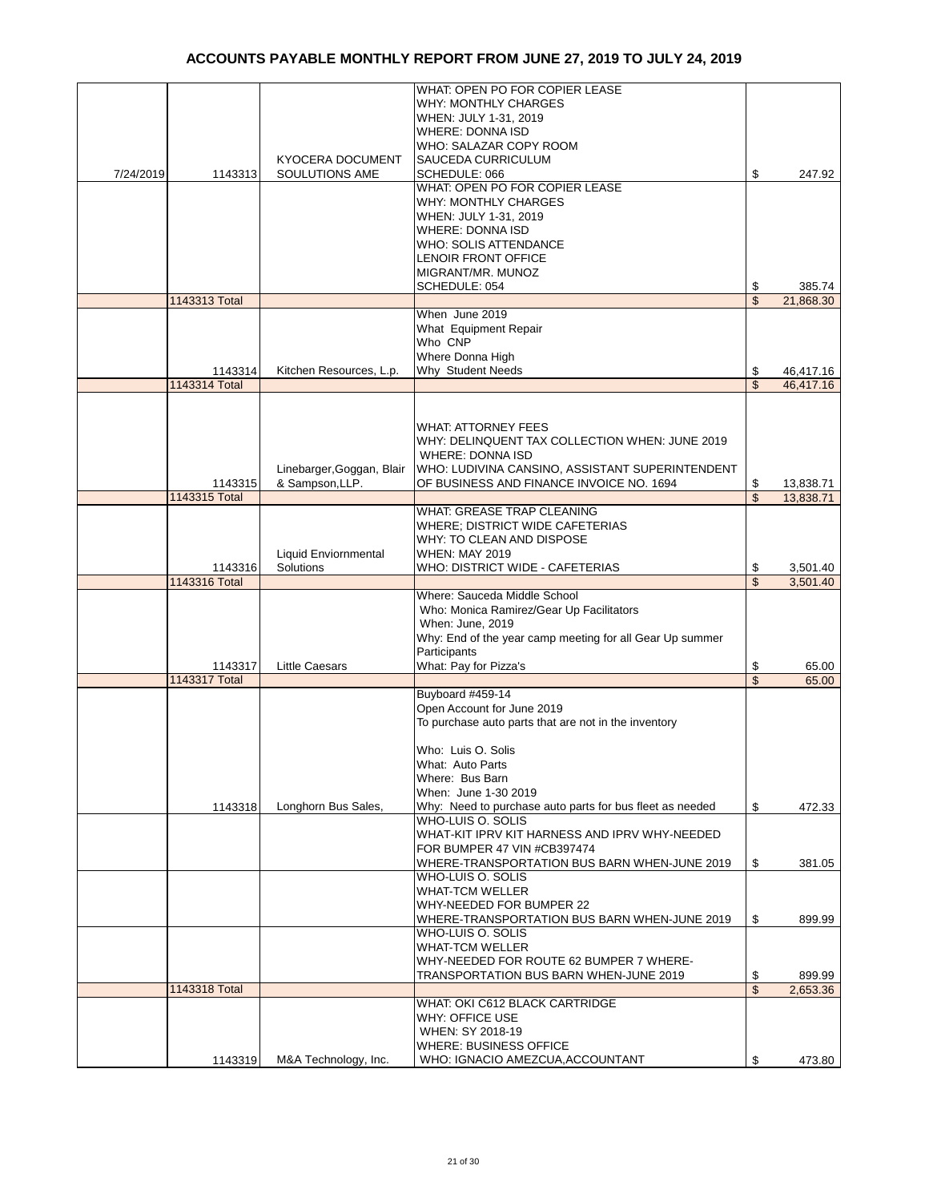|           |               |                           | WHAT: OPEN PO FOR COPIER LEASE                           |                         |           |
|-----------|---------------|---------------------------|----------------------------------------------------------|-------------------------|-----------|
|           |               |                           | <b>WHY: MONTHLY CHARGES</b>                              |                         |           |
|           |               |                           |                                                          |                         |           |
|           |               |                           | WHEN: JULY 1-31, 2019                                    |                         |           |
|           |               |                           | <b>WHERE: DONNA ISD</b>                                  |                         |           |
|           |               |                           | WHO: SALAZAR COPY ROOM                                   |                         |           |
|           |               | <b>KYOCERA DOCUMENT</b>   | <b>SAUCEDA CURRICULUM</b>                                |                         |           |
| 7/24/2019 | 1143313       | SOULUTIONS AME            | SCHEDULE: 066                                            | \$                      | 247.92    |
|           |               |                           | WHAT: OPEN PO FOR COPIER LEASE                           |                         |           |
|           |               |                           |                                                          |                         |           |
|           |               |                           | <b>WHY: MONTHLY CHARGES</b>                              |                         |           |
|           |               |                           | WHEN: JULY 1-31, 2019                                    |                         |           |
|           |               |                           | <b>WHERE: DONNA ISD</b>                                  |                         |           |
|           |               |                           | <b>WHO: SOLIS ATTENDANCE</b>                             |                         |           |
|           |               |                           | <b>LENOIR FRONT OFFICE</b>                               |                         |           |
|           |               |                           | MIGRANT/MR. MUNOZ                                        |                         |           |
|           |               |                           | SCHEDULE: 054                                            |                         |           |
|           |               |                           |                                                          | \$                      | 385.74    |
|           | 1143313 Total |                           |                                                          | $\overline{\mathbb{S}}$ | 21,868.30 |
|           |               |                           | When June 2019                                           |                         |           |
|           |               |                           | What Equipment Repair                                    |                         |           |
|           |               |                           | Who CNP                                                  |                         |           |
|           |               |                           | Where Donna High                                         |                         |           |
|           |               |                           |                                                          |                         |           |
|           | 1143314       | Kitchen Resources, L.p.   | Why Student Needs                                        | \$                      | 46,417.16 |
|           | 1143314 Total |                           |                                                          | \$                      | 46,417.16 |
|           |               |                           |                                                          |                         |           |
|           |               |                           |                                                          |                         |           |
|           |               |                           | <b>WHAT: ATTORNEY FEES</b>                               |                         |           |
|           |               |                           | WHY: DELINQUENT TAX COLLECTION WHEN: JUNE 2019           |                         |           |
|           |               |                           | <b>WHERE: DONNA ISD</b>                                  |                         |           |
|           |               |                           |                                                          |                         |           |
|           |               | Linebarger, Goggan, Blair | WHO: LUDIVINA CANSINO, ASSISTANT SUPERINTENDENT          |                         |           |
|           | 1143315       | & Sampson, LLP.           | OF BUSINESS AND FINANCE INVOICE NO. 1694                 | \$                      | 13,838.71 |
|           | 1143315 Total |                           |                                                          | \$                      | 13,838.71 |
|           |               |                           | WHAT: GREASE TRAP CLEANING                               |                         |           |
|           |               |                           | <b>WHERE: DISTRICT WIDE CAFETERIAS</b>                   |                         |           |
|           |               |                           | WHY: TO CLEAN AND DISPOSE                                |                         |           |
|           |               |                           |                                                          |                         |           |
|           |               | Liquid Enviornmental      | <b>WHEN: MAY 2019</b>                                    |                         |           |
|           | 1143316       | Solutions                 | WHO: DISTRICT WIDE - CAFETERIAS                          | \$                      | 3,501.40  |
|           |               |                           |                                                          |                         |           |
|           | 1143316 Total |                           |                                                          | $\overline{\mathbb{S}}$ | 3,501.40  |
|           |               |                           | Where: Sauceda Middle School                             |                         |           |
|           |               |                           |                                                          |                         |           |
|           |               |                           | Who: Monica Ramirez/Gear Up Facilitators                 |                         |           |
|           |               |                           | When: June, 2019                                         |                         |           |
|           |               |                           | Why: End of the year camp meeting for all Gear Up summer |                         |           |
|           |               |                           | Participants                                             |                         |           |
|           | 1143317       | <b>Little Caesars</b>     | What: Pay for Pizza's                                    | \$                      | 65.00     |
|           | 1143317 Total |                           |                                                          | \$                      | 65.00     |
|           |               |                           | Buyboard #459-14                                         |                         |           |
|           |               |                           |                                                          |                         |           |
|           |               |                           | Open Account for June 2019                               |                         |           |
|           |               |                           | To purchase auto parts that are not in the inventory     |                         |           |
|           |               |                           |                                                          |                         |           |
|           |               |                           | Who: Luis O. Solis                                       |                         |           |
|           |               |                           | What: Auto Parts                                         |                         |           |
|           |               |                           | Where: Bus Barn                                          |                         |           |
|           |               |                           |                                                          |                         |           |
|           |               |                           | When: June 1-30 2019                                     |                         |           |
|           | 1143318       | Longhorn Bus Sales,       | Why: Need to purchase auto parts for bus fleet as needed | \$                      | 472.33    |
|           |               |                           | WHO-LUIS O. SOLIS                                        |                         |           |
|           |               |                           | WHAT-KIT IPRV KIT HARNESS AND IPRV WHY-NEEDED            |                         |           |
|           |               |                           | FOR BUMPER 47 VIN #CB397474                              |                         |           |
|           |               |                           | WHERE-TRANSPORTATION BUS BARN WHEN-JUNE 2019             | \$                      | 381.05    |
|           |               |                           | WHO-LUIS O. SOLIS                                        |                         |           |
|           |               |                           |                                                          |                         |           |
|           |               |                           | <b>WHAT-TCM WELLER</b>                                   |                         |           |
|           |               |                           | WHY-NEEDED FOR BUMPER 22                                 |                         |           |
|           |               |                           | WHERE-TRANSPORTATION BUS BARN WHEN-JUNE 2019             | \$                      | 899.99    |
|           |               |                           | WHO-LUIS O. SOLIS                                        |                         |           |
|           |               |                           | <b>WHAT-TCM WELLER</b>                                   |                         |           |
|           |               |                           |                                                          |                         |           |
|           |               |                           | WHY-NEEDED FOR ROUTE 62 BUMPER 7 WHERE-                  |                         |           |
|           |               |                           | TRANSPORTATION BUS BARN WHEN-JUNE 2019                   | \$                      | 899.99    |
|           | 1143318 Total |                           |                                                          | \$                      | 2,653.36  |
|           |               |                           | WHAT: OKI C612 BLACK CARTRIDGE                           |                         |           |
|           |               |                           | <b>WHY: OFFICE USE</b>                                   |                         |           |
|           |               |                           | WHEN: SY 2018-19                                         |                         |           |
|           |               |                           | <b>WHERE: BUSINESS OFFICE</b>                            |                         |           |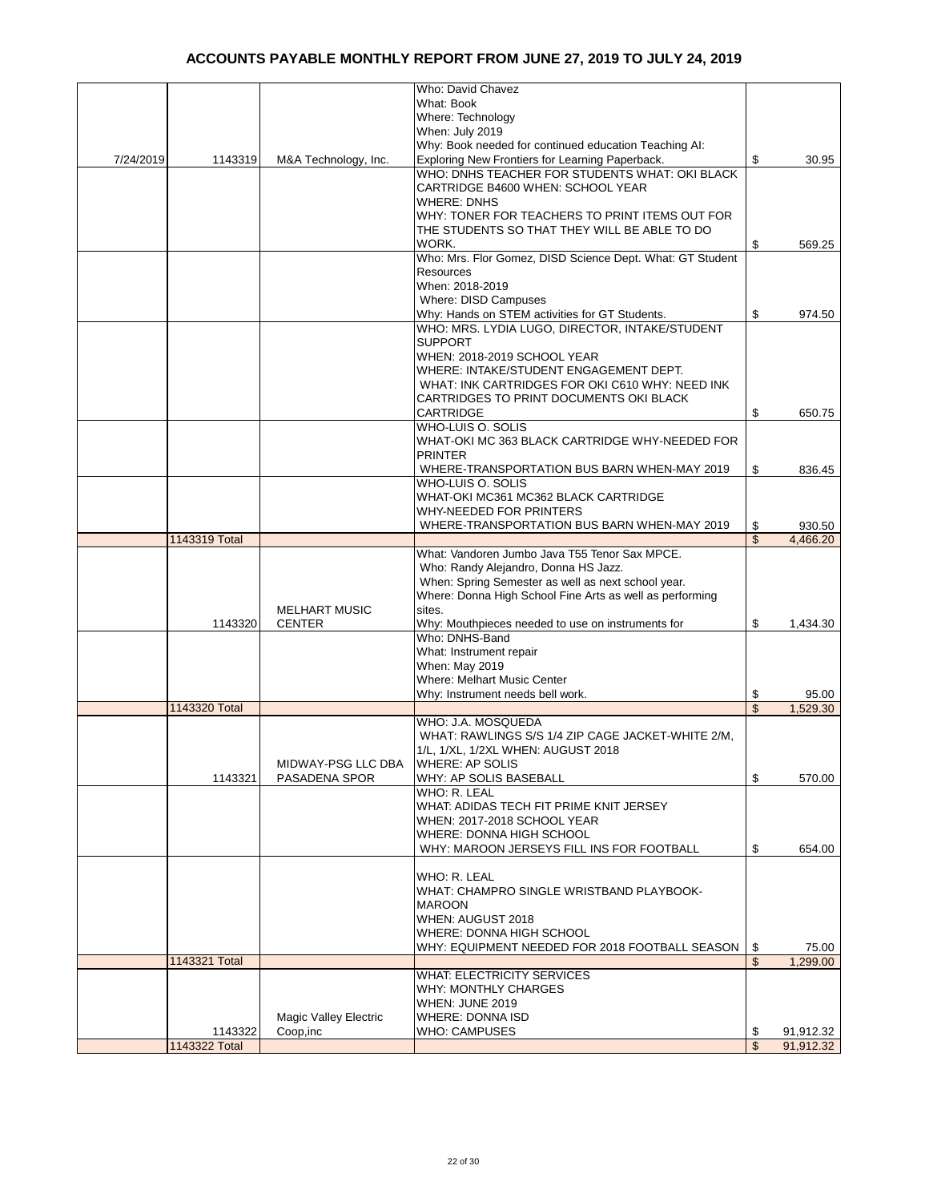|           |               |                              | Who: David Chavez                                         |                          |           |
|-----------|---------------|------------------------------|-----------------------------------------------------------|--------------------------|-----------|
|           |               |                              | What: Book                                                |                          |           |
|           |               |                              | Where: Technology                                         |                          |           |
|           |               |                              | When: July 2019                                           |                          |           |
|           |               |                              | Why: Book needed for continued education Teaching AI:     |                          |           |
| 7/24/2019 | 1143319       | M&A Technology, Inc.         | Exploring New Frontiers for Learning Paperback.           | \$                       | 30.95     |
|           |               |                              | WHO: DNHS TEACHER FOR STUDENTS WHAT: OKI BLACK            |                          |           |
|           |               |                              | CARTRIDGE B4600 WHEN: SCHOOL YEAR                         |                          |           |
|           |               |                              | <b>WHERE: DNHS</b>                                        |                          |           |
|           |               |                              | WHY: TONER FOR TEACHERS TO PRINT ITEMS OUT FOR            |                          |           |
|           |               |                              | THE STUDENTS SO THAT THEY WILL BE ABLE TO DO              |                          |           |
|           |               |                              | WORK.                                                     | \$                       | 569.25    |
|           |               |                              | Who: Mrs. Flor Gomez, DISD Science Dept. What: GT Student |                          |           |
|           |               |                              | Resources                                                 |                          |           |
|           |               |                              | When: 2018-2019                                           |                          |           |
|           |               |                              | Where: DISD Campuses                                      |                          |           |
|           |               |                              | Why: Hands on STEM activities for GT Students.            | \$                       | 974.50    |
|           |               |                              | WHO: MRS. LYDIA LUGO, DIRECTOR, INTAKE/STUDENT            |                          |           |
|           |               |                              | <b>SUPPORT</b>                                            |                          |           |
|           |               |                              | WHEN: 2018-2019 SCHOOL YEAR                               |                          |           |
|           |               |                              | WHERE: INTAKE/STUDENT ENGAGEMENT DEPT.                    |                          |           |
|           |               |                              | WHAT: INK CARTRIDGES FOR OKI C610 WHY: NEED INK           |                          |           |
|           |               |                              | <b>CARTRIDGES TO PRINT DOCUMENTS OKI BLACK</b>            |                          |           |
|           |               |                              | CARTRIDGE                                                 | \$                       | 650.75    |
|           |               |                              | WHO-LUIS O. SOLIS                                         |                          |           |
|           |               |                              | WHAT-OKI MC 363 BLACK CARTRIDGE WHY-NEEDED FOR            |                          |           |
|           |               |                              | <b>PRINTER</b>                                            |                          |           |
|           |               |                              | WHERE-TRANSPORTATION BUS BARN WHEN-MAY 2019               | \$                       | 836.45    |
|           |               |                              | WHO-LUIS O. SOLIS                                         |                          |           |
|           |               |                              | WHAT-OKI MC361 MC362 BLACK CARTRIDGE                      |                          |           |
|           |               |                              | WHY-NEEDED FOR PRINTERS                                   |                          |           |
|           |               |                              | WHERE-TRANSPORTATION BUS BARN WHEN-MAY 2019               | \$                       | 930.50    |
|           | 1143319 Total |                              |                                                           | \$                       | 4,466.20  |
|           |               |                              | What: Vandoren Jumbo Java T55 Tenor Sax MPCE.             |                          |           |
|           |               |                              | Who: Randy Alejandro, Donna HS Jazz.                      |                          |           |
|           |               |                              | When: Spring Semester as well as next school year.        |                          |           |
|           |               |                              | Where: Donna High School Fine Arts as well as performing  |                          |           |
|           |               | <b>MELHART MUSIC</b>         | sites.                                                    |                          |           |
|           | 1143320       | <b>CENTER</b>                | Why: Mouthpieces needed to use on instruments for         | \$                       | 1,434.30  |
|           |               |                              | Who: DNHS-Band                                            |                          |           |
|           |               |                              | What: Instrument repair                                   |                          |           |
|           |               |                              | When: May 2019                                            |                          |           |
|           |               |                              | Where: Melhart Music Center                               |                          |           |
|           |               |                              | Why: Instrument needs bell work.                          | \$<br>$\mathbf{\hat{z}}$ | 95.00     |
|           | 1143320 Total |                              | WHO: J.A. MOSQUEDA                                        |                          | 1,529.30  |
|           |               |                              | WHAT: RAWLINGS S/S 1/4 ZIP CAGE JACKET-WHITE 2/M.         |                          |           |
|           |               |                              | 1/L, 1/XL, 1/2XL WHEN: AUGUST 2018                        |                          |           |
|           |               | MIDWAY-PSG LLC DBA           | <b>WHERE: AP SOLIS</b>                                    |                          |           |
|           | 1143321       | PASADENA SPOR                | WHY: AP SOLIS BASEBALL                                    | \$                       | 570.00    |
|           |               |                              | WHO: R. LEAL                                              |                          |           |
|           |               |                              | WHAT: ADIDAS TECH FIT PRIME KNIT JERSEY                   |                          |           |
|           |               |                              | WHEN: 2017-2018 SCHOOL YEAR                               |                          |           |
|           |               |                              | WHERE: DONNA HIGH SCHOOL                                  |                          |           |
|           |               |                              | WHY: MAROON JERSEYS FILL INS FOR FOOTBALL                 | \$                       | 654.00    |
|           |               |                              |                                                           |                          |           |
|           |               |                              | WHO: R. LEAL                                              |                          |           |
|           |               |                              | WHAT: CHAMPRO SINGLE WRISTBAND PLAYBOOK-                  |                          |           |
|           |               |                              | <b>MAROON</b>                                             |                          |           |
|           |               |                              | WHEN: AUGUST 2018                                         |                          |           |
|           |               |                              | WHERE: DONNA HIGH SCHOOL                                  |                          |           |
|           |               |                              | WHY: EQUIPMENT NEEDED FOR 2018 FOOTBALL SEASON            | \$                       | 75.00     |
|           | 1143321 Total |                              |                                                           | \$                       | 1,299.00  |
|           |               |                              | <b>WHAT: ELECTRICITY SERVICES</b>                         |                          |           |
|           |               |                              | <b>WHY: MONTHLY CHARGES</b>                               |                          |           |
|           |               |                              | WHEN: JUNE 2019                                           |                          |           |
|           |               | <b>Magic Valley Electric</b> | <b>WHERE: DONNA ISD</b>                                   |                          |           |
|           | 1143322       | Coop, inc                    | <b>WHO: CAMPUSES</b>                                      | \$                       | 91,912.32 |
|           | 1143322 Total |                              |                                                           | \$                       | 91,912.32 |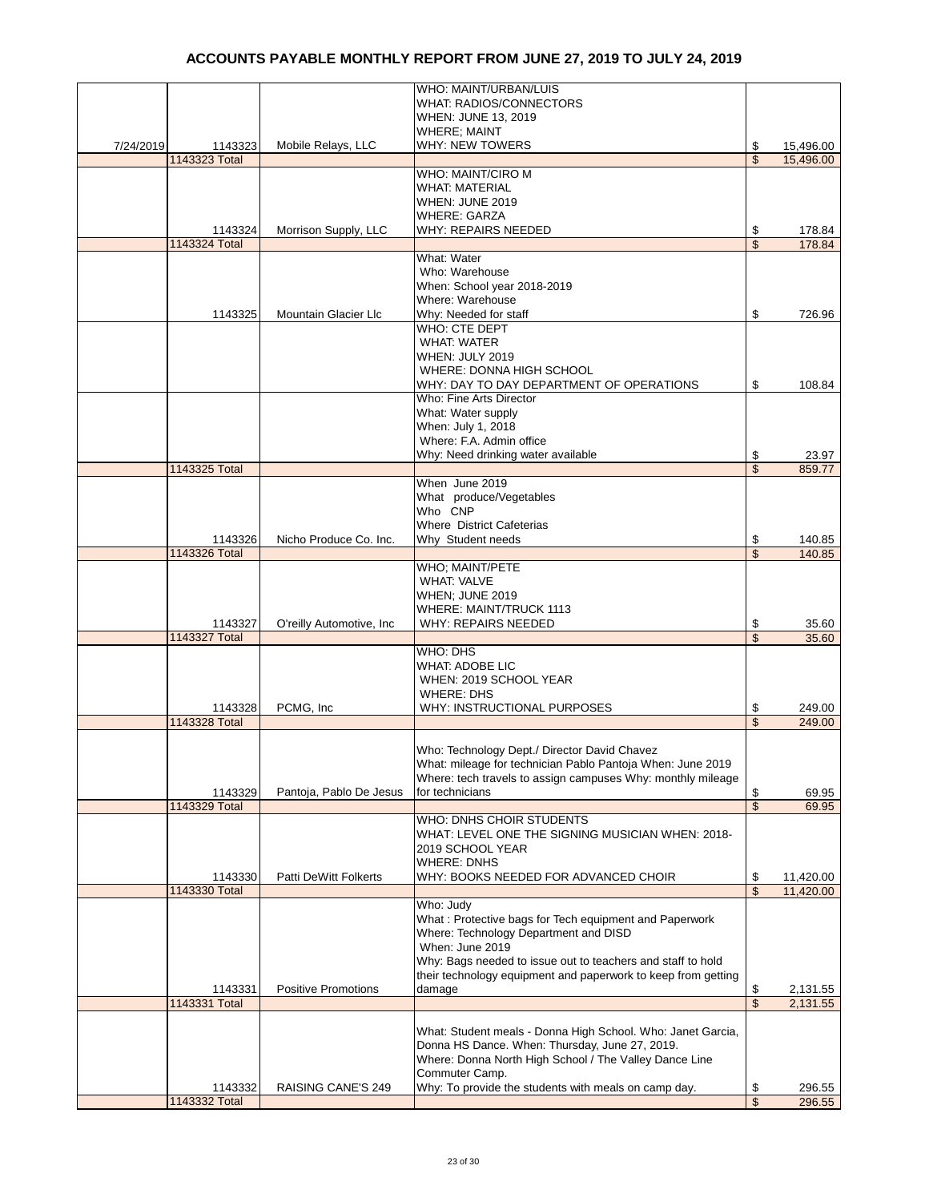|           |               |                              | WHO: MAINT/URBAN/LUIS                                         |                         |           |
|-----------|---------------|------------------------------|---------------------------------------------------------------|-------------------------|-----------|
|           |               |                              | <b>WHAT: RADIOS/CONNECTORS</b>                                |                         |           |
|           |               |                              | WHEN: JUNE 13, 2019                                           |                         |           |
|           |               |                              | <b>WHERE; MAINT</b>                                           |                         |           |
| 7/24/2019 | 1143323       | Mobile Relays, LLC           | <b>WHY: NEW TOWERS</b>                                        | \$                      | 15,496.00 |
|           | 1143323 Total |                              |                                                               | \$                      | 15,496.00 |
|           |               |                              | WHO: MAINT/CIRO M                                             |                         |           |
|           |               |                              | <b>WHAT: MATERIAL</b>                                         |                         |           |
|           |               |                              |                                                               |                         |           |
|           |               |                              | WHEN: JUNE 2019                                               |                         |           |
|           |               |                              | <b>WHERE: GARZA</b>                                           |                         |           |
|           | 1143324       | Morrison Supply, LLC         | <b>WHY: REPAIRS NEEDED</b>                                    | \$                      | 178.84    |
|           | 1143324 Total |                              |                                                               | \$                      | 178.84    |
|           |               |                              | What: Water                                                   |                         |           |
|           |               |                              | Who: Warehouse                                                |                         |           |
|           |               |                              | When: School year 2018-2019                                   |                         |           |
|           |               |                              |                                                               |                         |           |
|           |               |                              | Where: Warehouse                                              |                         |           |
|           | 1143325       | Mountain Glacier Llc         | Why: Needed for staff                                         | \$                      | 726.96    |
|           |               |                              | WHO: CTE DEPT                                                 |                         |           |
|           |               |                              | <b>WHAT: WATER</b>                                            |                         |           |
|           |               |                              | <b>WHEN: JULY 2019</b>                                        |                         |           |
|           |               |                              | WHERE: DONNA HIGH SCHOOL                                      |                         |           |
|           |               |                              |                                                               |                         |           |
|           |               |                              | WHY: DAY TO DAY DEPARTMENT OF OPERATIONS                      | \$                      | 108.84    |
|           |               |                              | Who: Fine Arts Director                                       |                         |           |
|           |               |                              | What: Water supply                                            |                         |           |
|           |               |                              | When: July 1, 2018                                            |                         |           |
|           |               |                              | Where: F.A. Admin office                                      |                         |           |
|           |               |                              |                                                               |                         |           |
|           |               |                              | Why: Need drinking water available                            | \$                      | 23.97     |
|           | 1143325 Total |                              |                                                               | \$                      | 859.77    |
|           |               |                              | When June 2019                                                |                         |           |
|           |               |                              | What produce/Vegetables                                       |                         |           |
|           |               |                              | Who CNP                                                       |                         |           |
|           |               |                              | Where District Cafeterias                                     |                         |           |
|           | 1143326       | Nicho Produce Co. Inc.       | Why Student needs                                             | \$                      | 140.85    |
|           | 1143326 Total |                              |                                                               | \$                      | 140.85    |
|           |               |                              |                                                               |                         |           |
|           |               |                              | WHO; MAINT/PETE                                               |                         |           |
|           |               |                              | <b>WHAT: VALVE</b>                                            |                         |           |
|           |               |                              | WHEN; JUNE 2019                                               |                         |           |
|           |               |                              | WHERE: MAINT/TRUCK 1113                                       |                         |           |
|           | 1143327       | O'reilly Automotive, Inc.    | <b>WHY: REPAIRS NEEDED</b>                                    | \$                      | 35.60     |
|           | 1143327 Total |                              |                                                               | \$                      | 35.60     |
|           |               |                              |                                                               |                         |           |
|           |               |                              | WHO: DHS                                                      |                         |           |
|           |               |                              | <b>WHAT: ADOBE LIC</b>                                        |                         |           |
|           |               |                              | WHEN: 2019 SCHOOL YEAR                                        |                         |           |
|           |               |                              | <b>WHERE: DHS</b>                                             |                         |           |
|           | 1143328       | PCMG, Inc                    | WHY: INSTRUCTIONAL PURPOSES                                   | \$                      | 249.00    |
|           | 1143328 Total |                              |                                                               | \$                      | 249.00    |
|           |               |                              |                                                               |                         |           |
|           |               |                              |                                                               |                         |           |
|           |               |                              | Who: Technology Dept./ Director David Chavez                  |                         |           |
|           |               |                              | What: mileage for technician Pablo Pantoja When: June 2019    |                         |           |
|           |               |                              | Where: tech travels to assign campuses Why: monthly mileage   |                         |           |
|           | 1143329       | Pantoja, Pablo De Jesus      | for technicians                                               | \$                      | 69.95     |
|           | 1143329 Total |                              |                                                               | \$                      | 69.95     |
|           |               |                              | WHO: DNHS CHOIR STUDENTS                                      |                         |           |
|           |               |                              |                                                               |                         |           |
|           |               |                              | WHAT: LEVEL ONE THE SIGNING MUSICIAN WHEN: 2018-              |                         |           |
|           |               |                              | 2019 SCHOOL YEAR                                              |                         |           |
|           |               |                              | <b>WHERE: DNHS</b>                                            |                         |           |
|           | 1143330       | <b>Patti DeWitt Folkerts</b> | WHY: BOOKS NEEDED FOR ADVANCED CHOIR                          | \$                      | 11,420.00 |
|           | 1143330 Total |                              |                                                               | \$                      | 11,420.00 |
|           |               |                              | Who: Judy                                                     |                         |           |
|           |               |                              | What: Protective bags for Tech equipment and Paperwork        |                         |           |
|           |               |                              |                                                               |                         |           |
|           |               |                              | Where: Technology Department and DISD                         |                         |           |
|           |               |                              | When: June 2019                                               |                         |           |
|           |               |                              | Why: Bags needed to issue out to teachers and staff to hold   |                         |           |
|           |               |                              | their technology equipment and paperwork to keep from getting |                         |           |
|           | 1143331       | <b>Positive Promotions</b>   | damage                                                        | \$                      | 2,131.55  |
|           | 1143331 Total |                              |                                                               | \$                      |           |
|           |               |                              |                                                               |                         | 2,131.55  |
|           |               |                              |                                                               |                         |           |
|           |               |                              | What: Student meals - Donna High School. Who: Janet Garcia,   |                         |           |
|           |               |                              | Donna HS Dance. When: Thursday, June 27, 2019.                |                         |           |
|           |               |                              | Where: Donna North High School / The Valley Dance Line        |                         |           |
|           |               |                              | Commuter Camp.                                                |                         |           |
|           | 1143332       | RAISING CANE'S 249           | Why: To provide the students with meals on camp day.          |                         |           |
|           |               |                              |                                                               | \$                      | 296.55    |
|           | 1143332 Total |                              |                                                               | $\overline{\mathbb{S}}$ | 296.55    |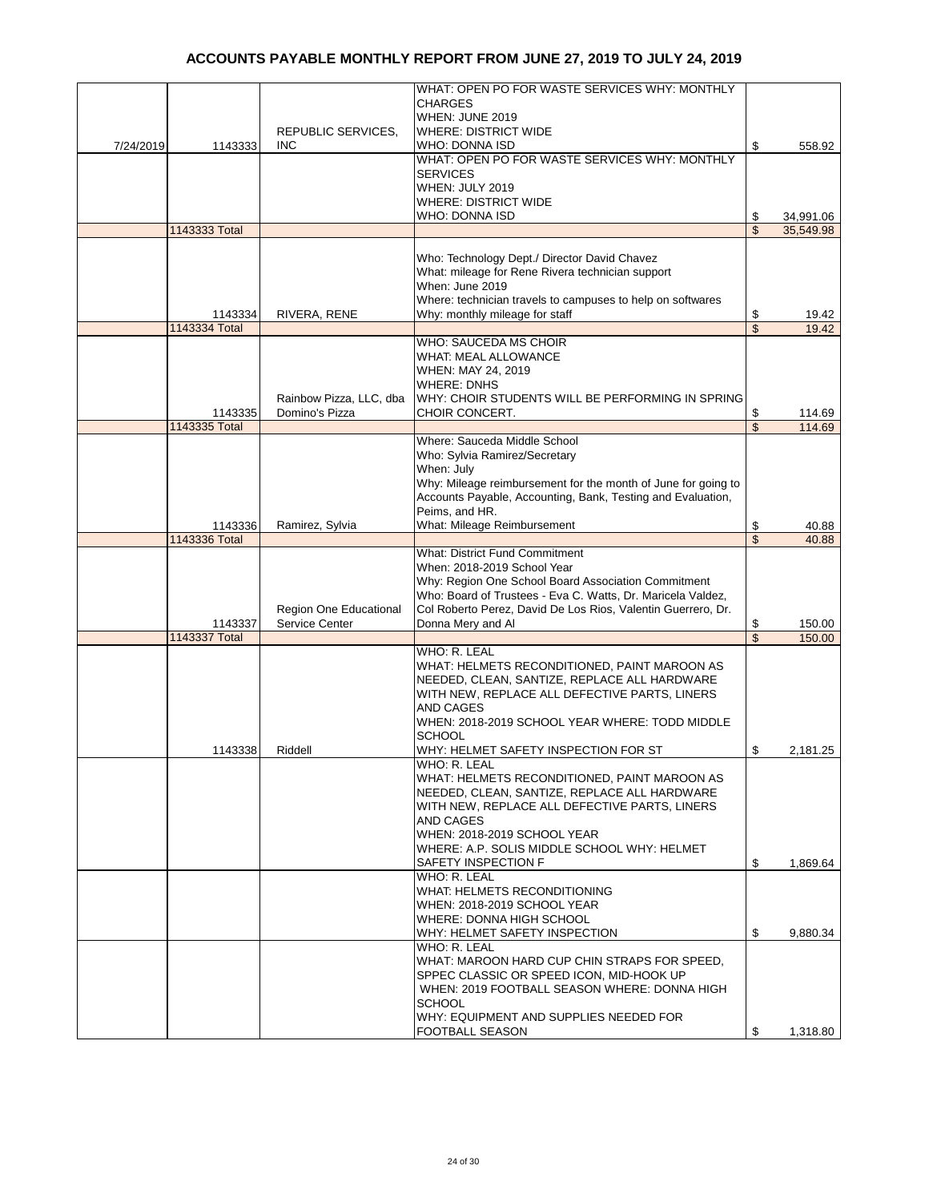|           |               |                                          | WHAT: OPEN PO FOR WASTE SERVICES WHY: MONTHLY                                                                                |                         |           |
|-----------|---------------|------------------------------------------|------------------------------------------------------------------------------------------------------------------------------|-------------------------|-----------|
|           |               |                                          | <b>CHARGES</b>                                                                                                               |                         |           |
|           |               |                                          | WHEN: JUNE 2019                                                                                                              |                         |           |
|           |               | REPUBLIC SERVICES,                       | <b>WHERE: DISTRICT WIDE</b>                                                                                                  |                         |           |
| 7/24/2019 | 1143333       | <b>INC</b>                               | WHO: DONNA ISD<br>WHAT: OPEN PO FOR WASTE SERVICES WHY: MONTHLY                                                              | \$                      | 558.92    |
|           |               |                                          | <b>SERVICES</b>                                                                                                              |                         |           |
|           |               |                                          | WHEN: JULY 2019                                                                                                              |                         |           |
|           |               |                                          | <b>WHERE: DISTRICT WIDE</b>                                                                                                  |                         |           |
|           |               |                                          | WHO: DONNA ISD                                                                                                               | \$                      | 34,991.06 |
|           | 1143333 Total |                                          |                                                                                                                              | \$                      | 35,549.98 |
|           |               |                                          | Who: Technology Dept./ Director David Chavez                                                                                 |                         |           |
|           |               |                                          | What: mileage for Rene Rivera technician support                                                                             |                         |           |
|           |               |                                          | When: June 2019                                                                                                              |                         |           |
|           |               |                                          | Where: technician travels to campuses to help on softwares                                                                   |                         |           |
|           | 1143334       | RIVERA, RENE                             | Why: monthly mileage for staff                                                                                               | \$                      | 19.42     |
|           | 1143334 Total |                                          |                                                                                                                              | \$                      | 19.42     |
|           |               |                                          | WHO: SAUCEDA MS CHOIR                                                                                                        |                         |           |
|           |               |                                          | <b>WHAT: MEAL ALLOWANCE</b><br>WHEN: MAY 24, 2019                                                                            |                         |           |
|           |               |                                          | <b>WHERE: DNHS</b>                                                                                                           |                         |           |
|           |               | Rainbow Pizza, LLC, dba                  | WHY: CHOIR STUDENTS WILL BE PERFORMING IN SPRING                                                                             |                         |           |
|           | 1143335       | Domino's Pizza                           | CHOIR CONCERT.                                                                                                               | \$                      | 114.69    |
|           | 1143335 Total |                                          |                                                                                                                              | \$                      | 114.69    |
|           |               |                                          | Where: Sauceda Middle School                                                                                                 |                         |           |
|           |               |                                          | Who: Sylvia Ramirez/Secretary                                                                                                |                         |           |
|           |               |                                          | When: July                                                                                                                   |                         |           |
|           |               |                                          | Why: Mileage reimbursement for the month of June for going to<br>Accounts Payable, Accounting, Bank, Testing and Evaluation, |                         |           |
|           |               |                                          | Peims, and HR.                                                                                                               |                         |           |
|           | 1143336       | Ramirez, Sylvia                          | What: Mileage Reimbursement                                                                                                  | \$                      | 40.88     |
|           | 1143336 Total |                                          |                                                                                                                              | $\overline{\mathbb{S}}$ | 40.88     |
|           |               |                                          | <b>What: District Fund Commitment</b>                                                                                        |                         |           |
|           |               |                                          | When: 2018-2019 School Year                                                                                                  |                         |           |
|           |               |                                          | Why: Region One School Board Association Commitment                                                                          |                         |           |
|           |               |                                          | Who: Board of Trustees - Eva C. Watts, Dr. Maricela Valdez,<br>Col Roberto Perez, David De Los Rios, Valentin Guerrero, Dr.  |                         |           |
|           | 1143337       | Region One Educational<br>Service Center | Donna Mery and Al                                                                                                            | \$                      | 150.00    |
|           | 1143337 Total |                                          |                                                                                                                              | \$                      | 150.00    |
|           |               |                                          | WHO: R. LEAL                                                                                                                 |                         |           |
|           |               |                                          | WHAT: HELMETS RECONDITIONED, PAINT MAROON AS                                                                                 |                         |           |
|           |               |                                          | NEEDED, CLEAN, SANTIZE, REPLACE ALL HARDWARE                                                                                 |                         |           |
|           |               |                                          | WITH NEW, REPLACE ALL DEFECTIVE PARTS, LINERS                                                                                |                         |           |
|           |               |                                          | AND CAGES<br>WHEN: 2018-2019 SCHOOL YEAR WHERE: TODD MIDDLE                                                                  |                         |           |
|           |               |                                          | <b>SCHOOL</b>                                                                                                                |                         |           |
|           | 1143338       | Riddell                                  | WHY: HELMET SAFETY INSPECTION FOR ST                                                                                         | \$                      | 2,181.25  |
|           |               |                                          | WHO: R. LEAL                                                                                                                 |                         |           |
|           |               |                                          | WHAT: HELMETS RECONDITIONED, PAINT MAROON AS                                                                                 |                         |           |
|           |               |                                          | NEEDED, CLEAN, SANTIZE, REPLACE ALL HARDWARE                                                                                 |                         |           |
|           |               |                                          | WITH NEW, REPLACE ALL DEFECTIVE PARTS, LINERS                                                                                |                         |           |
|           |               |                                          | AND CAGES<br>WHEN: 2018-2019 SCHOOL YEAR                                                                                     |                         |           |
|           |               |                                          | WHERE: A.P. SOLIS MIDDLE SCHOOL WHY: HELMET                                                                                  |                         |           |
|           |               |                                          | SAFETY INSPECTION F                                                                                                          | \$                      | 1,869.64  |
|           |               |                                          | WHO: R. LEAL                                                                                                                 |                         |           |
|           |               |                                          | WHAT: HELMETS RECONDITIONING                                                                                                 |                         |           |
|           |               |                                          | WHEN: 2018-2019 SCHOOL YEAR                                                                                                  |                         |           |
|           |               |                                          | WHERE: DONNA HIGH SCHOOL                                                                                                     |                         |           |
|           |               |                                          | WHY: HELMET SAFETY INSPECTION<br>WHO: R. LEAL                                                                                | \$                      | 9,880.34  |
|           |               |                                          | WHAT: MAROON HARD CUP CHIN STRAPS FOR SPEED,                                                                                 |                         |           |
|           |               |                                          | SPPEC CLASSIC OR SPEED ICON, MID-HOOK UP                                                                                     |                         |           |
|           |               |                                          | WHEN: 2019 FOOTBALL SEASON WHERE: DONNA HIGH                                                                                 |                         |           |
|           |               |                                          | <b>SCHOOL</b>                                                                                                                |                         |           |
|           |               |                                          | WHY: EQUIPMENT AND SUPPLIES NEEDED FOR                                                                                       |                         |           |
|           |               |                                          | FOOTBALL SEASON                                                                                                              | \$                      | 1,318.80  |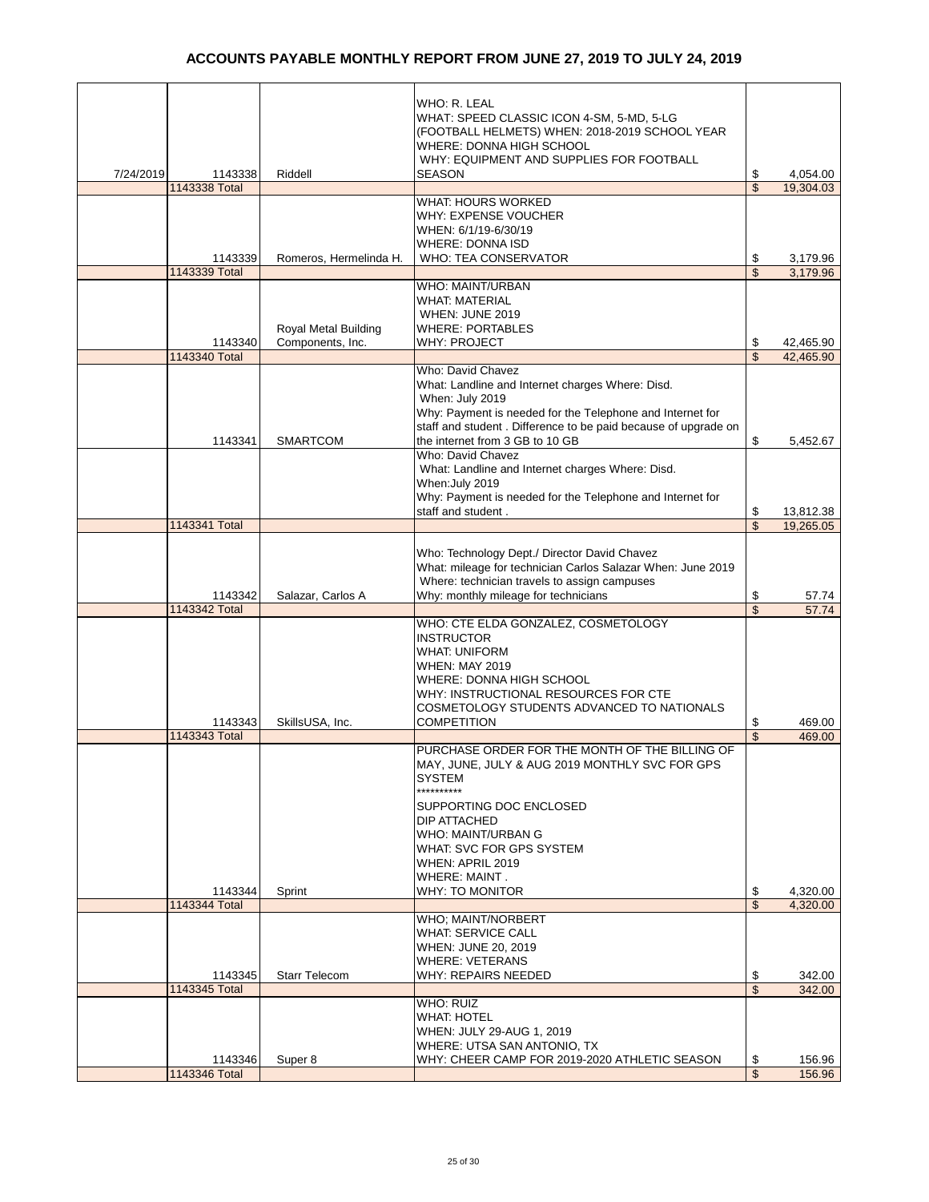|           |                          |                                          | WHO: R. LEAL<br>WHAT: SPEED CLASSIC ICON 4-SM, 5-MD, 5-LG<br>(FOOTBALL HELMETS) WHEN: 2018-2019 SCHOOL YEAR<br>WHERE: DONNA HIGH SCHOOL<br>WHY: EQUIPMENT AND SUPPLIES FOR FOOTBALL                                                               |                               |                        |
|-----------|--------------------------|------------------------------------------|---------------------------------------------------------------------------------------------------------------------------------------------------------------------------------------------------------------------------------------------------|-------------------------------|------------------------|
| 7/24/2019 | 1143338                  | Riddell                                  | <b>SEASON</b>                                                                                                                                                                                                                                     | \$                            | 4,054.00               |
|           | 1143338 Total            |                                          |                                                                                                                                                                                                                                                   | \$                            | 19,304.03              |
|           |                          |                                          | WHAT: HOURS WORKED<br>WHY: EXPENSE VOUCHER<br>WHEN: 6/1/19-6/30/19<br><b>WHERE: DONNA ISD</b>                                                                                                                                                     |                               |                        |
|           | 1143339                  | Romeros, Hermelinda H.                   | WHO: TEA CONSERVATOR                                                                                                                                                                                                                              | \$                            | 3,179.96               |
|           | 1143339 Total            |                                          |                                                                                                                                                                                                                                                   | $\overline{\mathbb{S}}$       | 3.179.96               |
|           | 1143340<br>1143340 Total | Royal Metal Building<br>Components, Inc. | <b>WHO: MAINT/URBAN</b><br><b>WHAT: MATERIAL</b><br>WHEN: JUNE 2019<br><b>WHERE: PORTABLES</b><br><b>WHY: PROJECT</b>                                                                                                                             | \$<br>$\overline{\mathbb{S}}$ | 42,465.90<br>42,465.90 |
|           |                          |                                          | Who: David Chavez                                                                                                                                                                                                                                 |                               |                        |
|           | 1143341                  | <b>SMARTCOM</b>                          | What: Landline and Internet charges Where: Disd.<br>When: July 2019<br>Why: Payment is needed for the Telephone and Internet for<br>staff and student. Difference to be paid because of upgrade on<br>the internet from 3 GB to 10 GB             | \$                            | 5.452.67               |
|           |                          |                                          | Who: David Chavez                                                                                                                                                                                                                                 |                               |                        |
|           |                          |                                          | What: Landline and Internet charges Where: Disd.<br>When: July 2019<br>Why: Payment is needed for the Telephone and Internet for<br>staff and student.                                                                                            | \$                            | 13,812.38              |
|           | 1143341 Total            |                                          |                                                                                                                                                                                                                                                   | \$                            | 19,265.05              |
|           |                          |                                          |                                                                                                                                                                                                                                                   |                               |                        |
|           | 1143342                  | Salazar, Carlos A                        | Who: Technology Dept./ Director David Chavez<br>What: mileage for technician Carlos Salazar When: June 2019<br>Where: technician travels to assign campuses<br>Why: monthly mileage for technicians                                               | \$                            | 57.74                  |
|           | 1143342 Total            |                                          |                                                                                                                                                                                                                                                   | \$                            | 57.74                  |
|           | 1143343                  | SkillsUSA, Inc.                          | WHO: CTE ELDA GONZALEZ, COSMETOLOGY<br><b>INSTRUCTOR</b><br><b>WHAT: UNIFORM</b><br><b>WHEN: MAY 2019</b><br>WHERE: DONNA HIGH SCHOOL<br>WHY: INSTRUCTIONAL RESOURCES FOR CTE<br>COSMETOLOGY STUDENTS ADVANCED TO NATIONALS<br><b>COMPETITION</b> | \$                            | 469.00                 |
|           | 1143343 Total            |                                          | PURCHASE ORDER FOR THE MONTH OF THE BILLING OF                                                                                                                                                                                                    | \$                            | 469.00                 |
|           |                          |                                          | MAY, JUNE, JULY & AUG 2019 MONTHLY SVC FOR GPS<br><b>SYSTEM</b><br>**********<br>SUPPORTING DOC ENCLOSED<br>DIP ATTACHED<br>WHO: MAINT/URBAN G<br>WHAT: SVC FOR GPS SYSTEM<br>WHEN: APRIL 2019<br><b>WHERE: MAINT.</b>                            |                               |                        |
|           | 1143344                  | Sprint                                   | <b>WHY: TO MONITOR</b>                                                                                                                                                                                                                            | \$                            | 4,320.00               |
|           | 1143344 Total            |                                          |                                                                                                                                                                                                                                                   | $\overline{\mathbb{S}}$       | 4,320.00               |
|           | 1143345                  | <b>Starr Telecom</b>                     | WHO; MAINT/NORBERT<br><b>WHAT: SERVICE CALL</b><br>WHEN: JUNE 20, 2019<br><b>WHERE: VETERANS</b><br>WHY: REPAIRS NEEDED                                                                                                                           | \$                            | 342.00                 |
|           | 1143345 Total            |                                          |                                                                                                                                                                                                                                                   | $\overline{\mathbb{S}}$       | 342.00                 |
|           | 1143346                  | Super 8                                  | <b>WHO: RUIZ</b><br><b>WHAT: HOTEL</b><br>WHEN: JULY 29-AUG 1, 2019<br>WHERE: UTSA SAN ANTONIO, TX<br>WHY: CHEER CAMP FOR 2019-2020 ATHLETIC SEASON                                                                                               | \$<br>$\mathfrak{S}$          | 156.96                 |
|           | 1143346 Total            |                                          |                                                                                                                                                                                                                                                   |                               | 156.96                 |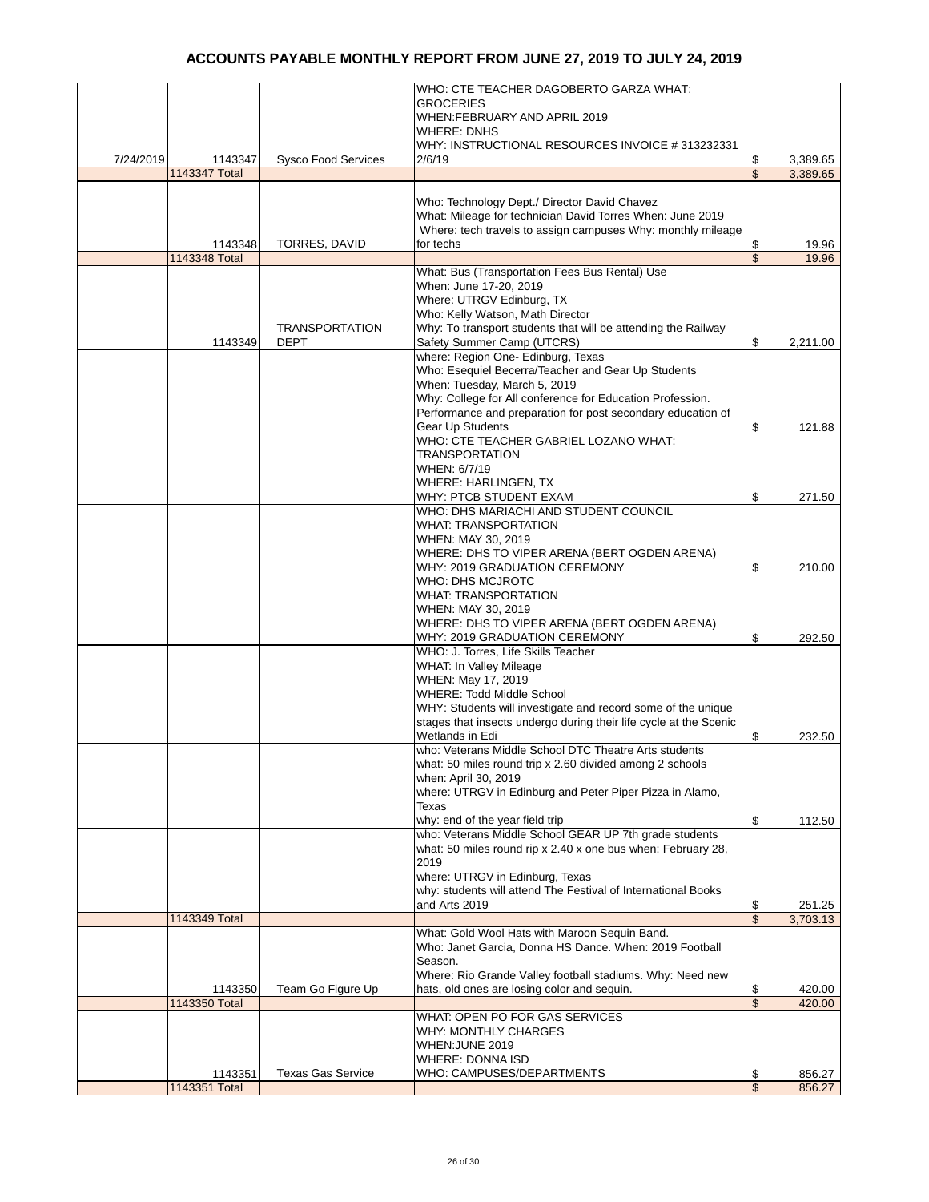|           |               |                            | WHO: CTE TEACHER DAGOBERTO GARZA WHAT:                            |                          |          |
|-----------|---------------|----------------------------|-------------------------------------------------------------------|--------------------------|----------|
|           |               |                            | <b>GROCERIES</b>                                                  |                          |          |
|           |               |                            | WHEN:FEBRUARY AND APRIL 2019                                      |                          |          |
|           |               |                            | WHERE: DNHS                                                       |                          |          |
|           |               |                            | WHY: INSTRUCTIONAL RESOURCES INVOICE #313232331                   |                          |          |
| 7/24/2019 | 1143347       | <b>Sysco Food Services</b> | 2/6/19                                                            | \$                       | 3,389.65 |
|           | 1143347 Total |                            |                                                                   | $\overline{\mathcal{S}}$ | 3,389.65 |
|           |               |                            |                                                                   |                          |          |
|           |               |                            | Who: Technology Dept./ Director David Chavez                      |                          |          |
|           |               |                            | What: Mileage for technician David Torres When: June 2019         |                          |          |
|           |               |                            | Where: tech travels to assign campuses Why: monthly mileage       |                          |          |
|           |               | <b>TORRES, DAVID</b>       | for techs                                                         |                          | 19.96    |
|           | 1143348       |                            |                                                                   | \$<br>$\mathsf{\$}$      |          |
|           | 1143348 Total |                            |                                                                   |                          | 19.96    |
|           |               |                            | What: Bus (Transportation Fees Bus Rental) Use                    |                          |          |
|           |               |                            | When: June 17-20, 2019                                            |                          |          |
|           |               |                            | Where: UTRGV Edinburg, TX                                         |                          |          |
|           |               |                            | Who: Kelly Watson, Math Director                                  |                          |          |
|           |               | <b>TRANSPORTATION</b>      | Why: To transport students that will be attending the Railway     |                          |          |
|           | 1143349       | DEPT                       | Safety Summer Camp (UTCRS)                                        | \$                       | 2,211.00 |
|           |               |                            | where: Region One- Edinburg, Texas                                |                          |          |
|           |               |                            | Who: Esequiel Becerra/Teacher and Gear Up Students                |                          |          |
|           |               |                            | When: Tuesday, March 5, 2019                                      |                          |          |
|           |               |                            | Why: College for All conference for Education Profession.         |                          |          |
|           |               |                            | Performance and preparation for post secondary education of       |                          |          |
|           |               |                            | Gear Up Students                                                  | \$                       | 121.88   |
|           |               |                            | WHO: CTE TEACHER GABRIEL LOZANO WHAT:                             |                          |          |
|           |               |                            | <b>TRANSPORTATION</b>                                             |                          |          |
|           |               |                            | WHEN: 6/7/19                                                      |                          |          |
|           |               |                            | <b>WHERE: HARLINGEN, TX</b>                                       |                          |          |
|           |               |                            | WHY: PTCB STUDENT EXAM                                            | \$                       | 271.50   |
|           |               |                            | WHO: DHS MARIACHI AND STUDENT COUNCIL                             |                          |          |
|           |               |                            | WHAT: TRANSPORTATION                                              |                          |          |
|           |               |                            |                                                                   |                          |          |
|           |               |                            | WHEN: MAY 30, 2019                                                |                          |          |
|           |               |                            | WHERE: DHS TO VIPER ARENA (BERT OGDEN ARENA)                      |                          |          |
|           |               |                            | WHY: 2019 GRADUATION CEREMONY                                     | \$                       | 210.00   |
|           |               |                            | WHO: DHS MCJROTC                                                  |                          |          |
|           |               |                            | <b>WHAT: TRANSPORTATION</b>                                       |                          |          |
|           |               |                            | WHEN: MAY 30, 2019                                                |                          |          |
|           |               |                            | WHERE: DHS TO VIPER ARENA (BERT OGDEN ARENA)                      |                          |          |
|           |               |                            | WHY: 2019 GRADUATION CEREMONY                                     | \$                       | 292.50   |
|           |               |                            | WHO: J. Torres, Life Skills Teacher                               |                          |          |
|           |               |                            | WHAT: In Valley Mileage                                           |                          |          |
|           |               |                            | WHEN: May 17, 2019                                                |                          |          |
|           |               |                            | <b>WHERE: Todd Middle School</b>                                  |                          |          |
|           |               |                            | WHY: Students will investigate and record some of the unique      |                          |          |
|           |               |                            | stages that insects undergo during their life cycle at the Scenic |                          |          |
|           |               |                            | Wetlands in Edi                                                   | \$                       | 232.50   |
|           |               |                            | who: Veterans Middle School DTC Theatre Arts students             |                          |          |
|           |               |                            | what: 50 miles round trip x 2.60 divided among 2 schools          |                          |          |
|           |               |                            | when: April 30, 2019                                              |                          |          |
|           |               |                            | where: UTRGV in Edinburg and Peter Piper Pizza in Alamo,          |                          |          |
|           |               |                            | Texas                                                             |                          |          |
|           |               |                            | why: end of the year field trip                                   | \$                       | 112.50   |
|           |               |                            | who: Veterans Middle School GEAR UP 7th grade students            |                          |          |
|           |               |                            | what: 50 miles round rip x 2.40 x one bus when: February 28,      |                          |          |
|           |               |                            |                                                                   |                          |          |
|           |               |                            | 2019                                                              |                          |          |
|           |               |                            | where: UTRGV in Edinburg, Texas                                   |                          |          |
|           |               |                            | why: students will attend The Festival of International Books     |                          |          |
|           |               |                            | and Arts 2019                                                     | \$                       | 251.25   |
|           | 1143349 Total |                            |                                                                   | $\mathfrak{s}$           | 3,703.13 |
|           |               |                            | What: Gold Wool Hats with Maroon Sequin Band.                     |                          |          |
|           |               |                            | Who: Janet Garcia, Donna HS Dance. When: 2019 Football            |                          |          |
|           |               |                            | Season.                                                           |                          |          |
|           |               |                            | Where: Rio Grande Valley football stadiums. Why: Need new         |                          |          |
|           | 1143350       | Team Go Figure Up          | hats, old ones are losing color and sequin.                       | \$                       | 420.00   |
|           | 1143350 Total |                            |                                                                   | \$                       | 420.00   |
|           |               |                            | WHAT: OPEN PO FOR GAS SERVICES                                    |                          |          |
|           |               |                            | WHY: MONTHLY CHARGES                                              |                          |          |
|           |               |                            | WHEN: JUNE 2019                                                   |                          |          |
|           |               |                            | <b>WHERE: DONNA ISD</b>                                           |                          |          |
|           | 1143351       | <b>Texas Gas Service</b>   | WHO: CAMPUSES/DEPARTMENTS                                         | \$                       | 856.27   |
|           | 1143351 Total |                            |                                                                   | \$                       | 856.27   |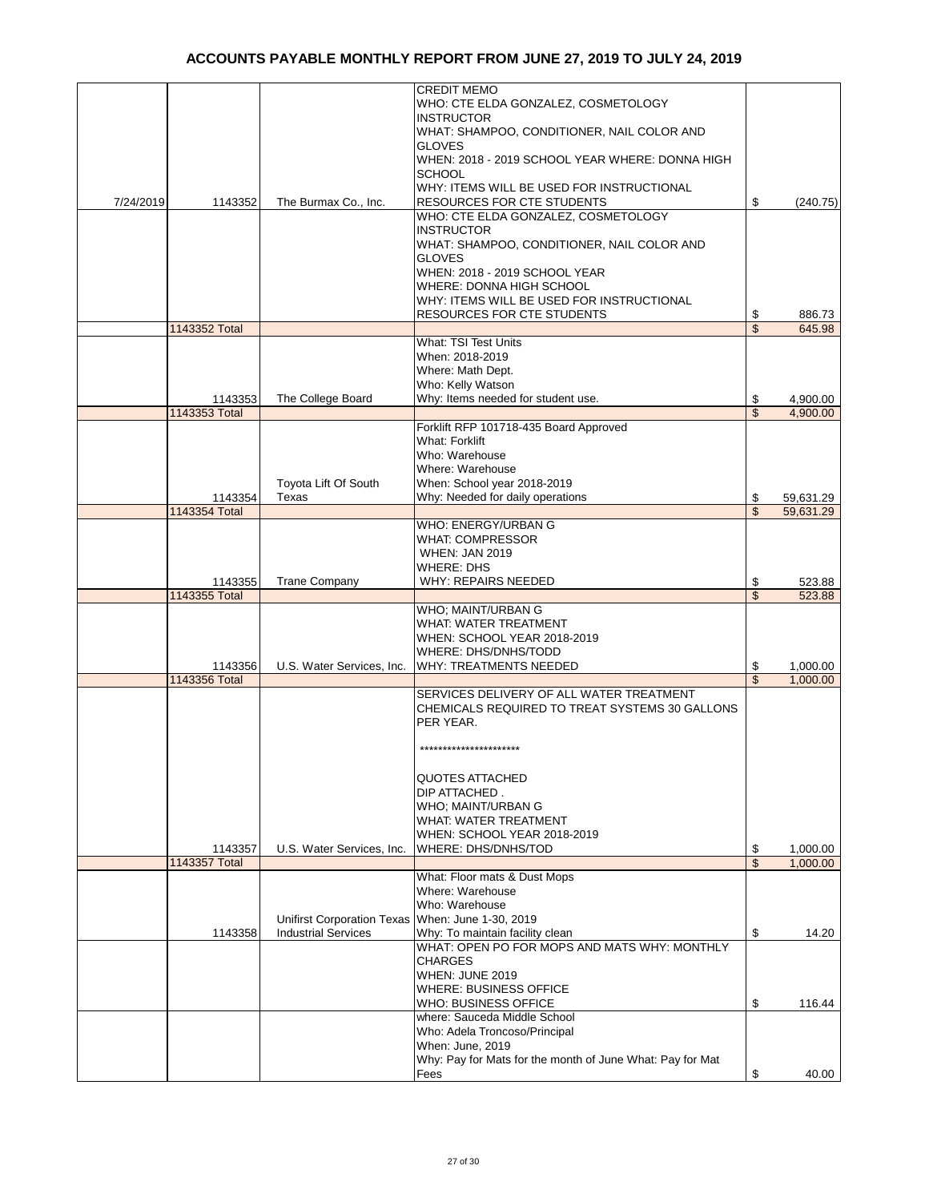|           |                          |                                                  | <b>CREDIT MEMO</b>                                                              |                                |           |
|-----------|--------------------------|--------------------------------------------------|---------------------------------------------------------------------------------|--------------------------------|-----------|
|           |                          |                                                  | WHO: CTE ELDA GONZALEZ, COSMETOLOGY                                             |                                |           |
|           |                          |                                                  | <b>INSTRUCTOR</b>                                                               |                                |           |
|           |                          |                                                  | WHAT: SHAMPOO, CONDITIONER, NAIL COLOR AND                                      |                                |           |
|           |                          |                                                  | <b>GLOVES</b>                                                                   |                                |           |
|           |                          |                                                  | WHEN: 2018 - 2019 SCHOOL YEAR WHERE: DONNA HIGH                                 |                                |           |
|           |                          |                                                  | <b>SCHOOL</b>                                                                   |                                |           |
|           |                          |                                                  | WHY: ITEMS WILL BE USED FOR INSTRUCTIONAL                                       |                                |           |
| 7/24/2019 | 1143352                  | The Burmax Co., Inc.                             | RESOURCES FOR CTE STUDENTS                                                      | \$                             | (240.75)  |
|           |                          |                                                  | WHO: CTE ELDA GONZALEZ, COSMETOLOGY                                             |                                |           |
|           |                          |                                                  | <b>INSTRUCTOR</b>                                                               |                                |           |
|           |                          |                                                  | WHAT: SHAMPOO, CONDITIONER, NAIL COLOR AND                                      |                                |           |
|           |                          |                                                  | <b>GLOVES</b>                                                                   |                                |           |
|           |                          |                                                  | WHEN: 2018 - 2019 SCHOOL YEAR                                                   |                                |           |
|           |                          |                                                  | WHERE: DONNA HIGH SCHOOL                                                        |                                |           |
|           |                          |                                                  | WHY: ITEMS WILL BE USED FOR INSTRUCTIONAL                                       |                                |           |
|           |                          |                                                  | <b>RESOURCES FOR CTE STUDENTS</b>                                               | \$                             | 886.73    |
|           | 1143352 Total            |                                                  |                                                                                 | \$                             | 645.98    |
|           |                          |                                                  | <b>What: TSI Test Units</b>                                                     |                                |           |
|           |                          |                                                  | When: 2018-2019                                                                 |                                |           |
|           |                          |                                                  | Where: Math Dept.                                                               |                                |           |
|           |                          |                                                  | Who: Kelly Watson                                                               |                                |           |
|           | 1143353                  | The College Board                                | Why: Items needed for student use.                                              | \$                             | 4,900.00  |
|           | 1143353 Total            |                                                  |                                                                                 | \$                             | 4.900.00  |
|           |                          |                                                  | Forklift RFP 101718-435 Board Approved                                          |                                |           |
|           |                          |                                                  | <b>What: Forklift</b>                                                           |                                |           |
|           |                          |                                                  | Who: Warehouse                                                                  |                                |           |
|           |                          |                                                  | Where: Warehouse                                                                |                                |           |
|           |                          | Toyota Lift Of South                             | When: School year 2018-2019                                                     |                                |           |
|           | 1143354                  | Texas                                            | Why: Needed for daily operations                                                | \$                             | 59,631.29 |
|           | 1143354 Total            |                                                  |                                                                                 | \$                             | 59,631.29 |
|           |                          |                                                  | WHO: ENERGY/URBAN G                                                             |                                |           |
|           |                          |                                                  | <b>WHAT: COMPRESSOR</b>                                                         |                                |           |
|           |                          |                                                  | <b>WHEN: JAN 2019</b>                                                           |                                |           |
|           |                          |                                                  | <b>WHERE: DHS</b>                                                               |                                |           |
|           | 1143355                  | <b>Trane Company</b>                             | WHY: REPAIRS NEEDED                                                             | \$                             | 523.88    |
|           | 1143355 Total            |                                                  |                                                                                 | \$                             | 523.88    |
|           |                          |                                                  | WHO; MAINT/URBAN G                                                              |                                |           |
|           |                          |                                                  | <b>WHAT: WATER TREATMENT</b>                                                    |                                |           |
|           |                          |                                                  | WHEN: SCHOOL YEAR 2018-2019                                                     |                                |           |
|           |                          |                                                  | WHERE: DHS/DNHS/TODD                                                            |                                |           |
|           | 1143356                  | U.S. Water Services, Inc.                        | WHY: TREATMENTS NEEDED                                                          | \$                             | 1,000.00  |
|           | 1143356 Total            |                                                  |                                                                                 | $\overline{\mathbb{S}}$        | 1,000.00  |
|           |                          |                                                  | SERVICES DELIVERY OF ALL WATER TREATMENT                                        |                                |           |
|           |                          |                                                  | CHEMICALS REQUIRED TO TREAT SYSTEMS 30 GALLONS                                  |                                |           |
|           |                          |                                                  | PER YEAR.                                                                       |                                |           |
|           |                          |                                                  |                                                                                 |                                |           |
|           |                          |                                                  | **********************                                                          |                                |           |
|           |                          |                                                  |                                                                                 |                                |           |
|           |                          |                                                  | <b>QUOTES ATTACHED</b>                                                          |                                |           |
|           |                          |                                                  |                                                                                 |                                |           |
|           |                          |                                                  | DIP ATTACHED.<br>WHO; MAINT/URBAN G                                             |                                |           |
|           |                          |                                                  | <b>WHAT: WATER TREATMENT</b>                                                    |                                |           |
|           |                          |                                                  | WHEN: SCHOOL YEAR 2018-2019                                                     |                                |           |
|           |                          |                                                  |                                                                                 |                                |           |
|           | 1143357<br>1143357 Total | U.S. Water Services, Inc.                        | WHERE: DHS/DNHS/TOD                                                             | \$<br>$\overline{\mathcal{S}}$ | 1,000.00  |
|           |                          |                                                  |                                                                                 |                                | 1,000.00  |
|           |                          |                                                  | What: Floor mats & Dust Mops<br>Where: Warehouse                                |                                |           |
|           |                          |                                                  | Who: Warehouse                                                                  |                                |           |
|           |                          | Unifirst Corporation Texas When: June 1-30, 2019 |                                                                                 |                                |           |
|           |                          |                                                  |                                                                                 |                                |           |
|           | 1143358                  | <b>Industrial Services</b>                       | Why: To maintain facility clean<br>WHAT: OPEN PO FOR MOPS AND MATS WHY: MONTHLY | \$                             | 14.20     |
|           |                          |                                                  | <b>CHARGES</b>                                                                  |                                |           |
|           |                          |                                                  |                                                                                 |                                |           |
|           |                          |                                                  | WHEN: JUNE 2019                                                                 |                                |           |
|           |                          |                                                  | <b>WHERE: BUSINESS OFFICE</b>                                                   |                                |           |
|           |                          |                                                  | WHO: BUSINESS OFFICE<br>where: Sauceda Middle School                            | \$                             | 116.44    |
|           |                          |                                                  | Who: Adela Troncoso/Principal                                                   |                                |           |
|           |                          |                                                  |                                                                                 |                                |           |
|           |                          |                                                  | When: June, 2019                                                                |                                |           |
|           |                          |                                                  | Why: Pay for Mats for the month of June What: Pay for Mat                       |                                |           |
|           |                          |                                                  | Fees                                                                            | \$                             | 40.00     |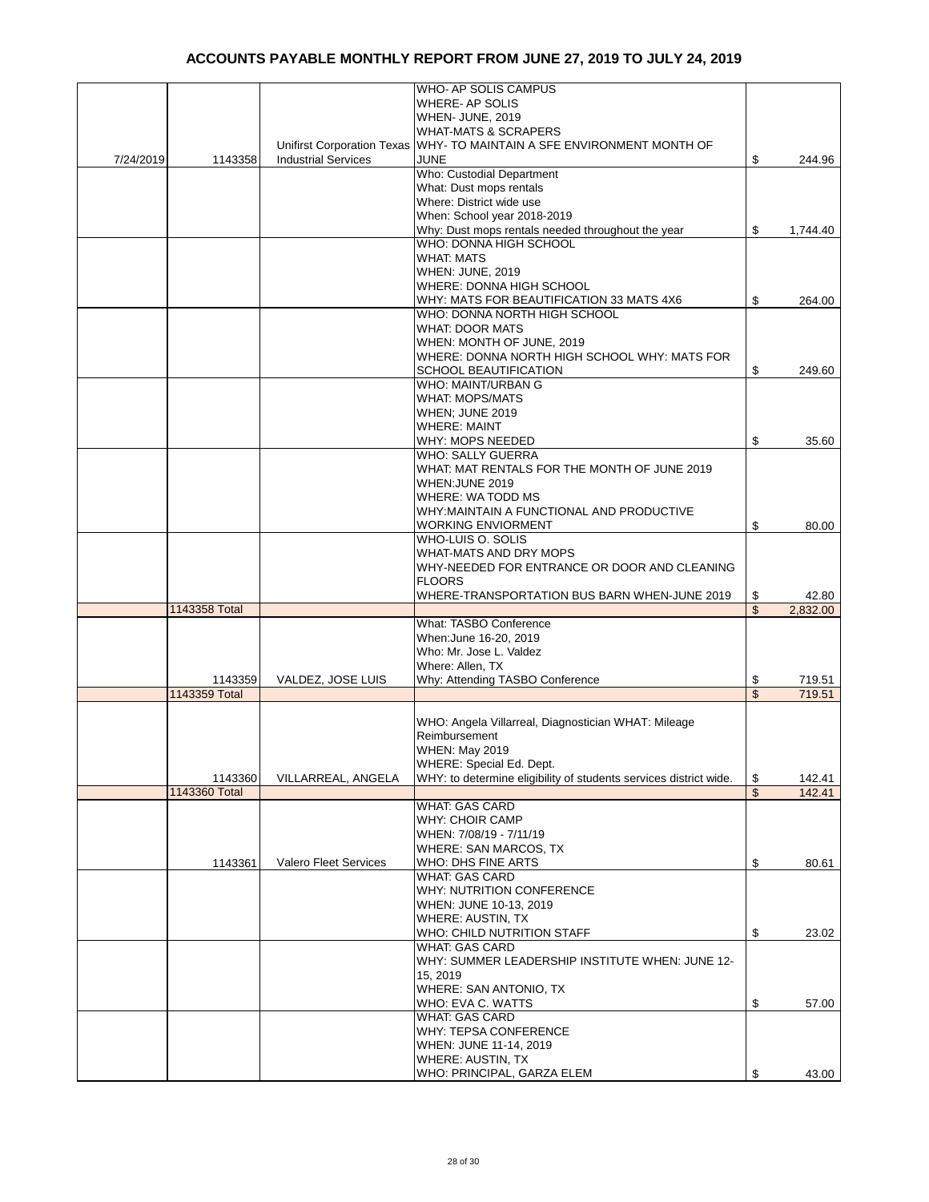|           |               |                            | WHO- AP SOLIS CAMPUS                                                   |               |          |
|-----------|---------------|----------------------------|------------------------------------------------------------------------|---------------|----------|
|           |               |                            | <b>WHERE-AP SOLIS</b>                                                  |               |          |
|           |               |                            | WHEN- JUNE, 2019                                                       |               |          |
|           |               |                            |                                                                        |               |          |
|           |               |                            | <b>WHAT-MATS &amp; SCRAPERS</b>                                        |               |          |
|           |               |                            | Unifirst Corporation Texas WHY- TO MAINTAIN A SFE ENVIRONMENT MONTH OF |               |          |
| 7/24/2019 | 1143358       | <b>Industrial Services</b> | JUNE                                                                   | \$            | 244.96   |
|           |               |                            | <b>Who: Custodial Department</b>                                       |               |          |
|           |               |                            | What: Dust mops rentals                                                |               |          |
|           |               |                            | Where: District wide use                                               |               |          |
|           |               |                            |                                                                        |               |          |
|           |               |                            | When: School year 2018-2019                                            |               |          |
|           |               |                            | Why: Dust mops rentals needed throughout the year                      | \$            | 1,744.40 |
|           |               |                            | WHO: DONNA HIGH SCHOOL                                                 |               |          |
|           |               |                            | <b>WHAT: MATS</b>                                                      |               |          |
|           |               |                            | <b>WHEN: JUNE, 2019</b>                                                |               |          |
|           |               |                            |                                                                        |               |          |
|           |               |                            | WHERE: DONNA HIGH SCHOOL                                               |               |          |
|           |               |                            | WHY: MATS FOR BEAUTIFICATION 33 MATS 4X6                               | \$            | 264.00   |
|           |               |                            | WHO: DONNA NORTH HIGH SCHOOL                                           |               |          |
|           |               |                            | <b>WHAT: DOOR MATS</b>                                                 |               |          |
|           |               |                            | WHEN: MONTH OF JUNE, 2019                                              |               |          |
|           |               |                            |                                                                        |               |          |
|           |               |                            | WHERE: DONNA NORTH HIGH SCHOOL WHY: MATS FOR                           |               |          |
|           |               |                            | SCHOOL BEAUTIFICATION                                                  | \$            | 249.60   |
|           |               |                            | <b>WHO: MAINT/URBAN G</b>                                              |               |          |
|           |               |                            | <b>WHAT: MOPS/MATS</b>                                                 |               |          |
|           |               |                            | WHEN: JUNE 2019                                                        |               |          |
|           |               |                            |                                                                        |               |          |
|           |               |                            | <b>WHERE: MAINT</b>                                                    |               |          |
|           |               |                            | WHY: MOPS NEEDED                                                       | \$            | 35.60    |
|           |               |                            | <b>WHO: SALLY GUERRA</b>                                               |               |          |
|           |               |                            | WHAT: MAT RENTALS FOR THE MONTH OF JUNE 2019                           |               |          |
|           |               |                            | WHEN: JUNE 2019                                                        |               |          |
|           |               |                            |                                                                        |               |          |
|           |               |                            | WHERE: WA TODD MS                                                      |               |          |
|           |               |                            | WHY: MAINTAIN A FUNCTIONAL AND PRODUCTIVE                              |               |          |
|           |               |                            | <b>WORKING ENVIORMENT</b>                                              | \$            | 80.00    |
|           |               |                            | WHO-LUIS O. SOLIS                                                      |               |          |
|           |               |                            | WHAT-MATS AND DRY MOPS                                                 |               |          |
|           |               |                            |                                                                        |               |          |
|           |               |                            | WHY-NEEDED FOR ENTRANCE OR DOOR AND CLEANING                           |               |          |
|           |               |                            | <b>FLOORS</b>                                                          |               |          |
|           |               |                            | WHERE-TRANSPORTATION BUS BARN WHEN-JUNE 2019                           | \$            | 42.80    |
|           | 1143358 Total |                            |                                                                        | \$            | 2,832.00 |
|           |               |                            | What: TASBO Conference                                                 |               |          |
|           |               |                            | When: June 16-20, 2019                                                 |               |          |
|           |               |                            |                                                                        |               |          |
|           |               |                            | Who: Mr. Jose L. Valdez                                                |               |          |
|           |               |                            | Where: Allen, TX                                                       |               |          |
|           | 1143359       | VALDEZ, JOSE LUIS          | Why: Attending TASBO Conference                                        | \$            | 719.51   |
|           | 1143359 Total |                            |                                                                        | \$            | 719.51   |
|           |               |                            |                                                                        |               |          |
|           |               |                            |                                                                        |               |          |
|           |               |                            | WHO: Angela Villarreal, Diagnostician WHAT: Mileage                    |               |          |
|           |               |                            | Reimbursement                                                          |               |          |
|           |               |                            | <b>WHEN: May 2019</b>                                                  |               |          |
|           |               |                            | WHERE: Special Ed. Dept.                                               |               |          |
|           | 1143360       | VILLARREAL, ANGELA         | WHY: to determine eligibility of students services district wide.      | \$            | 142.41   |
|           | 1143360 Total |                            |                                                                        | $\mathsf{\$}$ |          |
|           |               |                            |                                                                        |               | 142.41   |
|           |               |                            | <b>WHAT: GAS CARD</b>                                                  |               |          |
|           |               |                            | <b>WHY: CHOIR CAMP</b>                                                 |               |          |
|           |               |                            | WHEN: 7/08/19 - 7/11/19                                                |               |          |
|           |               |                            | <b>WHERE: SAN MARCOS, TX</b>                                           |               |          |
|           | 1143361       | Valero Fleet Services      | WHO: DHS FINE ARTS                                                     | \$            | 80.61    |
|           |               |                            |                                                                        |               |          |
|           |               |                            | <b>WHAT: GAS CARD</b>                                                  |               |          |
|           |               |                            | WHY: NUTRITION CONFERENCE                                              |               |          |
|           |               |                            | WHEN: JUNE 10-13, 2019                                                 |               |          |
|           |               |                            | WHERE: AUSTIN, TX                                                      |               |          |
|           |               |                            | WHO: CHILD NUTRITION STAFF                                             | \$            |          |
|           |               |                            |                                                                        |               | 23.02    |
|           |               |                            | <b>WHAT: GAS CARD</b>                                                  |               |          |
|           |               |                            |                                                                        |               |          |
|           |               |                            | WHY: SUMMER LEADERSHIP INSTITUTE WHEN: JUNE 12-                        |               |          |
|           |               |                            | 15, 2019                                                               |               |          |
|           |               |                            |                                                                        |               |          |
|           |               |                            | WHERE: SAN ANTONIO, TX                                                 |               |          |
|           |               |                            | WHO: EVA C. WATTS                                                      | \$            | 57.00    |
|           |               |                            | <b>WHAT: GAS CARD</b>                                                  |               |          |
|           |               |                            | WHY: TEPSA CONFERENCE                                                  |               |          |
|           |               |                            | WHEN: JUNE 11-14, 2019                                                 |               |          |
|           |               |                            |                                                                        |               |          |
|           |               |                            | WHERE: AUSTIN, TX<br>WHO: PRINCIPAL, GARZA ELEM                        | \$            | 43.00    |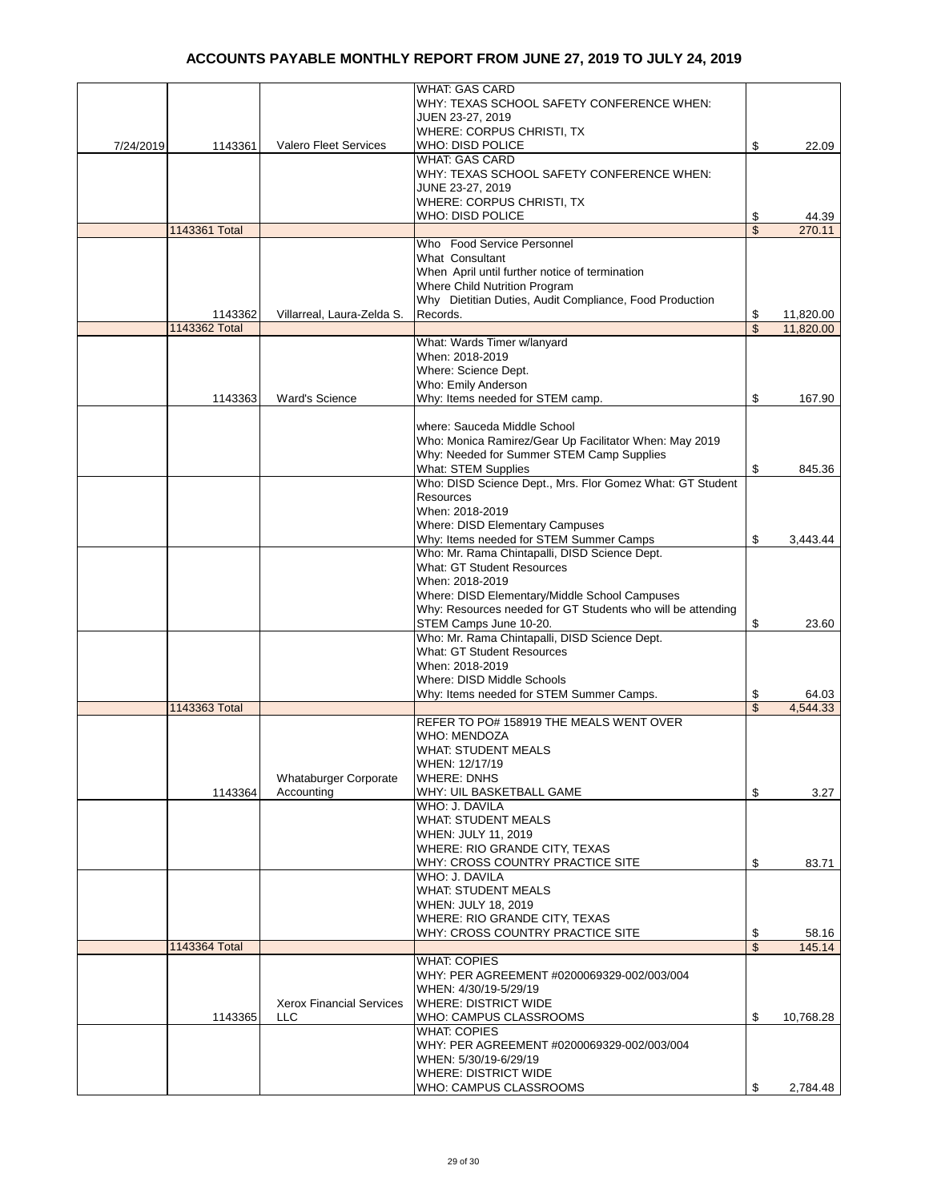|           |               |                                 | <b>WHAT: GAS CARD</b>                                       |                 |
|-----------|---------------|---------------------------------|-------------------------------------------------------------|-----------------|
|           |               |                                 | WHY: TEXAS SCHOOL SAFETY CONFERENCE WHEN:                   |                 |
|           |               |                                 | JUEN 23-27, 2019                                            |                 |
|           |               |                                 | WHERE: CORPUS CHRISTI, TX                                   |                 |
|           |               |                                 |                                                             |                 |
| 7/24/2019 | 1143361       | <b>Valero Fleet Services</b>    | WHO: DISD POLICE                                            | \$<br>22.09     |
|           |               |                                 | <b>WHAT: GAS CARD</b>                                       |                 |
|           |               |                                 | WHY: TEXAS SCHOOL SAFETY CONFERENCE WHEN:                   |                 |
|           |               |                                 | JUNE 23-27, 2019                                            |                 |
|           |               |                                 | WHERE: CORPUS CHRISTI, TX                                   |                 |
|           |               |                                 | <b>WHO: DISD POLICE</b>                                     | \$<br>44.39     |
|           | 1143361 Total |                                 |                                                             | \$<br>270.11    |
|           |               |                                 | Who Food Service Personnel                                  |                 |
|           |               |                                 | What Consultant                                             |                 |
|           |               |                                 | When April until further notice of termination              |                 |
|           |               |                                 | Where Child Nutrition Program                               |                 |
|           |               |                                 |                                                             |                 |
|           |               |                                 | Why Dietitian Duties, Audit Compliance, Food Production     |                 |
|           | 1143362       | Villarreal, Laura-Zelda S.      | Records.                                                    | \$<br>11,820.00 |
|           | 1143362 Total |                                 |                                                             | \$<br>11,820.00 |
|           |               |                                 | What: Wards Timer w/lanyard                                 |                 |
|           |               |                                 | When: 2018-2019                                             |                 |
|           |               |                                 | Where: Science Dept.                                        |                 |
|           |               |                                 | Who: Emily Anderson                                         |                 |
|           | 1143363       | <b>Ward's Science</b>           | Why: Items needed for STEM camp.                            | \$<br>167.90    |
|           |               |                                 |                                                             |                 |
|           |               |                                 |                                                             |                 |
|           |               |                                 | where: Sauceda Middle School                                |                 |
|           |               |                                 | Who: Monica Ramirez/Gear Up Facilitator When: May 2019      |                 |
|           |               |                                 | Why: Needed for Summer STEM Camp Supplies                   |                 |
|           |               |                                 | <b>What: STEM Supplies</b>                                  | \$<br>845.36    |
|           |               |                                 | Who: DISD Science Dept., Mrs. Flor Gomez What: GT Student   |                 |
|           |               |                                 | Resources                                                   |                 |
|           |               |                                 | When: 2018-2019                                             |                 |
|           |               |                                 | Where: DISD Elementary Campuses                             |                 |
|           |               |                                 | Why: Items needed for STEM Summer Camps                     | \$<br>3,443.44  |
|           |               |                                 |                                                             |                 |
|           |               |                                 | Who: Mr. Rama Chintapalli, DISD Science Dept.               |                 |
|           |               |                                 | <b>What: GT Student Resources</b>                           |                 |
|           |               |                                 | When: 2018-2019                                             |                 |
|           |               |                                 | Where: DISD Elementary/Middle School Campuses               |                 |
|           |               |                                 | Why: Resources needed for GT Students who will be attending |                 |
|           |               |                                 | STEM Camps June 10-20.                                      | \$<br>23.60     |
|           |               |                                 | Who: Mr. Rama Chintapalli, DISD Science Dept.               |                 |
|           |               |                                 | What: GT Student Resources                                  |                 |
|           |               |                                 | When: 2018-2019                                             |                 |
|           |               |                                 |                                                             |                 |
|           |               |                                 | Where: DISD Middle Schools                                  |                 |
|           |               |                                 | Why: Items needed for STEM Summer Camps.                    | \$<br>64.03     |
|           | 1143363 Total |                                 |                                                             | \$<br>4,544.33  |
|           |               |                                 | REFER TO PO# 158919 THE MEALS WENT OVER                     |                 |
|           |               |                                 | <b>WHO: MENDOZA</b>                                         |                 |
|           |               |                                 | <b>WHAT: STUDENT MEALS</b>                                  |                 |
|           |               |                                 | WHEN: 12/17/19                                              |                 |
|           |               | Whataburger Corporate           | <b>WHERE: DNHS</b>                                          |                 |
|           | 1143364       | Accounting                      | WHY: UIL BASKETBALL GAME                                    | \$<br>3.27      |
|           |               |                                 | WHO: J. DAVILA                                              |                 |
|           |               |                                 |                                                             |                 |
|           |               |                                 | <b>WHAT: STUDENT MEALS</b>                                  |                 |
|           |               |                                 | WHEN: JULY 11, 2019                                         |                 |
|           |               |                                 | WHERE: RIO GRANDE CITY, TEXAS                               |                 |
|           |               |                                 | WHY: CROSS COUNTRY PRACTICE SITE                            | \$<br>83.71     |
|           |               |                                 | WHO: J. DAVILA                                              |                 |
|           |               |                                 | <b>WHAT: STUDENT MEALS</b>                                  |                 |
|           |               |                                 | WHEN: JULY 18, 2019                                         |                 |
|           |               |                                 | WHERE: RIO GRANDE CITY, TEXAS                               |                 |
|           |               |                                 | WHY: CROSS COUNTRY PRACTICE SITE                            | \$<br>58.16     |
|           | 1143364 Total |                                 |                                                             | \$<br>145.14    |
|           |               |                                 | <b>WHAT: COPIES</b>                                         |                 |
|           |               |                                 |                                                             |                 |
|           |               |                                 | WHY: PER AGREEMENT #0200069329-002/003/004                  |                 |
|           |               |                                 | WHEN: 4/30/19-5/29/19                                       |                 |
|           |               | <b>Xerox Financial Services</b> | <b>WHERE: DISTRICT WIDE</b>                                 |                 |
|           | 1143365       | <b>LLC</b>                      | WHO: CAMPUS CLASSROOMS                                      | \$<br>10,768.28 |
|           |               |                                 | <b>WHAT: COPIES</b>                                         |                 |
|           |               |                                 | WHY: PER AGREEMENT #0200069329-002/003/004                  |                 |
|           |               |                                 | WHEN: 5/30/19-6/29/19                                       |                 |
|           |               |                                 | <b>WHERE: DISTRICT WIDE</b>                                 |                 |
|           |               |                                 |                                                             |                 |
|           |               |                                 | WHO: CAMPUS CLASSROOMS                                      | \$<br>2,784.48  |